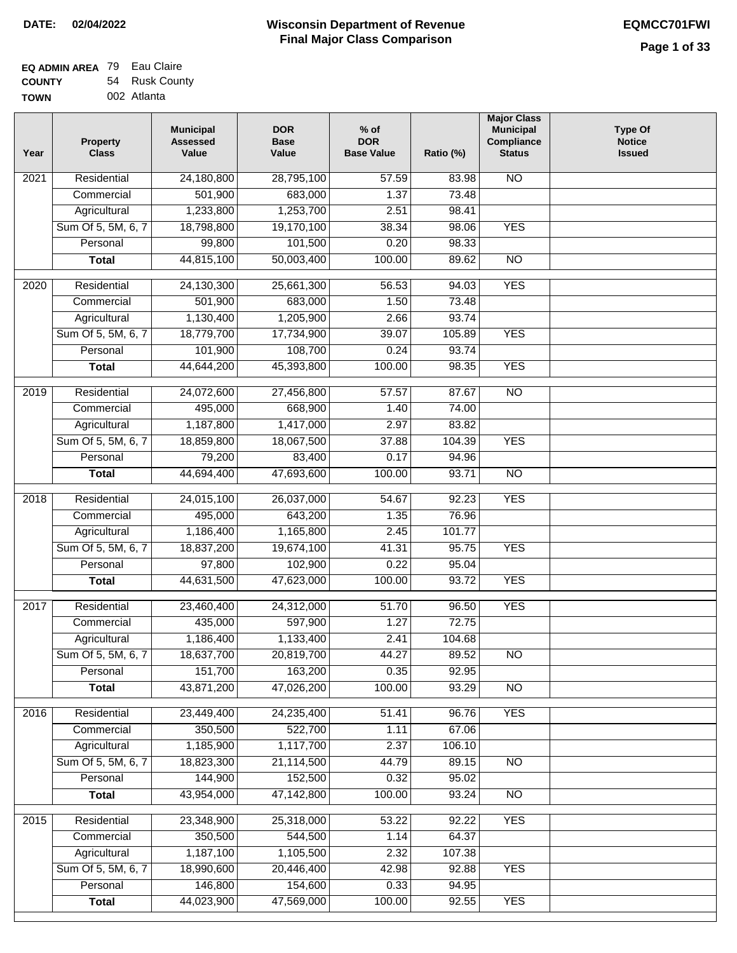| EQ ADMIN AREA 79 Eau Claire |                |
|-----------------------------|----------------|
| <b>COUNTY</b>               | 54 Rusk County |
| <b>TOWN</b>                 | 002 Atlanta    |

| Year | <b>Property</b><br><b>Class</b> | <b>Municipal</b><br><b>Assessed</b><br>Value | <b>DOR</b><br><b>Base</b><br>Value | $%$ of<br><b>DOR</b><br><b>Base Value</b> | Ratio (%) | <b>Major Class</b><br><b>Municipal</b><br>Compliance<br><b>Status</b> | <b>Type Of</b><br><b>Notice</b><br><b>Issued</b> |
|------|---------------------------------|----------------------------------------------|------------------------------------|-------------------------------------------|-----------|-----------------------------------------------------------------------|--------------------------------------------------|
| 2021 | Residential                     | 24,180,800                                   | 28,795,100                         | 57.59                                     | 83.98     | <b>NO</b>                                                             |                                                  |
|      | Commercial                      | 501,900                                      | 683,000                            | 1.37                                      | 73.48     |                                                                       |                                                  |
|      | Agricultural                    | 1,233,800                                    | 1,253,700                          | 2.51                                      | 98.41     |                                                                       |                                                  |
|      | Sum Of 5, 5M, 6, 7              | 18,798,800                                   | 19,170,100                         | 38.34                                     | 98.06     | <b>YES</b>                                                            |                                                  |
|      | Personal                        | 99,800                                       | 101,500                            | 0.20                                      | 98.33     |                                                                       |                                                  |
|      | <b>Total</b>                    | 44,815,100                                   | 50,003,400                         | 100.00                                    | 89.62     | $\overline{NO}$                                                       |                                                  |
| 2020 | Residential                     | 24,130,300                                   | 25,661,300                         | 56.53                                     | 94.03     | <b>YES</b>                                                            |                                                  |
|      | Commercial                      | 501,900                                      | 683,000                            | 1.50                                      | 73.48     |                                                                       |                                                  |
|      | Agricultural                    | 1,130,400                                    | 1,205,900                          | 2.66                                      | 93.74     |                                                                       |                                                  |
|      | Sum Of 5, 5M, 6, 7              | 18,779,700                                   | 17,734,900                         | 39.07                                     | 105.89    | <b>YES</b>                                                            |                                                  |
|      | Personal                        | 101,900                                      | 108,700                            | 0.24                                      | 93.74     |                                                                       |                                                  |
|      | <b>Total</b>                    | 44,644,200                                   | 45,393,800                         | 100.00                                    | 98.35     | <b>YES</b>                                                            |                                                  |
| 2019 | Residential                     | 24,072,600                                   | 27,456,800                         | 57.57                                     | 87.67     | $\overline{10}$                                                       |                                                  |
|      | Commercial                      | 495,000                                      | 668,900                            | 1.40                                      | 74.00     |                                                                       |                                                  |
|      | Agricultural                    | 1,187,800                                    | 1,417,000                          | 2.97                                      | 83.82     |                                                                       |                                                  |
|      | Sum Of 5, 5M, 6, 7              | 18,859,800                                   | 18,067,500                         | 37.88                                     | 104.39    | <b>YES</b>                                                            |                                                  |
|      | Personal                        | 79,200                                       | 83,400                             | 0.17                                      | 94.96     |                                                                       |                                                  |
|      | <b>Total</b>                    | 44,694,400                                   | 47,693,600                         | 100.00                                    | 93.71     | $\overline{NO}$                                                       |                                                  |
|      |                                 |                                              |                                    |                                           |           |                                                                       |                                                  |
| 2018 | Residential                     | 24,015,100                                   | 26,037,000                         | 54.67                                     | 92.23     | <b>YES</b>                                                            |                                                  |
|      | Commercial                      | 495,000                                      | 643,200                            | 1.35                                      | 76.96     |                                                                       |                                                  |
|      | Agricultural                    | 1,186,400                                    | 1,165,800                          | 2.45                                      | 101.77    |                                                                       |                                                  |
|      | Sum Of 5, 5M, 6, 7              | 18,837,200                                   | 19,674,100                         | 41.31                                     | 95.75     | <b>YES</b>                                                            |                                                  |
|      | Personal                        | 97,800                                       | 102,900                            | 0.22                                      | 95.04     |                                                                       |                                                  |
|      | <b>Total</b>                    | 44,631,500                                   | 47,623,000                         | 100.00                                    | 93.72     | <b>YES</b>                                                            |                                                  |
| 2017 | Residential                     | 23,460,400                                   | 24,312,000                         | 51.70                                     | 96.50     | <b>YES</b>                                                            |                                                  |
|      | Commercial                      | 435,000                                      | 597,900                            | 1.27                                      | 72.75     |                                                                       |                                                  |
|      | Agricultural                    | 1,186,400                                    | 1,133,400                          | 2.41                                      | 104.68    |                                                                       |                                                  |
|      | Sum Of 5, 5M, 6, 7              | 18,637,700                                   | 20,819,700                         | 44.27                                     | 89.52     | <b>NO</b>                                                             |                                                  |
|      | Personal                        | 151,700                                      | 163,200                            | 0.35                                      | 92.95     |                                                                       |                                                  |
|      | <b>Total</b>                    | 43,871,200                                   | 47,026,200                         | 100.00                                    | 93.29     | <b>NO</b>                                                             |                                                  |
| 2016 | Residential                     | 23,449,400                                   | 24,235,400                         | 51.41                                     | 96.76     | <b>YES</b>                                                            |                                                  |
|      | Commercial                      | 350,500                                      | 522,700                            | 1.11                                      | 67.06     |                                                                       |                                                  |
|      | Agricultural                    | 1,185,900                                    | 1,117,700                          | 2.37                                      | 106.10    |                                                                       |                                                  |
|      | Sum Of 5, 5M, 6, 7              | 18,823,300                                   | 21,114,500                         | 44.79                                     | 89.15     | $\overline{NO}$                                                       |                                                  |
|      | Personal                        | 144,900                                      | 152,500                            | 0.32                                      | 95.02     |                                                                       |                                                  |
|      | <b>Total</b>                    | 43,954,000                                   | 47,142,800                         | 100.00                                    | 93.24     | N <sub>O</sub>                                                        |                                                  |
| 2015 | Residential                     | 23,348,900                                   | 25,318,000                         | 53.22                                     | 92.22     | <b>YES</b>                                                            |                                                  |
|      | Commercial                      | 350,500                                      | 544,500                            | 1.14                                      | 64.37     |                                                                       |                                                  |
|      | Agricultural                    | 1,187,100                                    | 1,105,500                          | 2.32                                      | 107.38    |                                                                       |                                                  |
|      | Sum Of 5, 5M, 6, 7              | 18,990,600                                   | 20,446,400                         | 42.98                                     | 92.88     | <b>YES</b>                                                            |                                                  |
|      | Personal                        | 146,800                                      | 154,600                            | 0.33                                      | 94.95     |                                                                       |                                                  |
|      | <b>Total</b>                    | 44,023,900                                   | 47,569,000                         | 100.00                                    | 92.55     | <b>YES</b>                                                            |                                                  |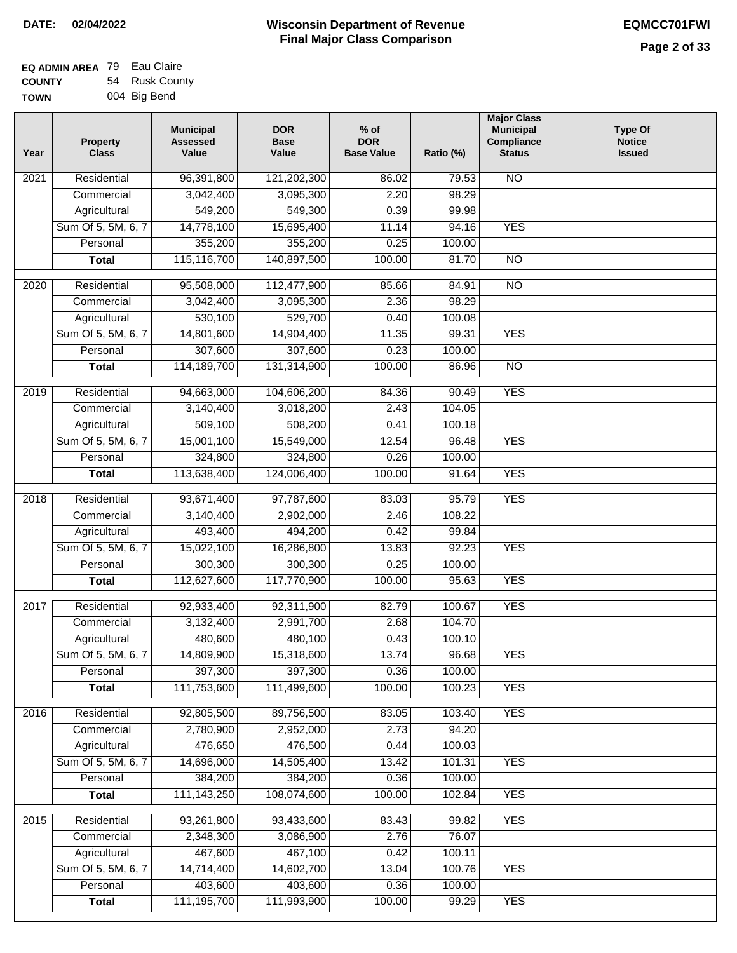| <b>EQ ADMIN AREA 79 Eau Claire</b> |                |
|------------------------------------|----------------|
| <b>COUNTY</b>                      | 54 Rusk County |
| <b>TOWN</b>                        | 004 Big Bend   |

| Year              | <b>Property</b><br><b>Class</b> | <b>Municipal</b><br><b>Assessed</b><br>Value | <b>DOR</b><br><b>Base</b><br>Value | $%$ of<br><b>DOR</b><br><b>Base Value</b> | Ratio (%) | <b>Major Class</b><br><b>Municipal</b><br>Compliance<br><b>Status</b> | <b>Type Of</b><br><b>Notice</b><br><b>Issued</b> |
|-------------------|---------------------------------|----------------------------------------------|------------------------------------|-------------------------------------------|-----------|-----------------------------------------------------------------------|--------------------------------------------------|
| $\overline{202}1$ | Residential                     | 96,391,800                                   | 121,202,300                        | 86.02                                     | 79.53     | <b>NO</b>                                                             |                                                  |
|                   | Commercial                      | 3,042,400                                    | 3,095,300                          | 2.20                                      | 98.29     |                                                                       |                                                  |
|                   | Agricultural                    | 549,200                                      | 549,300                            | 0.39                                      | 99.98     |                                                                       |                                                  |
|                   | Sum Of 5, 5M, 6, 7              | 14,778,100                                   | 15,695,400                         | 11.14                                     | 94.16     | <b>YES</b>                                                            |                                                  |
|                   | Personal                        | 355,200                                      | 355,200                            | 0.25                                      | 100.00    |                                                                       |                                                  |
|                   | <b>Total</b>                    | 115,116,700                                  | 140,897,500                        | 100.00                                    | 81.70     | $\overline{NO}$                                                       |                                                  |
| $\overline{2020}$ | Residential                     | 95,508,000                                   | 112,477,900                        | 85.66                                     | 84.91     | $\overline{NO}$                                                       |                                                  |
|                   | Commercial                      | 3,042,400                                    | 3,095,300                          | 2.36                                      | 98.29     |                                                                       |                                                  |
|                   | Agricultural                    | 530,100                                      | 529,700                            | 0.40                                      | 100.08    |                                                                       |                                                  |
|                   | Sum Of 5, 5M, 6, 7              | 14,801,600                                   | 14,904,400                         | 11.35                                     | 99.31     | <b>YES</b>                                                            |                                                  |
|                   | Personal                        | 307,600                                      | 307,600                            | 0.23                                      | 100.00    |                                                                       |                                                  |
|                   | <b>Total</b>                    | 114, 189, 700                                | 131,314,900                        | 100.00                                    | 86.96     | $\overline{NO}$                                                       |                                                  |
| 2019              | Residential                     | 94,663,000                                   | 104,606,200                        | 84.36                                     | 90.49     | <b>YES</b>                                                            |                                                  |
|                   | Commercial                      | 3,140,400                                    | 3,018,200                          | 2.43                                      | 104.05    |                                                                       |                                                  |
|                   | Agricultural                    | 509,100                                      | 508,200                            | 0.41                                      | 100.18    |                                                                       |                                                  |
|                   | Sum Of 5, 5M, 6, 7              | 15,001,100                                   | 15,549,000                         | 12.54                                     | 96.48     | <b>YES</b>                                                            |                                                  |
|                   | Personal                        | 324,800                                      | 324,800                            | 0.26                                      | 100.00    |                                                                       |                                                  |
|                   | <b>Total</b>                    | 113,638,400                                  | 124,006,400                        | 100.00                                    | 91.64     | <b>YES</b>                                                            |                                                  |
|                   |                                 |                                              |                                    |                                           |           |                                                                       |                                                  |
| 2018              | Residential                     | 93,671,400                                   | 97,787,600                         | 83.03                                     | 95.79     | <b>YES</b>                                                            |                                                  |
|                   | Commercial                      | 3,140,400                                    | 2,902,000                          | 2.46                                      | 108.22    |                                                                       |                                                  |
|                   | Agricultural                    | 493,400                                      | 494,200                            | 0.42                                      | 99.84     |                                                                       |                                                  |
|                   | Sum Of 5, 5M, 6, 7              | 15,022,100                                   | 16,286,800                         | 13.83                                     | 92.23     | <b>YES</b>                                                            |                                                  |
|                   | Personal                        | 300,300                                      | 300,300                            | 0.25                                      | 100.00    |                                                                       |                                                  |
|                   | <b>Total</b>                    | 112,627,600                                  | 117,770,900                        | 100.00                                    | 95.63     | <b>YES</b>                                                            |                                                  |
| 2017              | Residential                     | 92,933,400                                   | 92,311,900                         | 82.79                                     | 100.67    | <b>YES</b>                                                            |                                                  |
|                   | Commercial                      | 3,132,400                                    | 2,991,700                          | 2.68                                      | 104.70    |                                                                       |                                                  |
|                   | Agricultural                    | 480,600                                      | 480,100                            | 0.43                                      | 100.10    |                                                                       |                                                  |
|                   | Sum Of 5, 5M, 6, 7              | 14,809,900                                   | 15,318,600                         | 13.74                                     | 96.68     | <b>YES</b>                                                            |                                                  |
|                   | Personal                        | 397,300                                      | 397,300                            | 0.36                                      | 100.00    |                                                                       |                                                  |
|                   | <b>Total</b>                    | 111,753,600                                  | 111,499,600                        | 100.00                                    | 100.23    | <b>YES</b>                                                            |                                                  |
| 2016              | Residential                     | 92,805,500                                   | 89,756,500                         | 83.05                                     | 103.40    | <b>YES</b>                                                            |                                                  |
|                   | Commercial                      | 2,780,900                                    | 2,952,000                          | 2.73                                      | 94.20     |                                                                       |                                                  |
|                   | Agricultural                    | 476,650                                      | 476,500                            | 0.44                                      | 100.03    |                                                                       |                                                  |
|                   | Sum Of 5, 5M, 6, 7              | 14,696,000                                   | 14,505,400                         | 13.42                                     | 101.31    | <b>YES</b>                                                            |                                                  |
|                   | Personal                        | 384,200                                      | 384,200                            | 0.36                                      | 100.00    |                                                                       |                                                  |
|                   | <b>Total</b>                    | 111, 143, 250                                | 108,074,600                        | 100.00                                    | 102.84    | <b>YES</b>                                                            |                                                  |
| 2015              | Residential                     | 93,261,800                                   | 93,433,600                         | 83.43                                     | 99.82     | <b>YES</b>                                                            |                                                  |
|                   | Commercial                      | 2,348,300                                    | 3,086,900                          | 2.76                                      | 76.07     |                                                                       |                                                  |
|                   | Agricultural                    | 467,600                                      | 467,100                            | 0.42                                      | 100.11    |                                                                       |                                                  |
|                   | Sum Of 5, 5M, 6, 7              | 14,714,400                                   | 14,602,700                         | 13.04                                     | 100.76    | <b>YES</b>                                                            |                                                  |
|                   | Personal                        | 403,600                                      | 403,600                            | 0.36                                      | 100.00    |                                                                       |                                                  |
|                   | <b>Total</b>                    | 111,195,700                                  | 111,993,900                        | 100.00                                    | 99.29     | <b>YES</b>                                                            |                                                  |
|                   |                                 |                                              |                                    |                                           |           |                                                                       |                                                  |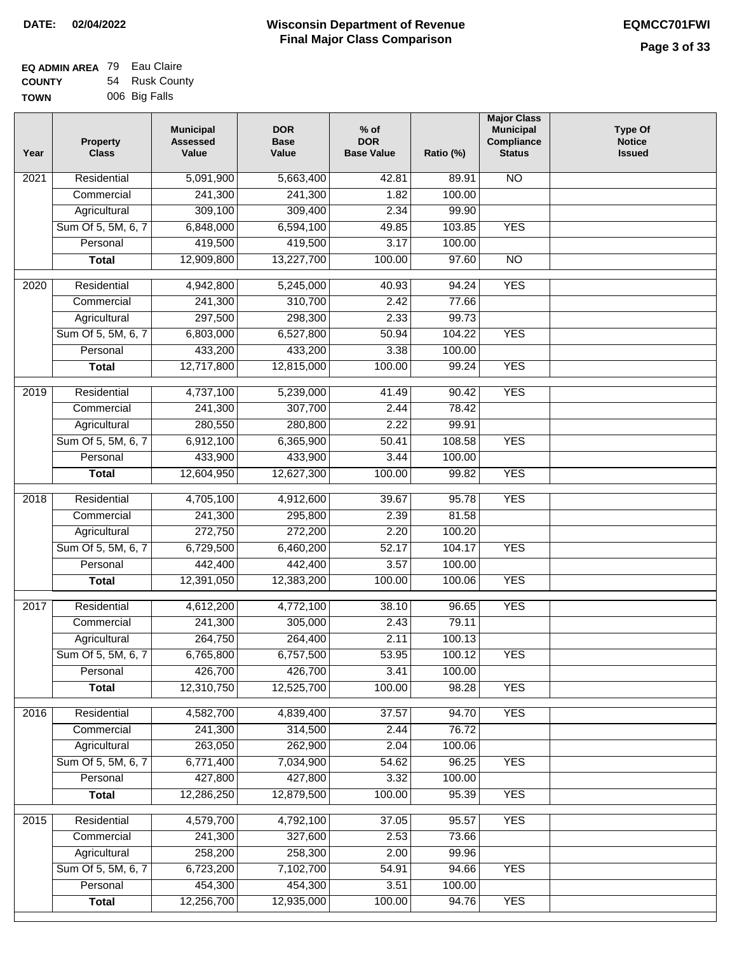| <b>EQ ADMIN AREA 79 Eau Claire</b> |                |
|------------------------------------|----------------|
| <b>COUNTY</b>                      | 54 Rusk County |
| <b>TOWN</b>                        | 006 Big Falls  |

| <b>NO</b><br>2021<br>Residential<br>5,091,900<br>5,663,400<br>42.81<br>89.91<br>241,300<br>241,300<br>100.00<br>Commercial<br>1.82<br>Agricultural<br>309,100<br>309,400<br>2.34<br>99.90<br>Sum Of 5, 5M, 6, 7<br>6,848,000<br>6,594,100<br>49.85<br>103.85<br><b>YES</b><br>419,500<br>419,500<br>3.17<br>Personal<br>100.00<br>12,909,800<br>13,227,700<br>100.00<br>97.60<br>$\overline{NO}$<br><b>Total</b><br><b>YES</b><br>2020<br>Residential<br>4,942,800<br>5,245,000<br>40.93<br>94.24<br>241,300<br>310,700<br>2.42<br>77.66<br>Commercial<br>297,500<br>298,300<br>2.33<br>99.73<br>Agricultural<br>Sum Of 5, 5M, 6, 7<br>6,803,000<br>6,527,800<br>50.94<br>104.22<br><b>YES</b><br>433,200<br>433,200<br>3.38<br>Personal<br>100.00<br>12,717,800<br>100.00<br><b>YES</b><br>12,815,000<br>99.24<br><b>Total</b><br>4,737,100<br><b>YES</b><br>2019<br>Residential<br>5,239,000<br>41.49<br>90.42<br>241,300<br>307,700<br>2.44<br>78.42<br>Commercial<br>280,550<br>280,800<br>2.22<br>99.91<br>Agricultural<br><b>YES</b><br>Sum Of 5, 5M, 6, 7<br>6,912,100<br>6,365,900<br>50.41<br>108.58<br>433,900<br>Personal<br>433,900<br>3.44<br>100.00<br>12,604,950<br>12,627,300<br>100.00<br><b>YES</b><br>99.82<br><b>Total</b><br>Residential<br>4,705,100<br>4,912,600<br>95.78<br><b>YES</b><br>2018<br>39.67<br>241,300<br>Commercial<br>295,800<br>2.39<br>81.58<br>272,750<br>272,200<br>2.20<br>100.20<br>Agricultural<br>Sum Of 5, 5M, 6, 7<br>6,729,500<br>6,460,200<br>52.17<br>104.17<br><b>YES</b><br>Personal<br>442,400<br>442,400<br>3.57<br>100.00<br>12,391,050<br>12,383,200<br>100.00<br>100.06<br><b>YES</b><br><b>Total</b><br>2017<br>Residential<br>4,612,200<br>38.10<br>96.65<br><b>YES</b><br>4,772,100<br>241,300<br>2.43<br>79.11<br>Commercial<br>305,000<br>264,750<br>264,400<br>2.11<br>100.13<br>Agricultural<br>6,765,800<br>6,757,500<br>53.95<br>Sum Of 5, 5M, 6, 7<br>100.12<br><b>YES</b><br>426,700<br>Personal<br>426,700<br>3.41<br>100.00<br>12,310,750<br>12,525,700<br>100.00<br>98.28<br><b>YES</b><br><b>Total</b><br><b>YES</b><br>2016<br>Residential<br>4,582,700<br>4,839,400<br>37.57<br>94.70<br>241,300<br>314,500<br>2.44<br>76.72<br>Commercial<br>263,050<br>262,900<br>2.04<br>Agricultural<br>100.06<br>Sum Of 5, 5M, 6, 7<br>6,771,400<br>7,034,900<br><b>YES</b><br>54.62<br>96.25<br>427,800<br>427,800<br>3.32<br>100.00<br>Personal<br>100.00<br><b>YES</b><br>12,286,250<br>12,879,500<br>95.39<br><b>Total</b><br><b>YES</b><br>Residential<br>4,579,700<br>4,792,100<br>37.05<br>95.57<br>2015<br>241,300<br>327,600<br>2.53<br>73.66<br>Commercial<br>258,200<br>258,300<br>2.00<br>99.96<br>Agricultural<br>Sum Of 5, 5M, 6, 7<br>6,723,200<br>7,102,700<br>54.91<br><b>YES</b><br>94.66<br>454,300<br>454,300<br>3.51<br>Personal<br>100.00<br>12,256,700<br>12,935,000<br>100.00<br><b>YES</b><br><b>Total</b><br>94.76 | Year | <b>Property</b><br><b>Class</b> | <b>Municipal</b><br><b>Assessed</b><br>Value | <b>DOR</b><br><b>Base</b><br>Value | $%$ of<br><b>DOR</b><br><b>Base Value</b> | Ratio (%) | <b>Major Class</b><br><b>Municipal</b><br>Compliance<br><b>Status</b> | <b>Type Of</b><br><b>Notice</b><br><b>Issued</b> |
|--------------------------------------------------------------------------------------------------------------------------------------------------------------------------------------------------------------------------------------------------------------------------------------------------------------------------------------------------------------------------------------------------------------------------------------------------------------------------------------------------------------------------------------------------------------------------------------------------------------------------------------------------------------------------------------------------------------------------------------------------------------------------------------------------------------------------------------------------------------------------------------------------------------------------------------------------------------------------------------------------------------------------------------------------------------------------------------------------------------------------------------------------------------------------------------------------------------------------------------------------------------------------------------------------------------------------------------------------------------------------------------------------------------------------------------------------------------------------------------------------------------------------------------------------------------------------------------------------------------------------------------------------------------------------------------------------------------------------------------------------------------------------------------------------------------------------------------------------------------------------------------------------------------------------------------------------------------------------------------------------------------------------------------------------------------------------------------------------------------------------------------------------------------------------------------------------------------------------------------------------------------------------------------------------------------------------------------------------------------------------------------------------------------------------------------------------------------------------------------------------------------------------------------------------------------------------------------------------------------------------------------------------------------------------------------------------------------------------------------------------------------------------------------------------------------------------------------------------------------------------------------------------------------|------|---------------------------------|----------------------------------------------|------------------------------------|-------------------------------------------|-----------|-----------------------------------------------------------------------|--------------------------------------------------|
|                                                                                                                                                                                                                                                                                                                                                                                                                                                                                                                                                                                                                                                                                                                                                                                                                                                                                                                                                                                                                                                                                                                                                                                                                                                                                                                                                                                                                                                                                                                                                                                                                                                                                                                                                                                                                                                                                                                                                                                                                                                                                                                                                                                                                                                                                                                                                                                                                                                                                                                                                                                                                                                                                                                                                                                                                                                                                                              |      |                                 |                                              |                                    |                                           |           |                                                                       |                                                  |
|                                                                                                                                                                                                                                                                                                                                                                                                                                                                                                                                                                                                                                                                                                                                                                                                                                                                                                                                                                                                                                                                                                                                                                                                                                                                                                                                                                                                                                                                                                                                                                                                                                                                                                                                                                                                                                                                                                                                                                                                                                                                                                                                                                                                                                                                                                                                                                                                                                                                                                                                                                                                                                                                                                                                                                                                                                                                                                              |      |                                 |                                              |                                    |                                           |           |                                                                       |                                                  |
|                                                                                                                                                                                                                                                                                                                                                                                                                                                                                                                                                                                                                                                                                                                                                                                                                                                                                                                                                                                                                                                                                                                                                                                                                                                                                                                                                                                                                                                                                                                                                                                                                                                                                                                                                                                                                                                                                                                                                                                                                                                                                                                                                                                                                                                                                                                                                                                                                                                                                                                                                                                                                                                                                                                                                                                                                                                                                                              |      |                                 |                                              |                                    |                                           |           |                                                                       |                                                  |
|                                                                                                                                                                                                                                                                                                                                                                                                                                                                                                                                                                                                                                                                                                                                                                                                                                                                                                                                                                                                                                                                                                                                                                                                                                                                                                                                                                                                                                                                                                                                                                                                                                                                                                                                                                                                                                                                                                                                                                                                                                                                                                                                                                                                                                                                                                                                                                                                                                                                                                                                                                                                                                                                                                                                                                                                                                                                                                              |      |                                 |                                              |                                    |                                           |           |                                                                       |                                                  |
|                                                                                                                                                                                                                                                                                                                                                                                                                                                                                                                                                                                                                                                                                                                                                                                                                                                                                                                                                                                                                                                                                                                                                                                                                                                                                                                                                                                                                                                                                                                                                                                                                                                                                                                                                                                                                                                                                                                                                                                                                                                                                                                                                                                                                                                                                                                                                                                                                                                                                                                                                                                                                                                                                                                                                                                                                                                                                                              |      |                                 |                                              |                                    |                                           |           |                                                                       |                                                  |
|                                                                                                                                                                                                                                                                                                                                                                                                                                                                                                                                                                                                                                                                                                                                                                                                                                                                                                                                                                                                                                                                                                                                                                                                                                                                                                                                                                                                                                                                                                                                                                                                                                                                                                                                                                                                                                                                                                                                                                                                                                                                                                                                                                                                                                                                                                                                                                                                                                                                                                                                                                                                                                                                                                                                                                                                                                                                                                              |      |                                 |                                              |                                    |                                           |           |                                                                       |                                                  |
|                                                                                                                                                                                                                                                                                                                                                                                                                                                                                                                                                                                                                                                                                                                                                                                                                                                                                                                                                                                                                                                                                                                                                                                                                                                                                                                                                                                                                                                                                                                                                                                                                                                                                                                                                                                                                                                                                                                                                                                                                                                                                                                                                                                                                                                                                                                                                                                                                                                                                                                                                                                                                                                                                                                                                                                                                                                                                                              |      |                                 |                                              |                                    |                                           |           |                                                                       |                                                  |
|                                                                                                                                                                                                                                                                                                                                                                                                                                                                                                                                                                                                                                                                                                                                                                                                                                                                                                                                                                                                                                                                                                                                                                                                                                                                                                                                                                                                                                                                                                                                                                                                                                                                                                                                                                                                                                                                                                                                                                                                                                                                                                                                                                                                                                                                                                                                                                                                                                                                                                                                                                                                                                                                                                                                                                                                                                                                                                              |      |                                 |                                              |                                    |                                           |           |                                                                       |                                                  |
|                                                                                                                                                                                                                                                                                                                                                                                                                                                                                                                                                                                                                                                                                                                                                                                                                                                                                                                                                                                                                                                                                                                                                                                                                                                                                                                                                                                                                                                                                                                                                                                                                                                                                                                                                                                                                                                                                                                                                                                                                                                                                                                                                                                                                                                                                                                                                                                                                                                                                                                                                                                                                                                                                                                                                                                                                                                                                                              |      |                                 |                                              |                                    |                                           |           |                                                                       |                                                  |
|                                                                                                                                                                                                                                                                                                                                                                                                                                                                                                                                                                                                                                                                                                                                                                                                                                                                                                                                                                                                                                                                                                                                                                                                                                                                                                                                                                                                                                                                                                                                                                                                                                                                                                                                                                                                                                                                                                                                                                                                                                                                                                                                                                                                                                                                                                                                                                                                                                                                                                                                                                                                                                                                                                                                                                                                                                                                                                              |      |                                 |                                              |                                    |                                           |           |                                                                       |                                                  |
|                                                                                                                                                                                                                                                                                                                                                                                                                                                                                                                                                                                                                                                                                                                                                                                                                                                                                                                                                                                                                                                                                                                                                                                                                                                                                                                                                                                                                                                                                                                                                                                                                                                                                                                                                                                                                                                                                                                                                                                                                                                                                                                                                                                                                                                                                                                                                                                                                                                                                                                                                                                                                                                                                                                                                                                                                                                                                                              |      |                                 |                                              |                                    |                                           |           |                                                                       |                                                  |
|                                                                                                                                                                                                                                                                                                                                                                                                                                                                                                                                                                                                                                                                                                                                                                                                                                                                                                                                                                                                                                                                                                                                                                                                                                                                                                                                                                                                                                                                                                                                                                                                                                                                                                                                                                                                                                                                                                                                                                                                                                                                                                                                                                                                                                                                                                                                                                                                                                                                                                                                                                                                                                                                                                                                                                                                                                                                                                              |      |                                 |                                              |                                    |                                           |           |                                                                       |                                                  |
|                                                                                                                                                                                                                                                                                                                                                                                                                                                                                                                                                                                                                                                                                                                                                                                                                                                                                                                                                                                                                                                                                                                                                                                                                                                                                                                                                                                                                                                                                                                                                                                                                                                                                                                                                                                                                                                                                                                                                                                                                                                                                                                                                                                                                                                                                                                                                                                                                                                                                                                                                                                                                                                                                                                                                                                                                                                                                                              |      |                                 |                                              |                                    |                                           |           |                                                                       |                                                  |
|                                                                                                                                                                                                                                                                                                                                                                                                                                                                                                                                                                                                                                                                                                                                                                                                                                                                                                                                                                                                                                                                                                                                                                                                                                                                                                                                                                                                                                                                                                                                                                                                                                                                                                                                                                                                                                                                                                                                                                                                                                                                                                                                                                                                                                                                                                                                                                                                                                                                                                                                                                                                                                                                                                                                                                                                                                                                                                              |      |                                 |                                              |                                    |                                           |           |                                                                       |                                                  |
|                                                                                                                                                                                                                                                                                                                                                                                                                                                                                                                                                                                                                                                                                                                                                                                                                                                                                                                                                                                                                                                                                                                                                                                                                                                                                                                                                                                                                                                                                                                                                                                                                                                                                                                                                                                                                                                                                                                                                                                                                                                                                                                                                                                                                                                                                                                                                                                                                                                                                                                                                                                                                                                                                                                                                                                                                                                                                                              |      |                                 |                                              |                                    |                                           |           |                                                                       |                                                  |
|                                                                                                                                                                                                                                                                                                                                                                                                                                                                                                                                                                                                                                                                                                                                                                                                                                                                                                                                                                                                                                                                                                                                                                                                                                                                                                                                                                                                                                                                                                                                                                                                                                                                                                                                                                                                                                                                                                                                                                                                                                                                                                                                                                                                                                                                                                                                                                                                                                                                                                                                                                                                                                                                                                                                                                                                                                                                                                              |      |                                 |                                              |                                    |                                           |           |                                                                       |                                                  |
|                                                                                                                                                                                                                                                                                                                                                                                                                                                                                                                                                                                                                                                                                                                                                                                                                                                                                                                                                                                                                                                                                                                                                                                                                                                                                                                                                                                                                                                                                                                                                                                                                                                                                                                                                                                                                                                                                                                                                                                                                                                                                                                                                                                                                                                                                                                                                                                                                                                                                                                                                                                                                                                                                                                                                                                                                                                                                                              |      |                                 |                                              |                                    |                                           |           |                                                                       |                                                  |
|                                                                                                                                                                                                                                                                                                                                                                                                                                                                                                                                                                                                                                                                                                                                                                                                                                                                                                                                                                                                                                                                                                                                                                                                                                                                                                                                                                                                                                                                                                                                                                                                                                                                                                                                                                                                                                                                                                                                                                                                                                                                                                                                                                                                                                                                                                                                                                                                                                                                                                                                                                                                                                                                                                                                                                                                                                                                                                              |      |                                 |                                              |                                    |                                           |           |                                                                       |                                                  |
|                                                                                                                                                                                                                                                                                                                                                                                                                                                                                                                                                                                                                                                                                                                                                                                                                                                                                                                                                                                                                                                                                                                                                                                                                                                                                                                                                                                                                                                                                                                                                                                                                                                                                                                                                                                                                                                                                                                                                                                                                                                                                                                                                                                                                                                                                                                                                                                                                                                                                                                                                                                                                                                                                                                                                                                                                                                                                                              |      |                                 |                                              |                                    |                                           |           |                                                                       |                                                  |
|                                                                                                                                                                                                                                                                                                                                                                                                                                                                                                                                                                                                                                                                                                                                                                                                                                                                                                                                                                                                                                                                                                                                                                                                                                                                                                                                                                                                                                                                                                                                                                                                                                                                                                                                                                                                                                                                                                                                                                                                                                                                                                                                                                                                                                                                                                                                                                                                                                                                                                                                                                                                                                                                                                                                                                                                                                                                                                              |      |                                 |                                              |                                    |                                           |           |                                                                       |                                                  |
|                                                                                                                                                                                                                                                                                                                                                                                                                                                                                                                                                                                                                                                                                                                                                                                                                                                                                                                                                                                                                                                                                                                                                                                                                                                                                                                                                                                                                                                                                                                                                                                                                                                                                                                                                                                                                                                                                                                                                                                                                                                                                                                                                                                                                                                                                                                                                                                                                                                                                                                                                                                                                                                                                                                                                                                                                                                                                                              |      |                                 |                                              |                                    |                                           |           |                                                                       |                                                  |
|                                                                                                                                                                                                                                                                                                                                                                                                                                                                                                                                                                                                                                                                                                                                                                                                                                                                                                                                                                                                                                                                                                                                                                                                                                                                                                                                                                                                                                                                                                                                                                                                                                                                                                                                                                                                                                                                                                                                                                                                                                                                                                                                                                                                                                                                                                                                                                                                                                                                                                                                                                                                                                                                                                                                                                                                                                                                                                              |      |                                 |                                              |                                    |                                           |           |                                                                       |                                                  |
|                                                                                                                                                                                                                                                                                                                                                                                                                                                                                                                                                                                                                                                                                                                                                                                                                                                                                                                                                                                                                                                                                                                                                                                                                                                                                                                                                                                                                                                                                                                                                                                                                                                                                                                                                                                                                                                                                                                                                                                                                                                                                                                                                                                                                                                                                                                                                                                                                                                                                                                                                                                                                                                                                                                                                                                                                                                                                                              |      |                                 |                                              |                                    |                                           |           |                                                                       |                                                  |
|                                                                                                                                                                                                                                                                                                                                                                                                                                                                                                                                                                                                                                                                                                                                                                                                                                                                                                                                                                                                                                                                                                                                                                                                                                                                                                                                                                                                                                                                                                                                                                                                                                                                                                                                                                                                                                                                                                                                                                                                                                                                                                                                                                                                                                                                                                                                                                                                                                                                                                                                                                                                                                                                                                                                                                                                                                                                                                              |      |                                 |                                              |                                    |                                           |           |                                                                       |                                                  |
|                                                                                                                                                                                                                                                                                                                                                                                                                                                                                                                                                                                                                                                                                                                                                                                                                                                                                                                                                                                                                                                                                                                                                                                                                                                                                                                                                                                                                                                                                                                                                                                                                                                                                                                                                                                                                                                                                                                                                                                                                                                                                                                                                                                                                                                                                                                                                                                                                                                                                                                                                                                                                                                                                                                                                                                                                                                                                                              |      |                                 |                                              |                                    |                                           |           |                                                                       |                                                  |
|                                                                                                                                                                                                                                                                                                                                                                                                                                                                                                                                                                                                                                                                                                                                                                                                                                                                                                                                                                                                                                                                                                                                                                                                                                                                                                                                                                                                                                                                                                                                                                                                                                                                                                                                                                                                                                                                                                                                                                                                                                                                                                                                                                                                                                                                                                                                                                                                                                                                                                                                                                                                                                                                                                                                                                                                                                                                                                              |      |                                 |                                              |                                    |                                           |           |                                                                       |                                                  |
|                                                                                                                                                                                                                                                                                                                                                                                                                                                                                                                                                                                                                                                                                                                                                                                                                                                                                                                                                                                                                                                                                                                                                                                                                                                                                                                                                                                                                                                                                                                                                                                                                                                                                                                                                                                                                                                                                                                                                                                                                                                                                                                                                                                                                                                                                                                                                                                                                                                                                                                                                                                                                                                                                                                                                                                                                                                                                                              |      |                                 |                                              |                                    |                                           |           |                                                                       |                                                  |
|                                                                                                                                                                                                                                                                                                                                                                                                                                                                                                                                                                                                                                                                                                                                                                                                                                                                                                                                                                                                                                                                                                                                                                                                                                                                                                                                                                                                                                                                                                                                                                                                                                                                                                                                                                                                                                                                                                                                                                                                                                                                                                                                                                                                                                                                                                                                                                                                                                                                                                                                                                                                                                                                                                                                                                                                                                                                                                              |      |                                 |                                              |                                    |                                           |           |                                                                       |                                                  |
|                                                                                                                                                                                                                                                                                                                                                                                                                                                                                                                                                                                                                                                                                                                                                                                                                                                                                                                                                                                                                                                                                                                                                                                                                                                                                                                                                                                                                                                                                                                                                                                                                                                                                                                                                                                                                                                                                                                                                                                                                                                                                                                                                                                                                                                                                                                                                                                                                                                                                                                                                                                                                                                                                                                                                                                                                                                                                                              |      |                                 |                                              |                                    |                                           |           |                                                                       |                                                  |
|                                                                                                                                                                                                                                                                                                                                                                                                                                                                                                                                                                                                                                                                                                                                                                                                                                                                                                                                                                                                                                                                                                                                                                                                                                                                                                                                                                                                                                                                                                                                                                                                                                                                                                                                                                                                                                                                                                                                                                                                                                                                                                                                                                                                                                                                                                                                                                                                                                                                                                                                                                                                                                                                                                                                                                                                                                                                                                              |      |                                 |                                              |                                    |                                           |           |                                                                       |                                                  |
|                                                                                                                                                                                                                                                                                                                                                                                                                                                                                                                                                                                                                                                                                                                                                                                                                                                                                                                                                                                                                                                                                                                                                                                                                                                                                                                                                                                                                                                                                                                                                                                                                                                                                                                                                                                                                                                                                                                                                                                                                                                                                                                                                                                                                                                                                                                                                                                                                                                                                                                                                                                                                                                                                                                                                                                                                                                                                                              |      |                                 |                                              |                                    |                                           |           |                                                                       |                                                  |
|                                                                                                                                                                                                                                                                                                                                                                                                                                                                                                                                                                                                                                                                                                                                                                                                                                                                                                                                                                                                                                                                                                                                                                                                                                                                                                                                                                                                                                                                                                                                                                                                                                                                                                                                                                                                                                                                                                                                                                                                                                                                                                                                                                                                                                                                                                                                                                                                                                                                                                                                                                                                                                                                                                                                                                                                                                                                                                              |      |                                 |                                              |                                    |                                           |           |                                                                       |                                                  |
|                                                                                                                                                                                                                                                                                                                                                                                                                                                                                                                                                                                                                                                                                                                                                                                                                                                                                                                                                                                                                                                                                                                                                                                                                                                                                                                                                                                                                                                                                                                                                                                                                                                                                                                                                                                                                                                                                                                                                                                                                                                                                                                                                                                                                                                                                                                                                                                                                                                                                                                                                                                                                                                                                                                                                                                                                                                                                                              |      |                                 |                                              |                                    |                                           |           |                                                                       |                                                  |
|                                                                                                                                                                                                                                                                                                                                                                                                                                                                                                                                                                                                                                                                                                                                                                                                                                                                                                                                                                                                                                                                                                                                                                                                                                                                                                                                                                                                                                                                                                                                                                                                                                                                                                                                                                                                                                                                                                                                                                                                                                                                                                                                                                                                                                                                                                                                                                                                                                                                                                                                                                                                                                                                                                                                                                                                                                                                                                              |      |                                 |                                              |                                    |                                           |           |                                                                       |                                                  |
|                                                                                                                                                                                                                                                                                                                                                                                                                                                                                                                                                                                                                                                                                                                                                                                                                                                                                                                                                                                                                                                                                                                                                                                                                                                                                                                                                                                                                                                                                                                                                                                                                                                                                                                                                                                                                                                                                                                                                                                                                                                                                                                                                                                                                                                                                                                                                                                                                                                                                                                                                                                                                                                                                                                                                                                                                                                                                                              |      |                                 |                                              |                                    |                                           |           |                                                                       |                                                  |
|                                                                                                                                                                                                                                                                                                                                                                                                                                                                                                                                                                                                                                                                                                                                                                                                                                                                                                                                                                                                                                                                                                                                                                                                                                                                                                                                                                                                                                                                                                                                                                                                                                                                                                                                                                                                                                                                                                                                                                                                                                                                                                                                                                                                                                                                                                                                                                                                                                                                                                                                                                                                                                                                                                                                                                                                                                                                                                              |      |                                 |                                              |                                    |                                           |           |                                                                       |                                                  |
|                                                                                                                                                                                                                                                                                                                                                                                                                                                                                                                                                                                                                                                                                                                                                                                                                                                                                                                                                                                                                                                                                                                                                                                                                                                                                                                                                                                                                                                                                                                                                                                                                                                                                                                                                                                                                                                                                                                                                                                                                                                                                                                                                                                                                                                                                                                                                                                                                                                                                                                                                                                                                                                                                                                                                                                                                                                                                                              |      |                                 |                                              |                                    |                                           |           |                                                                       |                                                  |
|                                                                                                                                                                                                                                                                                                                                                                                                                                                                                                                                                                                                                                                                                                                                                                                                                                                                                                                                                                                                                                                                                                                                                                                                                                                                                                                                                                                                                                                                                                                                                                                                                                                                                                                                                                                                                                                                                                                                                                                                                                                                                                                                                                                                                                                                                                                                                                                                                                                                                                                                                                                                                                                                                                                                                                                                                                                                                                              |      |                                 |                                              |                                    |                                           |           |                                                                       |                                                  |
|                                                                                                                                                                                                                                                                                                                                                                                                                                                                                                                                                                                                                                                                                                                                                                                                                                                                                                                                                                                                                                                                                                                                                                                                                                                                                                                                                                                                                                                                                                                                                                                                                                                                                                                                                                                                                                                                                                                                                                                                                                                                                                                                                                                                                                                                                                                                                                                                                                                                                                                                                                                                                                                                                                                                                                                                                                                                                                              |      |                                 |                                              |                                    |                                           |           |                                                                       |                                                  |
|                                                                                                                                                                                                                                                                                                                                                                                                                                                                                                                                                                                                                                                                                                                                                                                                                                                                                                                                                                                                                                                                                                                                                                                                                                                                                                                                                                                                                                                                                                                                                                                                                                                                                                                                                                                                                                                                                                                                                                                                                                                                                                                                                                                                                                                                                                                                                                                                                                                                                                                                                                                                                                                                                                                                                                                                                                                                                                              |      |                                 |                                              |                                    |                                           |           |                                                                       |                                                  |
|                                                                                                                                                                                                                                                                                                                                                                                                                                                                                                                                                                                                                                                                                                                                                                                                                                                                                                                                                                                                                                                                                                                                                                                                                                                                                                                                                                                                                                                                                                                                                                                                                                                                                                                                                                                                                                                                                                                                                                                                                                                                                                                                                                                                                                                                                                                                                                                                                                                                                                                                                                                                                                                                                                                                                                                                                                                                                                              |      |                                 |                                              |                                    |                                           |           |                                                                       |                                                  |
|                                                                                                                                                                                                                                                                                                                                                                                                                                                                                                                                                                                                                                                                                                                                                                                                                                                                                                                                                                                                                                                                                                                                                                                                                                                                                                                                                                                                                                                                                                                                                                                                                                                                                                                                                                                                                                                                                                                                                                                                                                                                                                                                                                                                                                                                                                                                                                                                                                                                                                                                                                                                                                                                                                                                                                                                                                                                                                              |      |                                 |                                              |                                    |                                           |           |                                                                       |                                                  |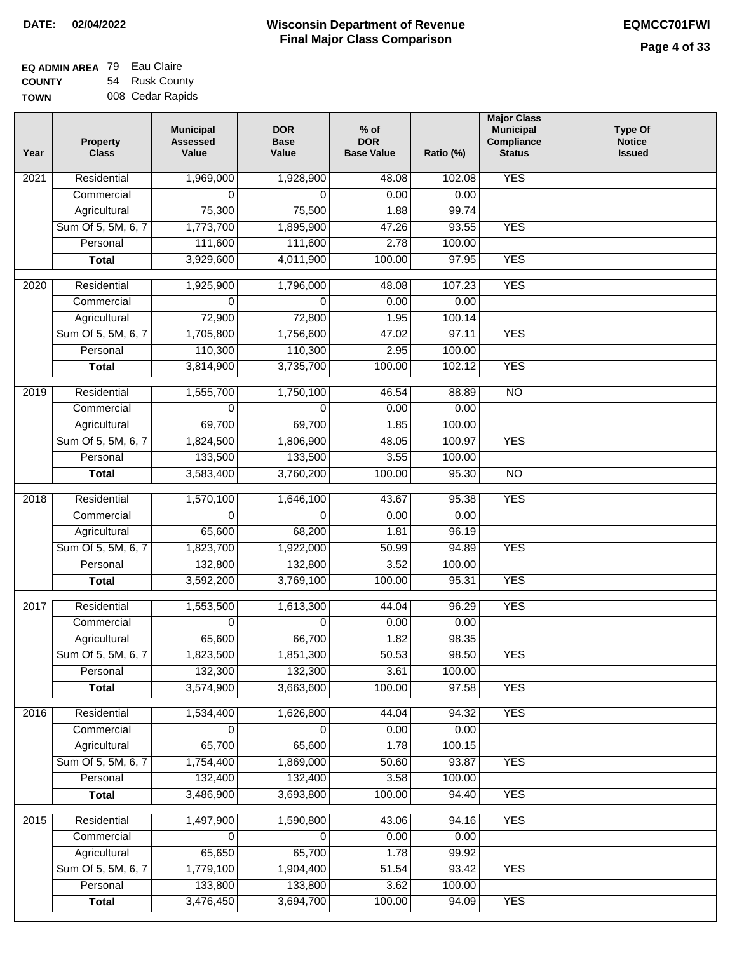| <b>EQ ADMIN AREA 79 Eau Claire</b> |                  |
|------------------------------------|------------------|
| <b>COUNTY</b>                      | 54 Rusk County   |
| <b>TOWN</b>                        | 008 Cedar Rapids |

| Year | <b>Property</b><br><b>Class</b> | <b>Municipal</b><br><b>Assessed</b><br>Value | <b>DOR</b><br><b>Base</b><br>Value | $%$ of<br><b>DOR</b><br><b>Base Value</b> | Ratio (%) | <b>Major Class</b><br><b>Municipal</b><br>Compliance<br><b>Status</b> | <b>Type Of</b><br><b>Notice</b><br><b>Issued</b> |
|------|---------------------------------|----------------------------------------------|------------------------------------|-------------------------------------------|-----------|-----------------------------------------------------------------------|--------------------------------------------------|
| 2021 | Residential                     | 1,969,000                                    | 1,928,900                          | 48.08                                     | 102.08    | <b>YES</b>                                                            |                                                  |
|      | Commercial                      | 0                                            | $\Omega$                           | 0.00                                      | 0.00      |                                                                       |                                                  |
|      | Agricultural                    | 75,300                                       | 75,500                             | 1.88                                      | 99.74     |                                                                       |                                                  |
|      | Sum Of 5, 5M, 6, 7              | 1,773,700                                    | 1,895,900                          | 47.26                                     | 93.55     | <b>YES</b>                                                            |                                                  |
|      | Personal                        | 111,600                                      | 111,600                            | 2.78                                      | 100.00    |                                                                       |                                                  |
|      | <b>Total</b>                    | 3,929,600                                    | 4,011,900                          | 100.00                                    | 97.95     | <b>YES</b>                                                            |                                                  |
| 2020 | Residential                     | 1,925,900                                    | 1,796,000                          | 48.08                                     | 107.23    | <b>YES</b>                                                            |                                                  |
|      | Commercial                      | 0                                            | 0                                  | 0.00                                      | 0.00      |                                                                       |                                                  |
|      | Agricultural                    | 72,900                                       | 72,800                             | 1.95                                      | 100.14    |                                                                       |                                                  |
|      | Sum Of 5, 5M, 6, 7              | 1,705,800                                    | 1,756,600                          | 47.02                                     | 97.11     | <b>YES</b>                                                            |                                                  |
|      | Personal                        | 110,300                                      | 110,300                            | 2.95                                      | 100.00    |                                                                       |                                                  |
|      | <b>Total</b>                    | 3,814,900                                    | 3,735,700                          | 100.00                                    | 102.12    | <b>YES</b>                                                            |                                                  |
| 2019 | Residential                     | 1,555,700                                    | 1,750,100                          | 46.54                                     | 88.89     | $\overline{10}$                                                       |                                                  |
|      | Commercial                      | 0                                            | $\Omega$                           | 0.00                                      | 0.00      |                                                                       |                                                  |
|      | Agricultural                    | 69,700                                       | 69,700                             | 1.85                                      | 100.00    |                                                                       |                                                  |
|      | Sum Of 5, 5M, 6, 7              | 1,824,500                                    | 1,806,900                          | 48.05                                     | 100.97    | <b>YES</b>                                                            |                                                  |
|      | Personal                        | 133,500                                      | 133,500                            | 3.55                                      | 100.00    |                                                                       |                                                  |
|      | <b>Total</b>                    | 3,583,400                                    | 3,760,200                          | 100.00                                    | 95.30     | $\overline{NO}$                                                       |                                                  |
| 2018 | Residential                     | 1,570,100                                    | 1,646,100                          | 43.67                                     | 95.38     | <b>YES</b>                                                            |                                                  |
|      | Commercial                      | 0                                            | $\Omega$                           | 0.00                                      | 0.00      |                                                                       |                                                  |
|      | Agricultural                    | 65,600                                       | 68,200                             | 1.81                                      | 96.19     |                                                                       |                                                  |
|      | Sum Of 5, 5M, 6, 7              | 1,823,700                                    | 1,922,000                          | 50.99                                     | 94.89     | <b>YES</b>                                                            |                                                  |
|      | Personal                        | 132,800                                      | 132,800                            | 3.52                                      | 100.00    |                                                                       |                                                  |
|      | <b>Total</b>                    | 3,592,200                                    | 3,769,100                          | 100.00                                    | 95.31     | <b>YES</b>                                                            |                                                  |
| 2017 | Residential                     | 1,553,500                                    | 1,613,300                          | 44.04                                     | 96.29     | <b>YES</b>                                                            |                                                  |
|      | Commercial                      | 0                                            | $\Omega$                           | 0.00                                      | 0.00      |                                                                       |                                                  |
|      | Agricultural                    | 65,600                                       | 66,700                             | 1.82                                      | 98.35     |                                                                       |                                                  |
|      | Sum Of 5, 5M, 6, 7              | 1,823,500                                    | 1,851,300                          | 50.53                                     | 98.50     | <b>YES</b>                                                            |                                                  |
|      | Personal                        | 132,300                                      | 132,300                            | 3.61                                      | 100.00    |                                                                       |                                                  |
|      | <b>Total</b>                    | 3,574,900                                    | 3,663,600                          | 100.00                                    | 97.58     | <b>YES</b>                                                            |                                                  |
| 2016 | Residential                     | 1,534,400                                    | 1,626,800                          | 44.04                                     | 94.32     | <b>YES</b>                                                            |                                                  |
|      | Commercial                      | 0                                            | $\mathbf 0$                        | 0.00                                      | 0.00      |                                                                       |                                                  |
|      | Agricultural                    | 65,700                                       | 65,600                             | 1.78                                      | 100.15    |                                                                       |                                                  |
|      | Sum Of 5, 5M, 6, 7              | 1,754,400                                    | 1,869,000                          | 50.60                                     | 93.87     | <b>YES</b>                                                            |                                                  |
|      | Personal                        | 132,400                                      | 132,400                            | 3.58                                      | 100.00    |                                                                       |                                                  |
|      | <b>Total</b>                    | 3,486,900                                    | 3,693,800                          | 100.00                                    | 94.40     | <b>YES</b>                                                            |                                                  |
| 2015 | Residential                     | 1,497,900                                    | 1,590,800                          | 43.06                                     | 94.16     | <b>YES</b>                                                            |                                                  |
|      | Commercial                      | 0                                            | 0                                  | 0.00                                      | 0.00      |                                                                       |                                                  |
|      | Agricultural                    | 65,650                                       | 65,700                             | 1.78                                      | 99.92     |                                                                       |                                                  |
|      | Sum Of 5, 5M, 6, 7              | 1,779,100                                    | 1,904,400                          | 51.54                                     | 93.42     | <b>YES</b>                                                            |                                                  |
|      | Personal                        | 133,800                                      | 133,800                            | 3.62                                      | 100.00    |                                                                       |                                                  |
|      | <b>Total</b>                    | 3,476,450                                    | 3,694,700                          | 100.00                                    | 94.09     | <b>YES</b>                                                            |                                                  |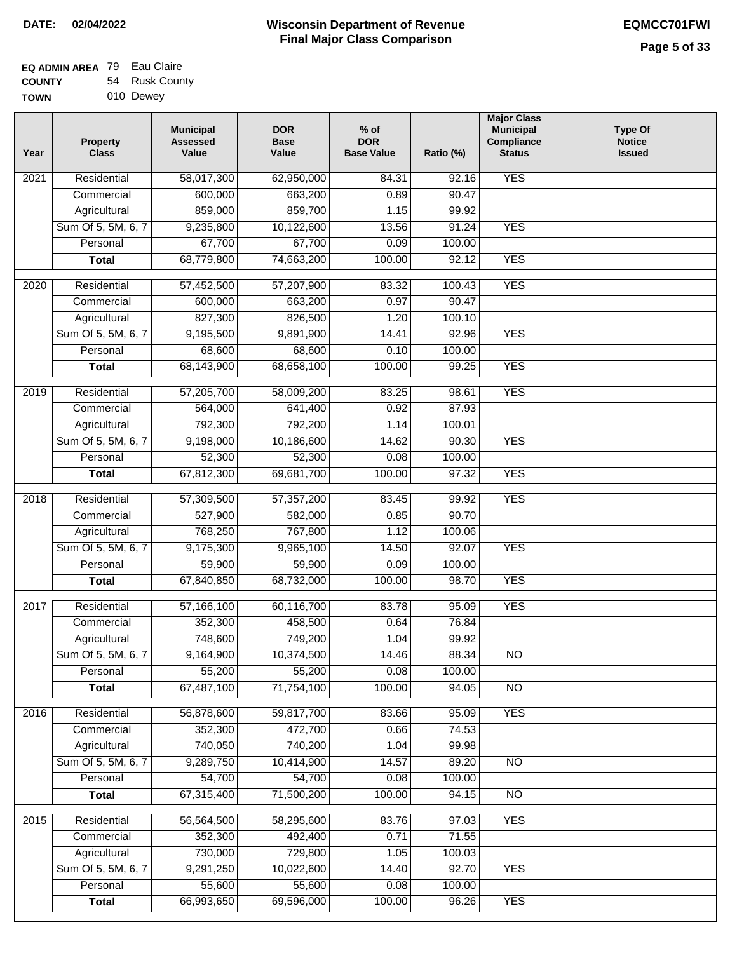| <b>EQ ADMIN AREA</b> 79 Eau Claire |                |
|------------------------------------|----------------|
| <b>COUNTY</b>                      | 54 Rusk County |
| <b>TOWN</b>                        | 010 Dewey      |

| Year              | <b>Property</b><br><b>Class</b> | <b>Municipal</b><br><b>Assessed</b><br>Value | <b>DOR</b><br><b>Base</b><br>Value | $%$ of<br><b>DOR</b><br><b>Base Value</b> | Ratio (%) | <b>Major Class</b><br><b>Municipal</b><br>Compliance<br><b>Status</b> | <b>Type Of</b><br><b>Notice</b><br><b>Issued</b> |
|-------------------|---------------------------------|----------------------------------------------|------------------------------------|-------------------------------------------|-----------|-----------------------------------------------------------------------|--------------------------------------------------|
| 2021              | Residential                     | 58,017,300                                   | 62,950,000                         | 84.31                                     | 92.16     | <b>YES</b>                                                            |                                                  |
|                   | Commercial                      | 600,000                                      | 663,200                            | 0.89                                      | 90.47     |                                                                       |                                                  |
|                   | Agricultural                    | 859,000                                      | 859,700                            | 1.15                                      | 99.92     |                                                                       |                                                  |
|                   | Sum Of 5, 5M, 6, 7              | 9,235,800                                    | 10,122,600                         | 13.56                                     | 91.24     | <b>YES</b>                                                            |                                                  |
|                   | Personal                        | 67,700                                       | 67,700                             | 0.09                                      | 100.00    |                                                                       |                                                  |
|                   | <b>Total</b>                    | 68,779,800                                   | 74,663,200                         | 100.00                                    | 92.12     | <b>YES</b>                                                            |                                                  |
| 2020              | Residential                     | 57,452,500                                   | 57,207,900                         | 83.32                                     | 100.43    | <b>YES</b>                                                            |                                                  |
|                   | Commercial                      | 600,000                                      | 663,200                            | 0.97                                      | 90.47     |                                                                       |                                                  |
|                   | Agricultural                    | 827,300                                      | 826,500                            | 1.20                                      | 100.10    |                                                                       |                                                  |
|                   | Sum Of 5, 5M, 6, 7              | 9,195,500                                    | 9,891,900                          | 14.41                                     | 92.96     | <b>YES</b>                                                            |                                                  |
|                   | Personal                        | 68,600                                       | 68,600                             | 0.10                                      | 100.00    |                                                                       |                                                  |
|                   | <b>Total</b>                    | 68,143,900                                   | 68,658,100                         | 100.00                                    | 99.25     | <b>YES</b>                                                            |                                                  |
|                   |                                 |                                              |                                    |                                           |           |                                                                       |                                                  |
| 2019              | Residential                     | 57,205,700                                   | 58,009,200                         | 83.25                                     | 98.61     | <b>YES</b>                                                            |                                                  |
|                   | Commercial                      | 564,000                                      | 641,400                            | 0.92                                      | 87.93     |                                                                       |                                                  |
|                   | Agricultural                    | 792,300                                      | 792,200                            | 1.14                                      | 100.01    |                                                                       |                                                  |
|                   | Sum Of 5, 5M, 6, 7              | 9,198,000                                    | 10,186,600                         | 14.62                                     | 90.30     | <b>YES</b>                                                            |                                                  |
|                   | Personal                        | 52,300                                       | 52,300                             | 0.08                                      | 100.00    |                                                                       |                                                  |
|                   | <b>Total</b>                    | 67,812,300                                   | 69,681,700                         | 100.00                                    | 97.32     | <b>YES</b>                                                            |                                                  |
| 2018              | Residential                     | 57,309,500                                   | 57,357,200                         | 83.45                                     | 99.92     | <b>YES</b>                                                            |                                                  |
|                   | Commercial                      | 527,900                                      | 582,000                            | 0.85                                      | 90.70     |                                                                       |                                                  |
|                   | Agricultural                    | 768,250                                      | 767,800                            | 1.12                                      | 100.06    |                                                                       |                                                  |
|                   | Sum Of 5, 5M, 6, 7              | 9,175,300                                    | 9,965,100                          | 14.50                                     | 92.07     | <b>YES</b>                                                            |                                                  |
|                   | Personal                        | 59,900                                       | 59,900                             | 0.09                                      | 100.00    |                                                                       |                                                  |
|                   | <b>Total</b>                    | 67,840,850                                   | 68,732,000                         | 100.00                                    | 98.70     | <b>YES</b>                                                            |                                                  |
| $\overline{2017}$ | Residential                     | 57,166,100                                   | 60,116,700                         | 83.78                                     | 95.09     | <b>YES</b>                                                            |                                                  |
|                   | Commercial                      | 352,300                                      | 458,500                            | 0.64                                      | 76.84     |                                                                       |                                                  |
|                   | Agricultural                    | 748,600                                      | 749,200                            | 1.04                                      | 99.92     |                                                                       |                                                  |
|                   | Sum Of 5, 5M, 6, 7              | 9,164,900                                    | 10,374,500                         | 14.46                                     | 88.34     | <b>NO</b>                                                             |                                                  |
|                   | Personal                        | 55,200                                       | 55,200                             | 0.08                                      | 100.00    |                                                                       |                                                  |
|                   | <b>Total</b>                    | 67,487,100                                   | 71,754,100                         | 100.00                                    | 94.05     | $\overline{NO}$                                                       |                                                  |
| 2016              | Residential                     | 56,878,600                                   | 59,817,700                         | 83.66                                     | 95.09     | <b>YES</b>                                                            |                                                  |
|                   | Commercial                      | 352,300                                      | 472,700                            | 0.66                                      | 74.53     |                                                                       |                                                  |
|                   | Agricultural                    | 740,050                                      | 740,200                            | 1.04                                      | 99.98     |                                                                       |                                                  |
|                   | Sum Of 5, 5M, 6, 7              | 9,289,750                                    | 10,414,900                         | 14.57                                     | 89.20     | $\overline{NO}$                                                       |                                                  |
|                   | Personal                        | 54,700                                       | 54,700                             | 0.08                                      | 100.00    |                                                                       |                                                  |
|                   | <b>Total</b>                    | 67,315,400                                   | 71,500,200                         | 100.00                                    | 94.15     | $\overline{NO}$                                                       |                                                  |
| 2015              | Residential                     | 56,564,500                                   | 58,295,600                         | 83.76                                     | 97.03     | <b>YES</b>                                                            |                                                  |
|                   | Commercial                      | 352,300                                      | 492,400                            | 0.71                                      | 71.55     |                                                                       |                                                  |
|                   | Agricultural                    | 730,000                                      | 729,800                            | 1.05                                      | 100.03    |                                                                       |                                                  |
|                   | Sum Of 5, 5M, 6, 7              | 9,291,250                                    | 10,022,600                         | 14.40                                     | 92.70     | <b>YES</b>                                                            |                                                  |
|                   | Personal                        | 55,600                                       | 55,600                             | 0.08                                      | 100.00    |                                                                       |                                                  |
|                   | <b>Total</b>                    | 66,993,650                                   | 69,596,000                         | 100.00                                    | 96.26     | <b>YES</b>                                                            |                                                  |
|                   |                                 |                                              |                                    |                                           |           |                                                                       |                                                  |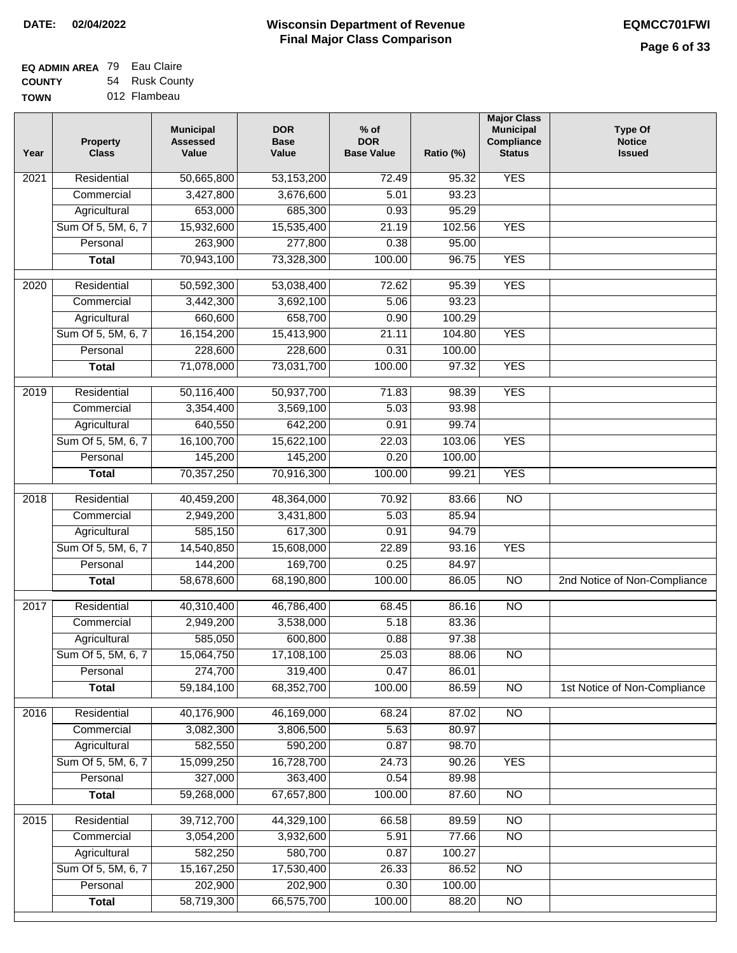| EQ ADMIN AREA 79 Eau Claire |                |
|-----------------------------|----------------|
| <b>COUNTY</b>               | 54 Rusk County |

**TOWN** 012 Flambeau

| Year              | <b>Property</b><br><b>Class</b> | <b>Municipal</b><br><b>Assessed</b><br>Value | <b>DOR</b><br><b>Base</b><br>Value | $%$ of<br><b>DOR</b><br><b>Base Value</b> | Ratio (%) | <b>Major Class</b><br><b>Municipal</b><br>Compliance<br><b>Status</b> | <b>Type Of</b><br><b>Notice</b><br><b>Issued</b> |
|-------------------|---------------------------------|----------------------------------------------|------------------------------------|-------------------------------------------|-----------|-----------------------------------------------------------------------|--------------------------------------------------|
| $\overline{202}1$ | Residential                     | 50,665,800                                   | 53,153,200                         | 72.49                                     | 95.32     | <b>YES</b>                                                            |                                                  |
|                   | Commercial                      | 3,427,800                                    | 3,676,600                          | 5.01                                      | 93.23     |                                                                       |                                                  |
|                   | Agricultural                    | 653,000                                      | 685,300                            | 0.93                                      | 95.29     |                                                                       |                                                  |
|                   | Sum Of 5, 5M, 6, 7              | 15,932,600                                   | 15,535,400                         | 21.19                                     | 102.56    | <b>YES</b>                                                            |                                                  |
|                   | Personal                        | 263,900                                      | 277,800                            | 0.38                                      | 95.00     |                                                                       |                                                  |
|                   | <b>Total</b>                    | 70,943,100                                   | 73,328,300                         | 100.00                                    | 96.75     | <b>YES</b>                                                            |                                                  |
| $\overline{2020}$ | Residential                     | 50,592,300                                   | 53,038,400                         | 72.62                                     | 95.39     | <b>YES</b>                                                            |                                                  |
|                   | Commercial                      | 3,442,300                                    | 3,692,100                          | 5.06                                      | 93.23     |                                                                       |                                                  |
|                   | Agricultural                    | 660,600                                      | 658,700                            | 0.90                                      | 100.29    |                                                                       |                                                  |
|                   | Sum Of 5, 5M, 6, 7              | 16,154,200                                   | 15,413,900                         | 21.11                                     | 104.80    | <b>YES</b>                                                            |                                                  |
|                   | Personal                        | 228,600                                      | 228,600                            | 0.31                                      | 100.00    |                                                                       |                                                  |
|                   | <b>Total</b>                    | 71,078,000                                   | 73,031,700                         | 100.00                                    | 97.32     | <b>YES</b>                                                            |                                                  |
| 2019              | Residential                     | 50,116,400                                   | 50,937,700                         | 71.83                                     | 98.39     | <b>YES</b>                                                            |                                                  |
|                   | Commercial                      | 3,354,400                                    | 3,569,100                          | 5.03                                      | 93.98     |                                                                       |                                                  |
|                   | Agricultural                    | 640,550                                      | 642,200                            | 0.91                                      | 99.74     |                                                                       |                                                  |
|                   | Sum Of 5, 5M, 6, 7              | 16,100,700                                   | 15,622,100                         | 22.03                                     | 103.06    | <b>YES</b>                                                            |                                                  |
|                   | Personal                        | 145,200                                      | 145,200                            | 0.20                                      | 100.00    |                                                                       |                                                  |
|                   | <b>Total</b>                    | 70,357,250                                   | 70,916,300                         | 100.00                                    | 99.21     | <b>YES</b>                                                            |                                                  |
|                   |                                 |                                              |                                    |                                           |           |                                                                       |                                                  |
| 2018              | Residential                     | 40,459,200                                   | 48,364,000                         | 70.92                                     | 83.66     | $\overline{10}$                                                       |                                                  |
|                   | Commercial                      | 2,949,200                                    | 3,431,800                          | 5.03                                      | 85.94     |                                                                       |                                                  |
|                   | Agricultural                    | 585,150                                      | 617,300                            | 0.91                                      | 94.79     |                                                                       |                                                  |
|                   | Sum Of 5, 5M, 6, 7              | 14,540,850                                   | 15,608,000                         | 22.89                                     | 93.16     | <b>YES</b>                                                            |                                                  |
|                   | Personal                        | 144,200                                      | 169,700                            | 0.25                                      | 84.97     |                                                                       |                                                  |
|                   | <b>Total</b>                    | 58,678,600                                   | 68,190,800                         | 100.00                                    | 86.05     | $\overline{10}$                                                       | 2nd Notice of Non-Compliance                     |
| 2017              | Residential                     | 40,310,400                                   | 46,786,400                         | 68.45                                     | 86.16     | <b>NO</b>                                                             |                                                  |
|                   | Commercial                      | 2,949,200                                    | 3,538,000                          | 5.18                                      | 83.36     |                                                                       |                                                  |
|                   | Agricultural                    | 585,050                                      | 600,800                            | 0.88                                      | 97.38     |                                                                       |                                                  |
|                   | Sum Of 5, 5M, 6, 7              | 15,064,750                                   | 17,108,100                         | 25.03                                     | 88.06     | <b>NO</b>                                                             |                                                  |
|                   | Personal                        | 274,700                                      | 319,400                            | 0.47                                      | 86.01     |                                                                       |                                                  |
|                   | <b>Total</b>                    | 59,184,100                                   | 68,352,700                         | 100.00                                    | 86.59     | <b>NO</b>                                                             | 1st Notice of Non-Compliance                     |
| 2016              | Residential                     | 40,176,900                                   | 46,169,000                         | 68.24                                     | 87.02     | N <sub>O</sub>                                                        |                                                  |
|                   | Commercial                      | 3,082,300                                    | 3,806,500                          | 5.63                                      | 80.97     |                                                                       |                                                  |
|                   | Agricultural                    | 582,550                                      | 590,200                            | 0.87                                      | 98.70     |                                                                       |                                                  |
|                   | Sum Of 5, 5M, 6, 7              | 15,099,250                                   | 16,728,700                         | 24.73                                     | 90.26     | <b>YES</b>                                                            |                                                  |
|                   | Personal                        | 327,000                                      | 363,400                            | 0.54                                      | 89.98     |                                                                       |                                                  |
|                   | <b>Total</b>                    | 59,268,000                                   | 67,657,800                         | 100.00                                    | 87.60     | $\overline{NO}$                                                       |                                                  |
| 2015              | Residential                     | 39,712,700                                   | 44,329,100                         | 66.58                                     | 89.59     | <b>NO</b>                                                             |                                                  |
|                   | Commercial                      | 3,054,200                                    | 3,932,600                          | 5.91                                      | 77.66     | $\overline{NO}$                                                       |                                                  |
|                   | Agricultural                    | 582,250                                      | 580,700                            | 0.87                                      | 100.27    |                                                                       |                                                  |
|                   | Sum Of 5, 5M, 6, 7              | 15, 167, 250                                 | 17,530,400                         | 26.33                                     | 86.52     | <b>NO</b>                                                             |                                                  |
|                   | Personal                        | 202,900                                      | 202,900                            | 0.30                                      | 100.00    |                                                                       |                                                  |
|                   | <b>Total</b>                    | 58,719,300                                   | 66,575,700                         | 100.00                                    | 88.20     | NO                                                                    |                                                  |
|                   |                                 |                                              |                                    |                                           |           |                                                                       |                                                  |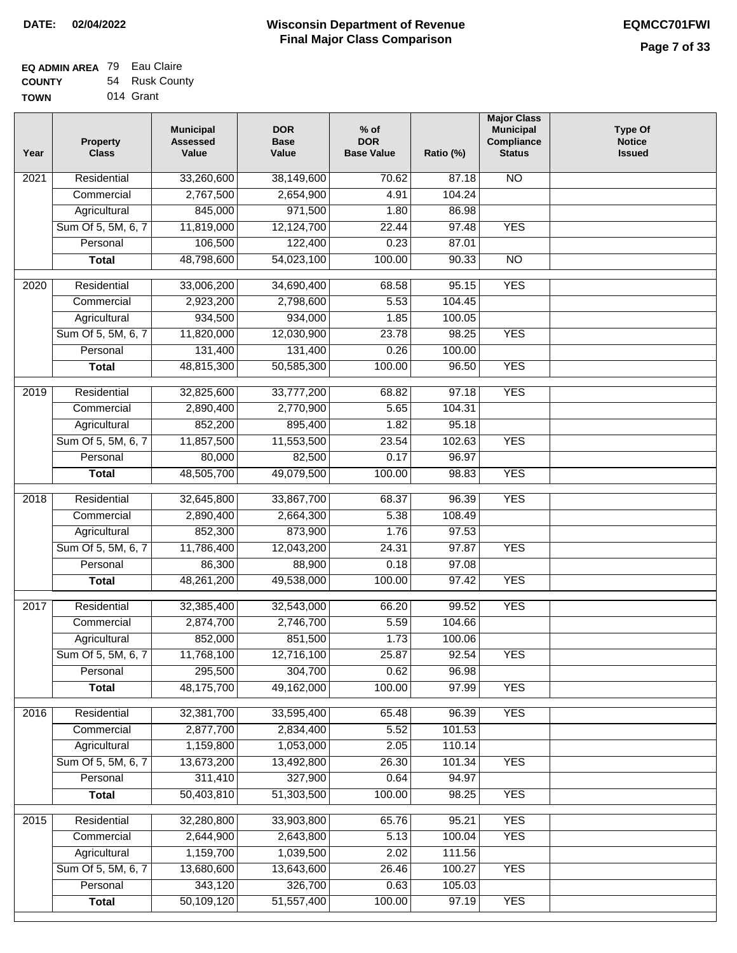| <b>EQ ADMIN AREA</b> 79 Eau Claire |                |
|------------------------------------|----------------|
| <b>COUNTY</b>                      | 54 Rusk County |
| <b>TOWN</b>                        | 014 Grant      |

| Year              | <b>Property</b><br><b>Class</b> | <b>Municipal</b><br><b>Assessed</b><br>Value | <b>DOR</b><br><b>Base</b><br>Value | $%$ of<br><b>DOR</b><br><b>Base Value</b> | Ratio (%)         | <b>Major Class</b><br><b>Municipal</b><br>Compliance<br><b>Status</b> | <b>Type Of</b><br><b>Notice</b><br><b>Issued</b> |
|-------------------|---------------------------------|----------------------------------------------|------------------------------------|-------------------------------------------|-------------------|-----------------------------------------------------------------------|--------------------------------------------------|
| 2021              | Residential                     | 33,260,600                                   | 38,149,600                         | 70.62                                     | 87.18             | $\overline{NO}$                                                       |                                                  |
|                   | Commercial                      | 2,767,500                                    | 2,654,900                          | 4.91                                      | 104.24            |                                                                       |                                                  |
|                   | Agricultural                    | 845,000                                      | 971,500                            | 1.80                                      | 86.98             |                                                                       |                                                  |
|                   | Sum Of 5, 5M, 6, 7              | 11,819,000                                   | 12,124,700                         | 22.44                                     | 97.48             | <b>YES</b>                                                            |                                                  |
|                   | Personal                        | 106,500                                      | 122,400                            | 0.23                                      | 87.01             |                                                                       |                                                  |
|                   | <b>Total</b>                    | 48,798,600                                   | 54,023,100                         | 100.00                                    | 90.33             | $\overline{NO}$                                                       |                                                  |
| 2020              | Residential                     | 33,006,200                                   | 34,690,400                         | 68.58                                     | 95.15             | <b>YES</b>                                                            |                                                  |
|                   | Commercial                      | 2,923,200                                    | 2,798,600                          | 5.53                                      | 104.45            |                                                                       |                                                  |
|                   | Agricultural                    | 934,500                                      | 934,000                            | 1.85                                      | 100.05            |                                                                       |                                                  |
|                   | Sum Of 5, 5M, 6, 7              | 11,820,000                                   | 12,030,900                         | 23.78                                     | 98.25             | <b>YES</b>                                                            |                                                  |
|                   | Personal                        | 131,400                                      | 131,400                            | 0.26                                      | 100.00            |                                                                       |                                                  |
|                   | <b>Total</b>                    | 48,815,300                                   | 50,585,300                         | 100.00                                    | 96.50             | <b>YES</b>                                                            |                                                  |
|                   |                                 |                                              |                                    |                                           |                   |                                                                       |                                                  |
| 2019              | Residential                     | 32,825,600                                   | 33,777,200                         | 68.82                                     | $\frac{1}{97.18}$ | <b>YES</b>                                                            |                                                  |
|                   | Commercial                      | 2,890,400                                    | 2,770,900                          | 5.65                                      | 104.31            |                                                                       |                                                  |
|                   | Agricultural                    | 852,200                                      | 895,400                            | 1.82                                      | 95.18             |                                                                       |                                                  |
|                   | Sum Of 5, 5M, 6, 7              | 11,857,500                                   | 11,553,500                         | 23.54                                     | 102.63            | <b>YES</b>                                                            |                                                  |
|                   | Personal                        | 80,000                                       | 82,500                             | 0.17                                      | 96.97             |                                                                       |                                                  |
|                   | <b>Total</b>                    | 48,505,700                                   | 49,079,500                         | 100.00                                    | 98.83             | <b>YES</b>                                                            |                                                  |
| 2018              | Residential                     | 32,645,800                                   | 33,867,700                         | 68.37                                     | 96.39             | <b>YES</b>                                                            |                                                  |
|                   | Commercial                      | 2,890,400                                    | 2,664,300                          | 5.38                                      | 108.49            |                                                                       |                                                  |
|                   | Agricultural                    | 852,300                                      | 873,900                            | 1.76                                      | 97.53             |                                                                       |                                                  |
|                   | Sum Of 5, 5M, 6, 7              | 11,786,400                                   | 12,043,200                         | 24.31                                     | 97.87             | <b>YES</b>                                                            |                                                  |
|                   | Personal                        | 86,300                                       | 88,900                             | 0.18                                      | 97.08             |                                                                       |                                                  |
|                   | <b>Total</b>                    | 48,261,200                                   | 49,538,000                         | 100.00                                    | 97.42             | <b>YES</b>                                                            |                                                  |
| 2017              | Residential                     | 32,385,400                                   | 32,543,000                         | 66.20                                     | 99.52             | <b>YES</b>                                                            |                                                  |
|                   | Commercial                      | 2,874,700                                    | 2,746,700                          | 5.59                                      | 104.66            |                                                                       |                                                  |
|                   | Agricultural                    | 852,000                                      | 851,500                            | 1.73                                      | 100.06            |                                                                       |                                                  |
|                   | Sum Of 5, 5M, 6, 7              | 11,768,100                                   | 12,716,100                         | 25.87                                     | 92.54             | YES                                                                   |                                                  |
|                   | Personal                        | 295,500                                      | 304,700                            | 0.62                                      | 96.98             |                                                                       |                                                  |
|                   | <b>Total</b>                    | 48,175,700                                   | 49,162,000                         | 100.00                                    | 97.99             | <b>YES</b>                                                            |                                                  |
| 2016              | Residential                     | 32,381,700                                   | 33,595,400                         | 65.48                                     | 96.39             | <b>YES</b>                                                            |                                                  |
|                   | Commercial                      | 2,877,700                                    | 2,834,400                          | 5.52                                      | 101.53            |                                                                       |                                                  |
|                   | Agricultural                    | 1,159,800                                    | 1,053,000                          | 2.05                                      | 110.14            |                                                                       |                                                  |
|                   | Sum Of 5, 5M, 6, 7              | 13,673,200                                   | 13,492,800                         | 26.30                                     | 101.34            | <b>YES</b>                                                            |                                                  |
|                   | Personal                        | 311,410                                      | 327,900                            | 0.64                                      | 94.97             |                                                                       |                                                  |
|                   | <b>Total</b>                    | 50,403,810                                   | 51,303,500                         | 100.00                                    | 98.25             | <b>YES</b>                                                            |                                                  |
|                   |                                 |                                              |                                    |                                           |                   |                                                                       |                                                  |
| $\overline{2015}$ | Residential                     | 32,280,800                                   | 33,903,800                         | 65.76                                     | 95.21             | <b>YES</b>                                                            |                                                  |
|                   | Commercial                      | 2,644,900                                    | 2,643,800                          | 5.13                                      | 100.04            | <b>YES</b>                                                            |                                                  |
|                   | Agricultural                    | 1,159,700                                    | 1,039,500                          | 2.02                                      | 111.56            |                                                                       |                                                  |
|                   | Sum Of 5, 5M, 6, 7              | 13,680,600                                   | 13,643,600                         | 26.46                                     | 100.27            | <b>YES</b>                                                            |                                                  |
|                   | Personal                        | 343,120                                      | 326,700                            | 0.63                                      | 105.03            |                                                                       |                                                  |
|                   | <b>Total</b>                    | 50,109,120                                   | 51,557,400                         | 100.00                                    | 97.19             | <b>YES</b>                                                            |                                                  |
|                   |                                 |                                              |                                    |                                           |                   |                                                                       |                                                  |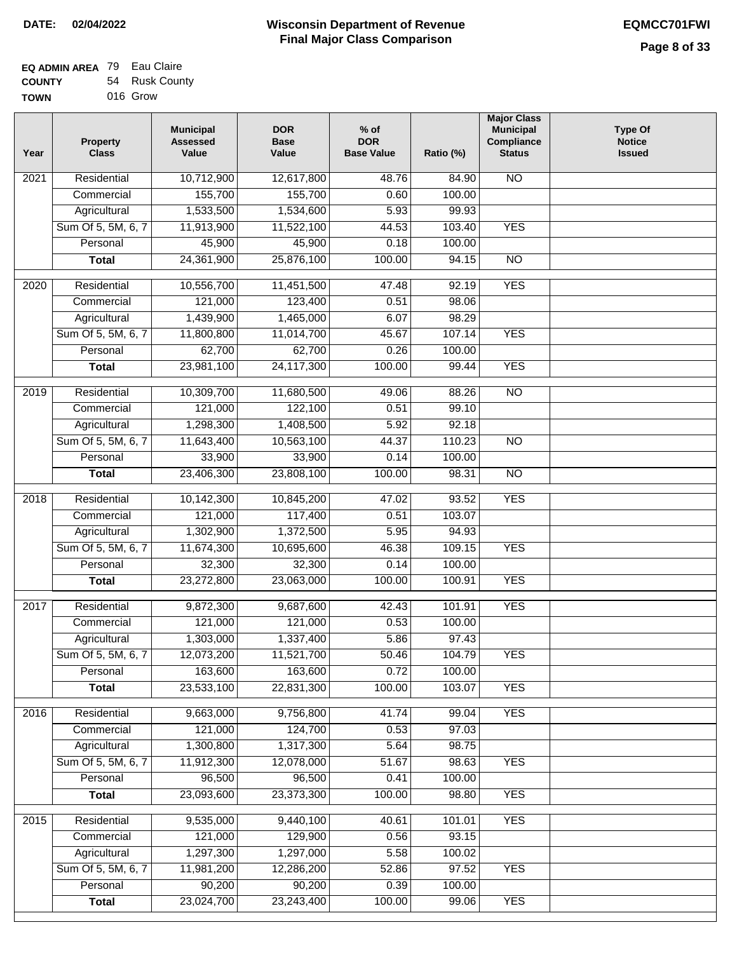| <b>EQ ADMIN AREA</b> 79 Eau Claire |                |
|------------------------------------|----------------|
| <b>COUNTY</b>                      | 54 Rusk County |
| <b>TOWN</b>                        | 016 Grow       |

| Year             | <b>Property</b><br><b>Class</b> | <b>Municipal</b><br><b>Assessed</b><br>Value | <b>DOR</b><br><b>Base</b><br>Value | $%$ of<br><b>DOR</b><br><b>Base Value</b> | Ratio (%) | <b>Major Class</b><br><b>Municipal</b><br>Compliance<br><b>Status</b> | <b>Type Of</b><br><b>Notice</b><br><b>Issued</b> |
|------------------|---------------------------------|----------------------------------------------|------------------------------------|-------------------------------------------|-----------|-----------------------------------------------------------------------|--------------------------------------------------|
| 2021             | Residential                     | 10,712,900                                   | 12,617,800                         | 48.76                                     | 84.90     | <b>NO</b>                                                             |                                                  |
|                  | Commercial                      | 155,700                                      | 155,700                            | 0.60                                      | 100.00    |                                                                       |                                                  |
|                  | Agricultural                    | 1,533,500                                    | 1,534,600                          | 5.93                                      | 99.93     |                                                                       |                                                  |
|                  | Sum Of 5, 5M, 6, 7              | 11,913,900                                   | 11,522,100                         | 44.53                                     | 103.40    | <b>YES</b>                                                            |                                                  |
|                  | Personal                        | 45,900                                       | 45,900                             | 0.18                                      | 100.00    |                                                                       |                                                  |
|                  | <b>Total</b>                    | 24,361,900                                   | 25,876,100                         | 100.00                                    | 94.15     | $\overline{NO}$                                                       |                                                  |
| $\frac{1}{2020}$ | Residential                     | 10,556,700                                   | 11,451,500                         | 47.48                                     | 92.19     | <b>YES</b>                                                            |                                                  |
|                  | Commercial                      | 121,000                                      | 123,400                            | 0.51                                      | 98.06     |                                                                       |                                                  |
|                  | Agricultural                    | 1,439,900                                    | 1,465,000                          | 6.07                                      | 98.29     |                                                                       |                                                  |
|                  | Sum Of 5, 5M, 6, 7              | 11,800,800                                   | 11,014,700                         | 45.67                                     | 107.14    | <b>YES</b>                                                            |                                                  |
|                  | Personal                        | 62,700                                       | 62,700                             | 0.26                                      | 100.00    |                                                                       |                                                  |
|                  | <b>Total</b>                    | 23,981,100                                   | 24,117,300                         | 100.00                                    | 99.44     | <b>YES</b>                                                            |                                                  |
|                  |                                 |                                              |                                    |                                           |           |                                                                       |                                                  |
| $\frac{1}{2019}$ | Residential                     | 10,309,700                                   | 11,680,500                         | 49.06                                     | 88.26     | $\overline{NO}$                                                       |                                                  |
|                  | Commercial                      | 121,000                                      | 122,100                            | 0.51                                      | 99.10     |                                                                       |                                                  |
|                  | Agricultural                    | 1,298,300                                    | 1,408,500                          | 5.92                                      | 92.18     |                                                                       |                                                  |
|                  | Sum Of 5, 5M, 6, 7              | 11,643,400                                   | 10,563,100                         | 44.37                                     | 110.23    | $\overline{NO}$                                                       |                                                  |
|                  | Personal                        | 33,900                                       | 33,900                             | 0.14                                      | 100.00    |                                                                       |                                                  |
|                  | <b>Total</b>                    | 23,406,300                                   | 23,808,100                         | 100.00                                    | 98.31     | $\overline{NO}$                                                       |                                                  |
| 2018             | Residential                     | 10,142,300                                   | 10,845,200                         | 47.02                                     | 93.52     | <b>YES</b>                                                            |                                                  |
|                  | Commercial                      | 121,000                                      | 117,400                            | 0.51                                      | 103.07    |                                                                       |                                                  |
|                  | Agricultural                    | 1,302,900                                    | 1,372,500                          | 5.95                                      | 94.93     |                                                                       |                                                  |
|                  | Sum Of 5, 5M, 6, 7              | 11,674,300                                   | 10,695,600                         | 46.38                                     | 109.15    | <b>YES</b>                                                            |                                                  |
|                  | Personal                        | 32,300                                       | 32,300                             | 0.14                                      | 100.00    |                                                                       |                                                  |
|                  | <b>Total</b>                    | 23,272,800                                   | 23,063,000                         | 100.00                                    | 100.91    | <b>YES</b>                                                            |                                                  |
| 2017             | Residential                     | 9,872,300                                    | 9,687,600                          | 42.43                                     | 101.91    | <b>YES</b>                                                            |                                                  |
|                  | Commercial                      | 121,000                                      | 121,000                            | 0.53                                      | 100.00    |                                                                       |                                                  |
|                  | Agricultural                    | 1,303,000                                    | 1,337,400                          | 5.86                                      | 97.43     |                                                                       |                                                  |
|                  | Sum Of 5, 5M, 6, 7              | 12,073,200                                   | 11,521,700                         | 50.46                                     | 104.79    | <b>YES</b>                                                            |                                                  |
|                  | Personal                        | 163,600                                      | 163,600                            | 0.72                                      | 100.00    |                                                                       |                                                  |
|                  | <b>Total</b>                    | 23,533,100                                   | 22,831,300                         | 100.00                                    | 103.07    | <b>YES</b>                                                            |                                                  |
| 2016             | Residential                     | 9,663,000                                    | 9,756,800                          | 41.74                                     | 99.04     | <b>YES</b>                                                            |                                                  |
|                  | Commercial                      | 121,000                                      | 124,700                            | 0.53                                      | 97.03     |                                                                       |                                                  |
|                  | Agricultural                    | 1,300,800                                    | 1,317,300                          | 5.64                                      | 98.75     |                                                                       |                                                  |
|                  | Sum Of 5, 5M, 6, 7              | 11,912,300                                   | 12,078,000                         | 51.67                                     | 98.63     | <b>YES</b>                                                            |                                                  |
|                  | Personal                        | 96,500                                       | 96,500                             | 0.41                                      | 100.00    |                                                                       |                                                  |
|                  | <b>Total</b>                    | 23,093,600                                   | 23,373,300                         | 100.00                                    | 98.80     | <b>YES</b>                                                            |                                                  |
|                  |                                 |                                              |                                    |                                           |           |                                                                       |                                                  |
| 2015             | Residential                     | 9,535,000                                    | 9,440,100                          | 40.61                                     | 101.01    | <b>YES</b>                                                            |                                                  |
|                  | Commercial                      | 121,000                                      | 129,900                            | 0.56                                      | 93.15     |                                                                       |                                                  |
|                  | Agricultural                    | 1,297,300                                    | 1,297,000                          | 5.58                                      | 100.02    |                                                                       |                                                  |
|                  | Sum Of 5, 5M, 6, 7              | 11,981,200                                   | 12,286,200                         | 52.86                                     | 97.52     | <b>YES</b>                                                            |                                                  |
|                  | Personal                        | 90,200                                       | 90,200                             | 0.39                                      | 100.00    |                                                                       |                                                  |
|                  | <b>Total</b>                    | 23,024,700                                   | 23,243,400                         | 100.00                                    | 99.06     | <b>YES</b>                                                            |                                                  |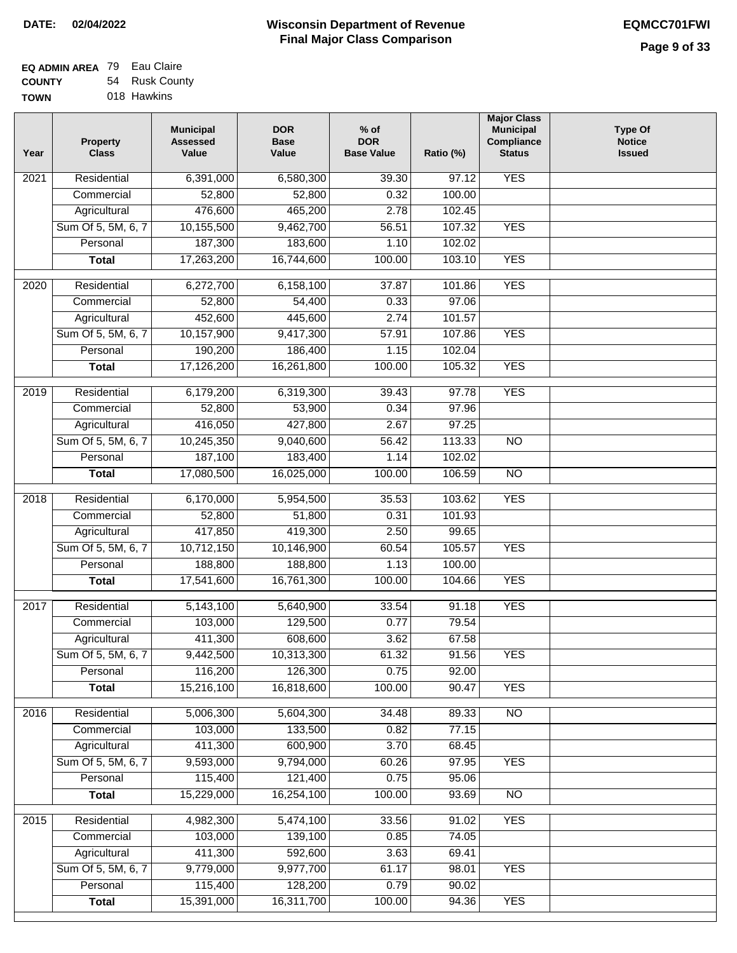٦

| <b>EQ ADMIN AREA</b> 79 Eau Claire |                |
|------------------------------------|----------------|
| <b>COUNTY</b>                      | 54 Rusk County |
| <b>TOWN</b>                        | 018 Hawkins    |

| Year | <b>Property</b><br><b>Class</b> | <b>Municipal</b><br><b>Assessed</b><br>Value | <b>DOR</b><br><b>Base</b><br>Value | $%$ of<br><b>DOR</b><br><b>Base Value</b> | Ratio (%)      | <b>Major Class</b><br><b>Municipal</b><br>Compliance<br><b>Status</b> | <b>Type Of</b><br><b>Notice</b><br><b>Issued</b> |
|------|---------------------------------|----------------------------------------------|------------------------------------|-------------------------------------------|----------------|-----------------------------------------------------------------------|--------------------------------------------------|
| 2021 | Residential                     | 6,391,000                                    | 6,580,300                          | 39.30                                     | 97.12          | <b>YES</b>                                                            |                                                  |
|      | Commercial                      | 52,800                                       | 52,800                             | 0.32                                      | 100.00         |                                                                       |                                                  |
|      | Agricultural                    | 476,600                                      | 465,200                            | 2.78                                      | 102.45         |                                                                       |                                                  |
|      | Sum Of 5, 5M, 6, 7              | 10,155,500                                   | 9,462,700                          | 56.51                                     | 107.32         | <b>YES</b>                                                            |                                                  |
|      | Personal                        | 187,300                                      | 183,600                            | 1.10                                      | 102.02         |                                                                       |                                                  |
|      | <b>Total</b>                    | 17,263,200                                   | 16,744,600                         | 100.00                                    | 103.10         | <b>YES</b>                                                            |                                                  |
| 2020 | Residential                     | 6,272,700                                    | 6,158,100                          | 37.87                                     | 101.86         | <b>YES</b>                                                            |                                                  |
|      | Commercial                      | 52,800                                       | 54,400                             | 0.33                                      | 97.06          |                                                                       |                                                  |
|      | Agricultural                    | 452,600                                      | 445,600                            | 2.74                                      | 101.57         |                                                                       |                                                  |
|      | Sum Of 5, 5M, 6, 7              | 10,157,900                                   | 9,417,300                          | 57.91                                     | 107.86         | <b>YES</b>                                                            |                                                  |
|      | Personal                        | 190,200                                      | 186,400                            | 1.15                                      | 102.04         |                                                                       |                                                  |
|      | <b>Total</b>                    | 17,126,200                                   | 16,261,800                         | 100.00                                    | 105.32         | <b>YES</b>                                                            |                                                  |
|      |                                 |                                              |                                    |                                           |                |                                                                       |                                                  |
| 2019 | Residential                     | 6,179,200                                    | 6,319,300                          | 39.43                                     | 97.78          | <b>YES</b>                                                            |                                                  |
|      | Commercial                      | 52,800                                       | 53,900                             | 0.34                                      | 97.96          |                                                                       |                                                  |
|      | Agricultural                    | 416,050                                      | 427,800                            | 2.67                                      | 97.25          |                                                                       |                                                  |
|      | Sum Of 5, 5M, 6, 7              | 10,245,350                                   | 9,040,600                          | 56.42                                     | 113.33         | $\overline{NO}$                                                       |                                                  |
|      | Personal                        | 187,100                                      | 183,400                            | 1.14                                      | 102.02         |                                                                       |                                                  |
|      | <b>Total</b>                    | 17,080,500                                   | 16,025,000                         | 100.00                                    | 106.59         | $\overline{NO}$                                                       |                                                  |
| 2018 | Residential                     | 6,170,000                                    | 5,954,500                          | 35.53                                     | 103.62         | <b>YES</b>                                                            |                                                  |
|      | Commercial                      | 52,800                                       | 51,800                             | 0.31                                      | 101.93         |                                                                       |                                                  |
|      | Agricultural                    | 417,850                                      | 419,300                            | 2.50                                      | 99.65          |                                                                       |                                                  |
|      | Sum Of 5, 5M, 6, 7              | 10,712,150                                   | 10,146,900                         | 60.54                                     | 105.57         | <b>YES</b>                                                            |                                                  |
|      | Personal                        | 188,800                                      | 188,800                            | 1.13                                      | 100.00         |                                                                       |                                                  |
|      | <b>Total</b>                    | 17,541,600                                   | 16,761,300                         | 100.00                                    | 104.66         | <b>YES</b>                                                            |                                                  |
| 2017 | Residential                     | 5,143,100                                    | 5,640,900                          | 33.54                                     | 91.18          | <b>YES</b>                                                            |                                                  |
|      | Commercial                      | 103,000                                      | 129,500                            | 0.77                                      | 79.54          |                                                                       |                                                  |
|      | Agricultural                    | 411,300                                      | 608,600                            | 3.62                                      | 67.58          |                                                                       |                                                  |
|      | Sum Of 5, 5M, 6, 7              | 9,442,500                                    | 10,313,300                         | 61.32                                     | 91.56          | <b>YES</b>                                                            |                                                  |
|      | Personal                        | 116,200                                      | 126,300                            | 0.75                                      | 92.00          |                                                                       |                                                  |
|      | <b>Total</b>                    | 15,216,100                                   | 16,818,600                         | 100.00                                    | 90.47          | <b>YES</b>                                                            |                                                  |
| 2016 | Residential                     | 5,006,300                                    | 5,604,300                          | 34.48                                     | 89.33          | $\overline{NO}$                                                       |                                                  |
|      | Commercial                      | 103,000                                      | 133,500                            | 0.82                                      | 77.15          |                                                                       |                                                  |
|      | Agricultural                    | 411,300                                      | 600,900                            | 3.70                                      | 68.45          |                                                                       |                                                  |
|      | Sum Of 5, 5M, 6, 7              | 9,593,000                                    | 9,794,000                          | 60.26                                     | 97.95          | <b>YES</b>                                                            |                                                  |
|      | Personal                        | 115,400                                      | 121,400                            | 0.75                                      | 95.06          |                                                                       |                                                  |
|      | <b>Total</b>                    | 15,229,000                                   | 16,254,100                         | 100.00                                    | 93.69          | $\overline{NO}$                                                       |                                                  |
|      |                                 |                                              |                                    |                                           |                |                                                                       |                                                  |
| 2015 | Residential                     | 4,982,300                                    | 5,474,100                          | 33.56                                     | 91.02          | <b>YES</b>                                                            |                                                  |
|      | Commercial<br>Agricultural      | 103,000<br>411,300                           | 139,100<br>592,600                 | 0.85<br>3.63                              | 74.05<br>69.41 |                                                                       |                                                  |
|      | Sum Of 5, 5M, 6, 7              | 9,779,000                                    | 9,977,700                          | 61.17                                     | 98.01          | <b>YES</b>                                                            |                                                  |
|      | Personal                        | 115,400                                      | 128,200                            | 0.79                                      | 90.02          |                                                                       |                                                  |
|      | <b>Total</b>                    | 15,391,000                                   | 16,311,700                         | 100.00                                    | 94.36          | <b>YES</b>                                                            |                                                  |
|      |                                 |                                              |                                    |                                           |                |                                                                       |                                                  |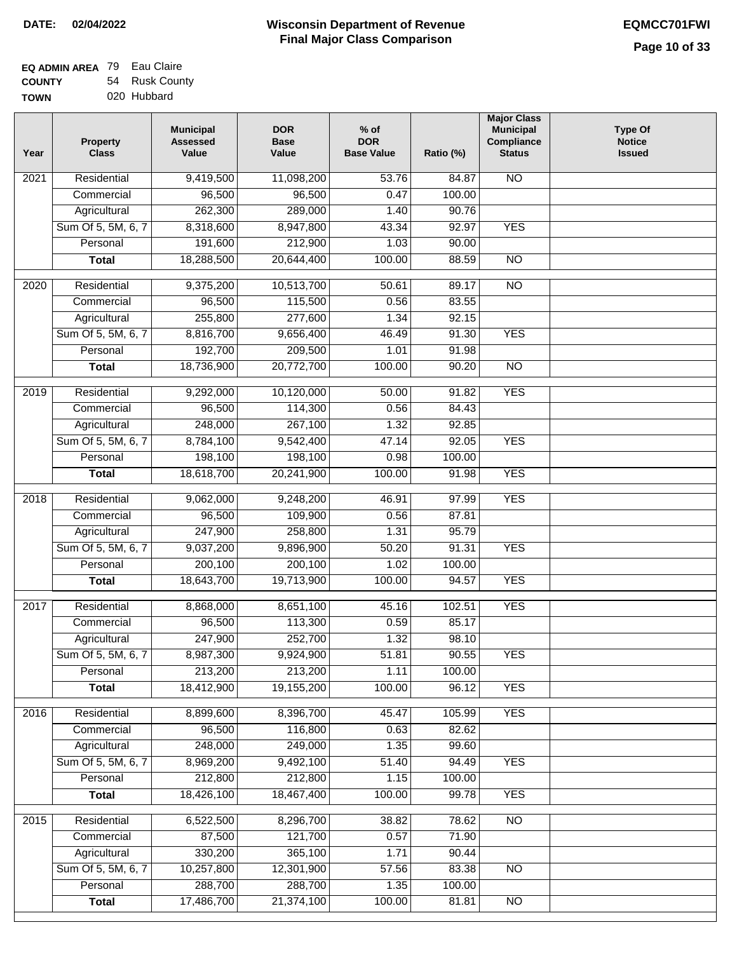| <b>EQ ADMIN AREA</b> 79 Eau Claire |                |
|------------------------------------|----------------|
| <b>COUNTY</b>                      | 54 Rusk County |
| <b>TOWN</b>                        | 020 Hubbard    |

| Year              | <b>Property</b><br><b>Class</b>    | <b>Municipal</b><br><b>Assessed</b><br>Value | <b>DOR</b><br><b>Base</b><br>Value | $%$ of<br><b>DOR</b><br><b>Base Value</b> | Ratio (%)      | <b>Major Class</b><br><b>Municipal</b><br>Compliance<br><b>Status</b> | <b>Type Of</b><br><b>Notice</b><br><b>Issued</b> |
|-------------------|------------------------------------|----------------------------------------------|------------------------------------|-------------------------------------------|----------------|-----------------------------------------------------------------------|--------------------------------------------------|
| $\overline{202}1$ | Residential                        | 9,419,500                                    | 11,098,200                         | 53.76                                     | 84.87          | <b>NO</b>                                                             |                                                  |
|                   | Commercial                         | 96,500                                       | 96,500                             | 0.47                                      | 100.00         |                                                                       |                                                  |
|                   | Agricultural                       | 262,300                                      | 289,000                            | 1.40                                      | 90.76          |                                                                       |                                                  |
|                   | Sum Of 5, 5M, 6, 7                 | 8,318,600                                    | 8,947,800                          | 43.34                                     | 92.97          | <b>YES</b>                                                            |                                                  |
|                   | Personal                           | 191,600                                      | 212,900                            | 1.03                                      | 90.00          |                                                                       |                                                  |
|                   | <b>Total</b>                       | 18,288,500                                   | 20,644,400                         | 100.00                                    | 88.59          | $\overline{NO}$                                                       |                                                  |
| $\overline{2020}$ | Residential                        | 9,375,200                                    | 10,513,700                         | 50.61                                     | 89.17          | $\overline{10}$                                                       |                                                  |
|                   | Commercial                         | 96,500                                       | 115,500                            | 0.56                                      | 83.55          |                                                                       |                                                  |
|                   | Agricultural                       | 255,800                                      | 277,600                            | 1.34                                      | 92.15          |                                                                       |                                                  |
|                   | Sum Of 5, 5M, 6, 7                 | 8,816,700                                    | 9,656,400                          | 46.49                                     | 91.30          | <b>YES</b>                                                            |                                                  |
|                   | Personal                           | 192,700                                      | 209,500                            | 1.01                                      | 91.98          |                                                                       |                                                  |
|                   | <b>Total</b>                       | 18,736,900                                   | 20,772,700                         | 100.00                                    | 90.20          | $\overline{NO}$                                                       |                                                  |
| 2019              | Residential                        | 9,292,000                                    | 10,120,000                         | 50.00                                     | 91.82          | <b>YES</b>                                                            |                                                  |
|                   | Commercial                         | 96,500                                       | 114,300                            | 0.56                                      | 84.43          |                                                                       |                                                  |
|                   | Agricultural                       | 248,000                                      | 267,100                            | 1.32                                      | 92.85          |                                                                       |                                                  |
|                   | Sum Of 5, 5M, 6, 7                 | 8,784,100                                    | 9,542,400                          | 47.14                                     | 92.05          | <b>YES</b>                                                            |                                                  |
|                   | Personal                           | 198,100                                      | 198,100                            | 0.98                                      | 100.00         |                                                                       |                                                  |
|                   | <b>Total</b>                       | 18,618,700                                   | 20,241,900                         | 100.00                                    | 91.98          | <b>YES</b>                                                            |                                                  |
|                   |                                    |                                              |                                    |                                           |                |                                                                       |                                                  |
| 2018              | Residential                        | 9,062,000                                    | 9,248,200<br>109,900               | 46.91                                     | 97.99          | <b>YES</b>                                                            |                                                  |
|                   | Commercial                         | 96,500<br>247,900                            | 258,800                            | 0.56<br>1.31                              | 87.81<br>95.79 |                                                                       |                                                  |
|                   | Agricultural<br>Sum Of 5, 5M, 6, 7 | 9,037,200                                    | 9,896,900                          | 50.20                                     | 91.31          | <b>YES</b>                                                            |                                                  |
|                   | Personal                           | 200,100                                      | 200,100                            | 1.02                                      | 100.00         |                                                                       |                                                  |
|                   | <b>Total</b>                       | 18,643,700                                   | 19,713,900                         | 100.00                                    | 94.57          | <b>YES</b>                                                            |                                                  |
|                   |                                    |                                              |                                    |                                           |                |                                                                       |                                                  |
| 2017              | Residential                        | 8,868,000                                    | 8,651,100                          | 45.16                                     | 102.51         | <b>YES</b>                                                            |                                                  |
|                   | Commercial                         | 96,500                                       | 113,300                            | 0.59                                      | 85.17          |                                                                       |                                                  |
|                   | Agricultural                       | 247,900                                      | 252,700                            | 1.32                                      | 98.10          |                                                                       |                                                  |
|                   | Sum Of 5, 5M, 6, 7                 | 8,987,300                                    | 9,924,900                          | 51.81                                     | 90.55          | <b>YES</b>                                                            |                                                  |
|                   | Personal                           | 213,200                                      | 213,200                            | 1.11                                      | 100.00         |                                                                       |                                                  |
|                   | <b>Total</b>                       | 18,412,900                                   | 19,155,200                         | 100.00                                    | 96.12          | <b>YES</b>                                                            |                                                  |
| 2016              | Residential                        | 8,899,600                                    | 8,396,700                          | 45.47                                     | 105.99         | <b>YES</b>                                                            |                                                  |
|                   | Commercial                         | 96,500                                       | 116,800                            | 0.63                                      | 82.62          |                                                                       |                                                  |
|                   | Agricultural                       | 248,000                                      | 249,000                            | 1.35                                      | 99.60          |                                                                       |                                                  |
|                   | Sum Of 5, 5M, 6, 7                 | 8,969,200                                    | 9,492,100                          | 51.40                                     | 94.49          | <b>YES</b>                                                            |                                                  |
|                   | Personal                           | 212,800                                      | 212,800                            | 1.15                                      | 100.00         |                                                                       |                                                  |
|                   | <b>Total</b>                       | 18,426,100                                   | 18,467,400                         | 100.00                                    | 99.78          | <b>YES</b>                                                            |                                                  |
| 2015              | Residential                        | 6,522,500                                    | 8,296,700                          | 38.82                                     | 78.62          | N <sub>O</sub>                                                        |                                                  |
|                   | Commercial                         | 87,500                                       | 121,700                            | 0.57                                      | 71.90          |                                                                       |                                                  |
|                   | Agricultural                       | 330,200                                      | 365,100                            | 1.71                                      | 90.44          |                                                                       |                                                  |
|                   | Sum Of 5, 5M, 6, 7                 | 10,257,800                                   | 12,301,900                         | 57.56                                     | 83.38          | <b>NO</b>                                                             |                                                  |
|                   | Personal                           | 288,700                                      | 288,700                            | 1.35                                      | 100.00         |                                                                       |                                                  |
|                   | <b>Total</b>                       | 17,486,700                                   | 21,374,100                         | 100.00                                    | 81.81          | NO                                                                    |                                                  |
|                   |                                    |                                              |                                    |                                           |                |                                                                       |                                                  |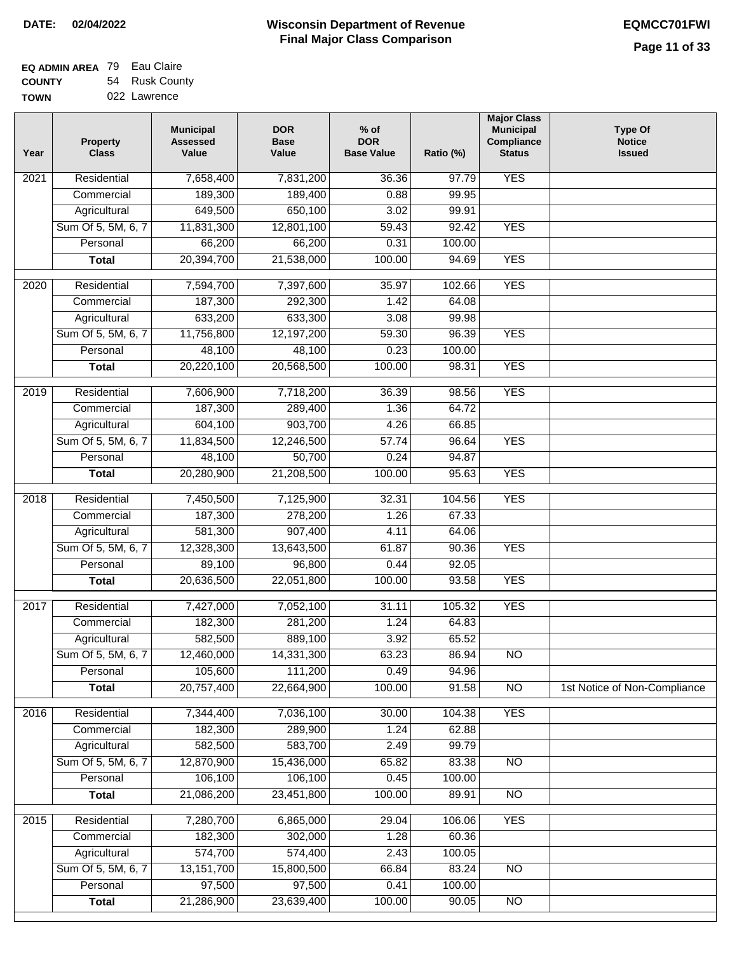| EQ ADMIN AREA 79 Eau Claire |                |
|-----------------------------|----------------|
| <b>COUNTY</b>               | 54 Rusk County |
| <b>TOWN</b>                 | 022 Lawrence   |

| Year              | <b>Property</b><br><b>Class</b> | <b>Municipal</b><br><b>Assessed</b><br>Value | <b>DOR</b><br><b>Base</b><br>Value | $%$ of<br><b>DOR</b><br><b>Base Value</b> | Ratio (%) | <b>Major Class</b><br><b>Municipal</b><br>Compliance<br><b>Status</b> | <b>Type Of</b><br><b>Notice</b><br><b>Issued</b> |
|-------------------|---------------------------------|----------------------------------------------|------------------------------------|-------------------------------------------|-----------|-----------------------------------------------------------------------|--------------------------------------------------|
| $\overline{202}1$ | Residential                     | 7,658,400                                    | 7,831,200                          | 36.36                                     | 97.79     | <b>YES</b>                                                            |                                                  |
|                   | Commercial                      | 189,300                                      | 189,400                            | 0.88                                      | 99.95     |                                                                       |                                                  |
|                   | Agricultural                    | 649,500                                      | 650,100                            | 3.02                                      | 99.91     |                                                                       |                                                  |
|                   | Sum Of 5, 5M, 6, 7              | 11,831,300                                   | 12,801,100                         | 59.43                                     | 92.42     | <b>YES</b>                                                            |                                                  |
|                   | Personal                        | 66,200                                       | 66,200                             | 0.31                                      | 100.00    |                                                                       |                                                  |
|                   | <b>Total</b>                    | 20,394,700                                   | 21,538,000                         | 100.00                                    | 94.69     | <b>YES</b>                                                            |                                                  |
| $\overline{2020}$ | Residential                     | 7,594,700                                    | 7,397,600                          | 35.97                                     | 102.66    | <b>YES</b>                                                            |                                                  |
|                   | Commercial                      | 187,300                                      | 292,300                            | 1.42                                      | 64.08     |                                                                       |                                                  |
|                   | Agricultural                    | 633,200                                      | 633,300                            | 3.08                                      | 99.98     |                                                                       |                                                  |
|                   | Sum Of 5, 5M, 6, 7              | 11,756,800                                   | 12,197,200                         | 59.30                                     | 96.39     | <b>YES</b>                                                            |                                                  |
|                   | Personal                        | 48,100                                       | 48,100                             | 0.23                                      | 100.00    |                                                                       |                                                  |
|                   | <b>Total</b>                    | 20,220,100                                   | 20,568,500                         | 100.00                                    | 98.31     | <b>YES</b>                                                            |                                                  |
| 2019              | Residential                     | 7,606,900                                    | 7,718,200                          | 36.39                                     | 98.56     | <b>YES</b>                                                            |                                                  |
|                   | Commercial                      | 187,300                                      | 289,400                            | 1.36                                      | 64.72     |                                                                       |                                                  |
|                   | Agricultural                    | 604,100                                      | 903,700                            | 4.26                                      | 66.85     |                                                                       |                                                  |
|                   | Sum Of 5, 5M, 6, 7              | 11,834,500                                   | 12,246,500                         | 57.74                                     | 96.64     | <b>YES</b>                                                            |                                                  |
|                   | Personal                        | 48,100                                       | 50,700                             | 0.24                                      | 94.87     |                                                                       |                                                  |
|                   | <b>Total</b>                    | 20,280,900                                   | 21,208,500                         | 100.00                                    | 95.63     | <b>YES</b>                                                            |                                                  |
|                   |                                 |                                              |                                    |                                           |           |                                                                       |                                                  |
| 2018              | Residential                     | 7,450,500                                    | 7,125,900                          | 32.31                                     | 104.56    | <b>YES</b>                                                            |                                                  |
|                   | Commercial                      | 187,300                                      | 278,200                            | 1.26                                      | 67.33     |                                                                       |                                                  |
|                   | Agricultural                    | 581,300                                      | 907,400                            | 4.11                                      | 64.06     |                                                                       |                                                  |
|                   | Sum Of 5, 5M, 6, 7              | 12,328,300                                   | 13,643,500                         | 61.87                                     | 90.36     | <b>YES</b>                                                            |                                                  |
|                   | Personal                        | 89,100                                       | 96,800                             | 0.44                                      | 92.05     |                                                                       |                                                  |
|                   | <b>Total</b>                    | 20,636,500                                   | 22,051,800                         | 100.00                                    | 93.58     | <b>YES</b>                                                            |                                                  |
| 2017              | Residential                     | 7,427,000                                    | 7,052,100                          | 31.11                                     | 105.32    | <b>YES</b>                                                            |                                                  |
|                   | Commercial                      | 182,300                                      | 281,200                            | 1.24                                      | 64.83     |                                                                       |                                                  |
|                   | Agricultural                    | 582,500                                      | 889,100                            | 3.92                                      | 65.52     |                                                                       |                                                  |
|                   | Sum Of 5, 5M, 6, 7              | 12,460,000                                   | 14,331,300                         | 63.23                                     | 86.94     | N <sub>O</sub>                                                        |                                                  |
|                   | Personal                        | 105,600                                      | 111,200                            | 0.49                                      | 94.96     |                                                                       |                                                  |
|                   | <b>Total</b>                    | 20,757,400                                   | 22,664,900                         | 100.00                                    | 91.58     | $\overline{NO}$                                                       | 1st Notice of Non-Compliance                     |
| 2016              | Residential                     | 7,344,400                                    | 7,036,100                          | 30.00                                     | 104.38    | <b>YES</b>                                                            |                                                  |
|                   | Commercial                      | 182,300                                      | 289,900                            | 1.24                                      | 62.88     |                                                                       |                                                  |
|                   | Agricultural                    | 582,500                                      | 583,700                            | 2.49                                      | 99.79     |                                                                       |                                                  |
|                   | Sum Of 5, 5M, 6, 7              | 12,870,900                                   | 15,436,000                         | 65.82                                     | 83.38     | N <sub>O</sub>                                                        |                                                  |
|                   | Personal                        | 106,100                                      | 106,100                            | 0.45                                      | 100.00    |                                                                       |                                                  |
|                   | <b>Total</b>                    | 21,086,200                                   | 23,451,800                         | 100.00                                    | 89.91     | N <sub>O</sub>                                                        |                                                  |
| 2015              | Residential                     | 7,280,700                                    | 6,865,000                          | 29.04                                     | 106.06    | <b>YES</b>                                                            |                                                  |
|                   | Commercial                      | 182,300                                      | 302,000                            | 1.28                                      | 60.36     |                                                                       |                                                  |
|                   | Agricultural                    | 574,700                                      | 574,400                            | 2.43                                      | 100.05    |                                                                       |                                                  |
|                   | Sum Of 5, 5M, 6, 7              | 13, 151, 700                                 | 15,800,500                         | 66.84                                     | 83.24     | <b>NO</b>                                                             |                                                  |
|                   | Personal                        | 97,500                                       | 97,500                             | 0.41                                      | 100.00    |                                                                       |                                                  |
|                   | <b>Total</b>                    | 21,286,900                                   | 23,639,400                         | 100.00                                    | 90.05     | $\overline{NO}$                                                       |                                                  |
|                   |                                 |                                              |                                    |                                           |           |                                                                       |                                                  |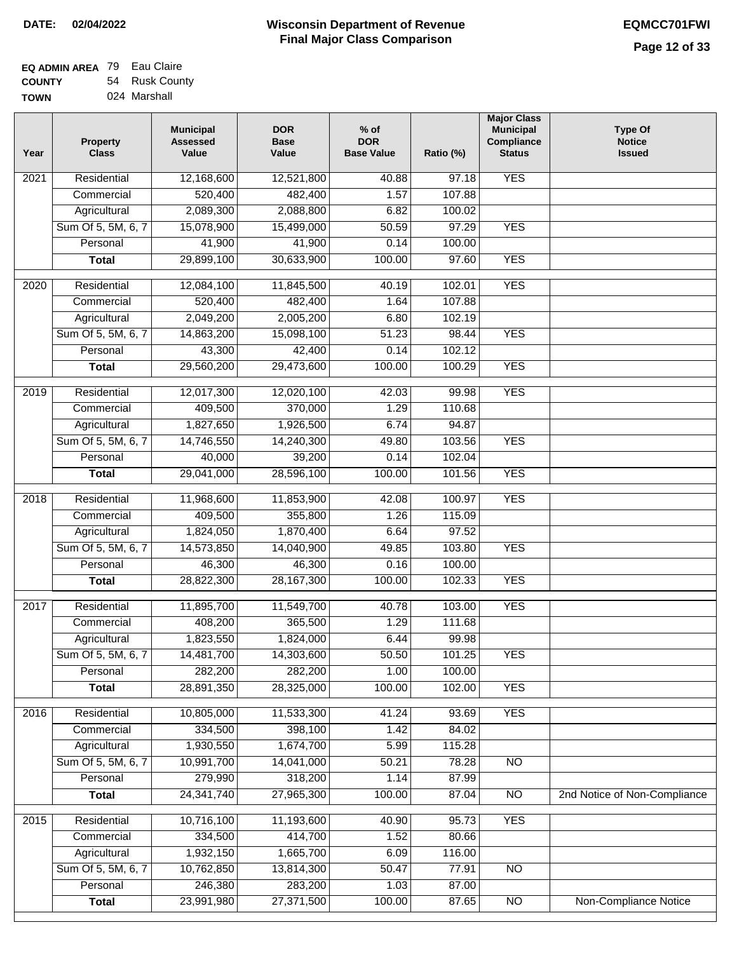| <b>EQ ADMIN AREA</b> 79 Eau Claire |                |
|------------------------------------|----------------|
| <b>COUNTY</b>                      | 54 Rusk County |
| <b>TOWN</b>                        | 024 Marshall   |

| Year             | <b>Property</b><br><b>Class</b> | <b>Municipal</b><br><b>Assessed</b><br>Value | <b>DOR</b><br><b>Base</b><br>Value | $%$ of<br><b>DOR</b><br><b>Base Value</b> | Ratio (%)         | <b>Major Class</b><br><b>Municipal</b><br>Compliance<br><b>Status</b> | <b>Type Of</b><br><b>Notice</b><br><b>Issued</b> |
|------------------|---------------------------------|----------------------------------------------|------------------------------------|-------------------------------------------|-------------------|-----------------------------------------------------------------------|--------------------------------------------------|
| 2021             | Residential                     | 12,168,600                                   | 12,521,800                         | 40.88                                     | $\frac{1}{97.18}$ | <b>YES</b>                                                            |                                                  |
|                  | Commercial                      | 520,400                                      | 482,400                            | 1.57                                      | 107.88            |                                                                       |                                                  |
|                  | Agricultural                    | 2,089,300                                    | 2,088,800                          | 6.82                                      | 100.02            |                                                                       |                                                  |
|                  | Sum Of 5, 5M, 6, 7              | 15,078,900                                   | 15,499,000                         | 50.59                                     | 97.29             | <b>YES</b>                                                            |                                                  |
|                  | Personal                        | 41,900                                       | 41,900                             | 0.14                                      | 100.00            |                                                                       |                                                  |
|                  | <b>Total</b>                    | 29,899,100                                   | 30,633,900                         | 100.00                                    | 97.60             | <b>YES</b>                                                            |                                                  |
| 2020             | Residential                     | 12,084,100                                   | 11,845,500                         | 40.19                                     | 102.01            | <b>YES</b>                                                            |                                                  |
|                  | Commercial                      | 520,400                                      | 482,400                            | 1.64                                      | 107.88            |                                                                       |                                                  |
|                  | Agricultural                    | 2,049,200                                    | 2,005,200                          | 6.80                                      | 102.19            |                                                                       |                                                  |
|                  | Sum Of 5, 5M, 6, 7              | 14,863,200                                   | 15,098,100                         | 51.23                                     | 98.44             | <b>YES</b>                                                            |                                                  |
|                  |                                 |                                              |                                    |                                           |                   |                                                                       |                                                  |
|                  | Personal                        | 43,300                                       | 42,400                             | 0.14                                      | 102.12            |                                                                       |                                                  |
|                  | <b>Total</b>                    | 29,560,200                                   | 29,473,600                         | 100.00                                    | 100.29            | <b>YES</b>                                                            |                                                  |
| $\frac{1}{2019}$ | Residential                     | 12,017,300                                   | 12,020,100                         | 42.03                                     | 99.98             | <b>YES</b>                                                            |                                                  |
|                  | Commercial                      | 409,500                                      | 370,000                            | 1.29                                      | 110.68            |                                                                       |                                                  |
|                  | Agricultural                    | 1,827,650                                    | 1,926,500                          | 6.74                                      | 94.87             |                                                                       |                                                  |
|                  | Sum Of 5, 5M, 6, 7              | 14,746,550                                   | 14,240,300                         | 49.80                                     | 103.56            | <b>YES</b>                                                            |                                                  |
|                  | Personal                        | 40,000                                       | 39,200                             | 0.14                                      | 102.04            |                                                                       |                                                  |
|                  | <b>Total</b>                    | 29,041,000                                   | 28,596,100                         | 100.00                                    | 101.56            | <b>YES</b>                                                            |                                                  |
| 2018             | Residential                     | 11,968,600                                   | 11,853,900                         | 42.08                                     | 100.97            | <b>YES</b>                                                            |                                                  |
|                  | Commercial                      | 409,500                                      | 355,800                            | 1.26                                      | 115.09            |                                                                       |                                                  |
|                  | Agricultural                    | 1,824,050                                    | 1,870,400                          | 6.64                                      | 97.52             |                                                                       |                                                  |
|                  | Sum Of 5, 5M, 6, 7              | 14,573,850                                   | 14,040,900                         | 49.85                                     | 103.80            | <b>YES</b>                                                            |                                                  |
|                  | Personal                        | 46,300                                       | 46,300                             | 0.16                                      | 100.00            |                                                                       |                                                  |
|                  | <b>Total</b>                    | 28,822,300                                   | 28, 167, 300                       | 100.00                                    | 102.33            | <b>YES</b>                                                            |                                                  |
| 2017             | Residential                     | 11,895,700                                   | 11,549,700                         | 40.78                                     | 103.00            | <b>YES</b>                                                            |                                                  |
|                  | Commercial                      | 408,200                                      | 365,500                            | 1.29                                      | 111.68            |                                                                       |                                                  |
|                  |                                 | 1,823,550                                    | 1,824,000                          | 6.44                                      | 99.98             |                                                                       |                                                  |
|                  | Agricultural                    |                                              |                                    |                                           |                   | <b>YES</b>                                                            |                                                  |
|                  | Sum Of 5, 5M, 6, 7<br>Personal  | 14,481,700<br>282,200                        | 14,303,600<br>282,200              | 50.50<br>1.00                             | 101.25            |                                                                       |                                                  |
|                  |                                 |                                              |                                    | 100.00                                    | 100.00            |                                                                       |                                                  |
|                  | <b>Total</b>                    | 28,891,350                                   | 28,325,000                         |                                           | 102.00            | <b>YES</b>                                                            |                                                  |
| 2016             | Residential                     | 10,805,000                                   | 11,533,300                         | 41.24                                     | 93.69             | <b>YES</b>                                                            |                                                  |
|                  | Commercial                      | 334,500                                      | 398,100                            | 1.42                                      | 84.02             |                                                                       |                                                  |
|                  | Agricultural                    | 1,930,550                                    | 1,674,700                          | 5.99                                      | 115.28            |                                                                       |                                                  |
|                  | Sum Of 5, 5M, 6, 7              | 10,991,700                                   | 14,041,000                         | 50.21                                     | 78.28             | $\overline{NO}$                                                       |                                                  |
|                  | Personal                        | 279,990                                      | 318,200                            | 1.14                                      | 87.99             |                                                                       |                                                  |
|                  | <b>Total</b>                    | 24,341,740                                   | 27,965,300                         | 100.00                                    | 87.04             | N <sub>O</sub>                                                        | 2nd Notice of Non-Compliance                     |
| 2015             | Residential                     | 10,716,100                                   | 11,193,600                         | 40.90                                     | 95.73             | <b>YES</b>                                                            |                                                  |
|                  | Commercial                      | 334,500                                      | 414,700                            | 1.52                                      | 80.66             |                                                                       |                                                  |
|                  | Agricultural                    | 1,932,150                                    | 1,665,700                          | 6.09                                      | 116.00            |                                                                       |                                                  |
|                  | Sum Of 5, 5M, 6, 7              | 10,762,850                                   | 13,814,300                         | 50.47                                     | 77.91             | $\overline{NO}$                                                       |                                                  |
|                  | Personal                        | 246,380                                      | 283,200                            | 1.03                                      | 87.00             |                                                                       |                                                  |
|                  | <b>Total</b>                    | 23,991,980                                   | 27,371,500                         | 100.00                                    | 87.65             | $\overline{NO}$                                                       | <b>Non-Compliance Notice</b>                     |
|                  |                                 |                                              |                                    |                                           |                   |                                                                       |                                                  |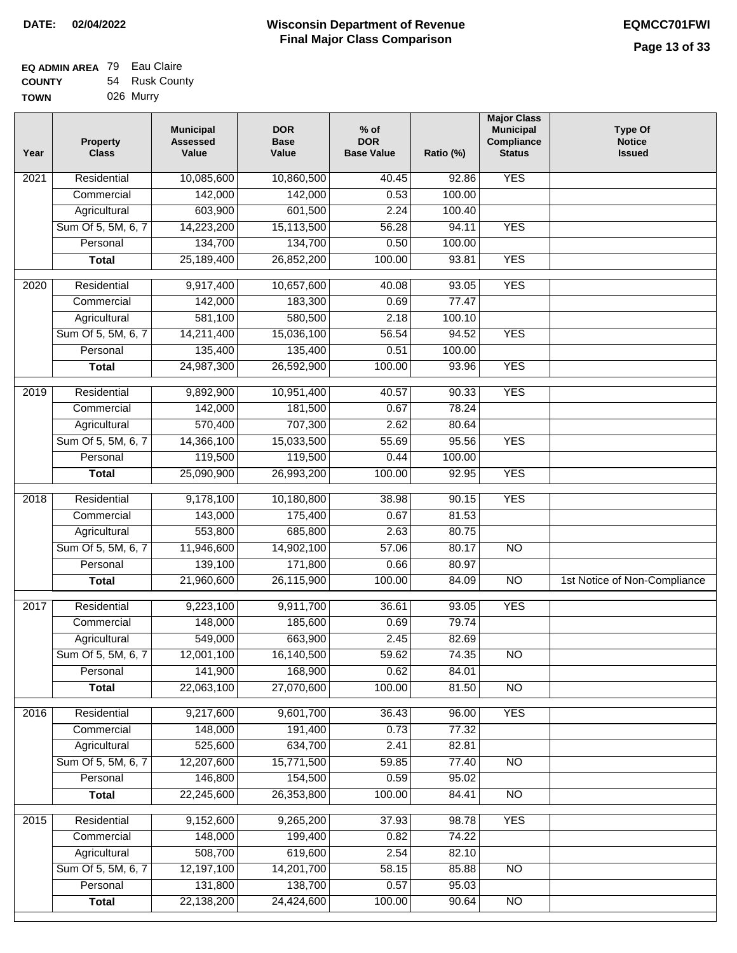| <b>EQ ADMIN AREA 79 Eau Claire</b> |                |
|------------------------------------|----------------|
| <b>COUNTY</b>                      | 54 Rusk County |
| <b>TOWN</b>                        | 026 Murry      |

| Year              | <b>Property</b><br><b>Class</b> | <b>Municipal</b><br><b>Assessed</b><br>Value | <b>DOR</b><br><b>Base</b><br>Value | $%$ of<br><b>DOR</b><br><b>Base Value</b> | Ratio (%) | <b>Major Class</b><br><b>Municipal</b><br>Compliance<br><b>Status</b> | <b>Type Of</b><br><b>Notice</b><br><b>Issued</b> |
|-------------------|---------------------------------|----------------------------------------------|------------------------------------|-------------------------------------------|-----------|-----------------------------------------------------------------------|--------------------------------------------------|
| 2021              | Residential                     | 10,085,600                                   | 10,860,500                         | 40.45                                     | 92.86     | <b>YES</b>                                                            |                                                  |
|                   | Commercial                      | 142,000                                      | 142,000                            | 0.53                                      | 100.00    |                                                                       |                                                  |
|                   | Agricultural                    | 603,900                                      | 601,500                            | 2.24                                      | 100.40    |                                                                       |                                                  |
|                   | Sum Of 5, 5M, 6, 7              | 14,223,200                                   | 15,113,500                         | 56.28                                     | 94.11     | <b>YES</b>                                                            |                                                  |
|                   | Personal                        | 134,700                                      | 134,700                            | 0.50                                      | 100.00    |                                                                       |                                                  |
|                   | <b>Total</b>                    | 25,189,400                                   | 26,852,200                         | 100.00                                    | 93.81     | <b>YES</b>                                                            |                                                  |
| 2020              | Residential                     | 9,917,400                                    | 10,657,600                         | 40.08                                     | 93.05     | <b>YES</b>                                                            |                                                  |
|                   | Commercial                      | 142,000                                      | 183,300                            | 0.69                                      | 77.47     |                                                                       |                                                  |
|                   | Agricultural                    | 581,100                                      | 580,500                            | 2.18                                      | 100.10    |                                                                       |                                                  |
|                   | Sum Of 5, 5M, 6, 7              | 14,211,400                                   | 15,036,100                         | 56.54                                     | 94.52     | <b>YES</b>                                                            |                                                  |
|                   | Personal                        | 135,400                                      | 135,400                            | 0.51                                      | 100.00    |                                                                       |                                                  |
|                   | <b>Total</b>                    | 24,987,300                                   | 26,592,900                         | 100.00                                    | 93.96     | <b>YES</b>                                                            |                                                  |
| 2019              | Residential                     | 9,892,900                                    | 10,951,400                         | 40.57                                     | 90.33     | <b>YES</b>                                                            |                                                  |
|                   | Commercial                      | 142,000                                      | 181,500                            | 0.67                                      | 78.24     |                                                                       |                                                  |
|                   | Agricultural                    | 570,400                                      | 707,300                            | 2.62                                      | 80.64     |                                                                       |                                                  |
|                   | Sum Of 5, 5M, 6, 7              | 14,366,100                                   | 15,033,500                         | 55.69                                     | 95.56     | <b>YES</b>                                                            |                                                  |
|                   | Personal                        | 119,500                                      | 119,500                            | 0.44                                      | 100.00    |                                                                       |                                                  |
|                   | <b>Total</b>                    | 25,090,900                                   | 26,993,200                         | 100.00                                    | 92.95     | <b>YES</b>                                                            |                                                  |
| $\overline{2018}$ | Residential                     | 9,178,100                                    | 10,180,800                         | 38.98                                     | 90.15     | <b>YES</b>                                                            |                                                  |
|                   | Commercial                      | 143,000                                      | 175,400                            | 0.67                                      | 81.53     |                                                                       |                                                  |
|                   | Agricultural                    | 553,800                                      | 685,800                            | 2.63                                      | 80.75     |                                                                       |                                                  |
|                   | Sum Of 5, 5M, 6, 7              | 11,946,600                                   | 14,902,100                         | 57.06                                     | 80.17     | $\overline{NO}$                                                       |                                                  |
|                   | Personal                        | 139,100                                      | 171,800                            | 0.66                                      | 80.97     |                                                                       |                                                  |
|                   | <b>Total</b>                    | 21,960,600                                   | 26,115,900                         | 100.00                                    | 84.09     | $\overline{NO}$                                                       | 1st Notice of Non-Compliance                     |
|                   |                                 |                                              |                                    |                                           |           |                                                                       |                                                  |
| 2017              | Residential                     | 9,223,100                                    | 9,911,700                          | 36.61                                     | 93.05     | <b>YES</b>                                                            |                                                  |
|                   | Commercial                      | 148,000                                      | 185,600                            | 0.69                                      | 79.74     |                                                                       |                                                  |
|                   | Agricultural                    | 549,000                                      | 663,900                            | 2.45                                      | 82.69     |                                                                       |                                                  |
|                   | Sum Of 5, 5M, 6, 7              | 12,001,100                                   | 16,140,500                         | 59.62                                     | 74.35     | <b>NO</b>                                                             |                                                  |
|                   | Personal                        | 141,900                                      | 168,900<br>27,070,600              | 0.62                                      | 84.01     |                                                                       |                                                  |
|                   | <b>Total</b>                    | 22,063,100                                   |                                    | 100.00                                    | 81.50     | $\overline{NO}$                                                       |                                                  |
| 2016              | Residential                     | 9,217,600                                    | 9,601,700                          | 36.43                                     | 96.00     | <b>YES</b>                                                            |                                                  |
|                   | Commercial                      | 148,000                                      | 191,400                            | 0.73                                      | 77.32     |                                                                       |                                                  |
|                   | Agricultural                    | 525,600                                      | 634,700                            | 2.41                                      | 82.81     |                                                                       |                                                  |
|                   | Sum Of 5, 5M, 6, 7              | 12,207,600                                   | 15,771,500                         | 59.85                                     | 77.40     | <b>NO</b>                                                             |                                                  |
|                   | Personal                        | 146,800                                      | 154,500                            | 0.59                                      | 95.02     |                                                                       |                                                  |
|                   | <b>Total</b>                    | 22,245,600                                   | 26,353,800                         | 100.00                                    | 84.41     | N <sub>O</sub>                                                        |                                                  |
| 2015              | Residential                     | 9,152,600                                    | 9,265,200                          | 37.93                                     | 98.78     | <b>YES</b>                                                            |                                                  |
|                   | Commercial                      | 148,000                                      | 199,400                            | 0.82                                      | 74.22     |                                                                       |                                                  |
|                   | Agricultural                    | 508,700                                      | 619,600                            | 2.54                                      | 82.10     |                                                                       |                                                  |
|                   | Sum Of 5, 5M, 6, 7              | 12,197,100                                   | 14,201,700                         | 58.15                                     | 85.88     | <b>NO</b>                                                             |                                                  |
|                   | Personal                        | 131,800                                      | 138,700                            | 0.57                                      | 95.03     |                                                                       |                                                  |
|                   | <b>Total</b>                    | 22,138,200                                   | 24,424,600                         | 100.00                                    | 90.64     | $\overline{NO}$                                                       |                                                  |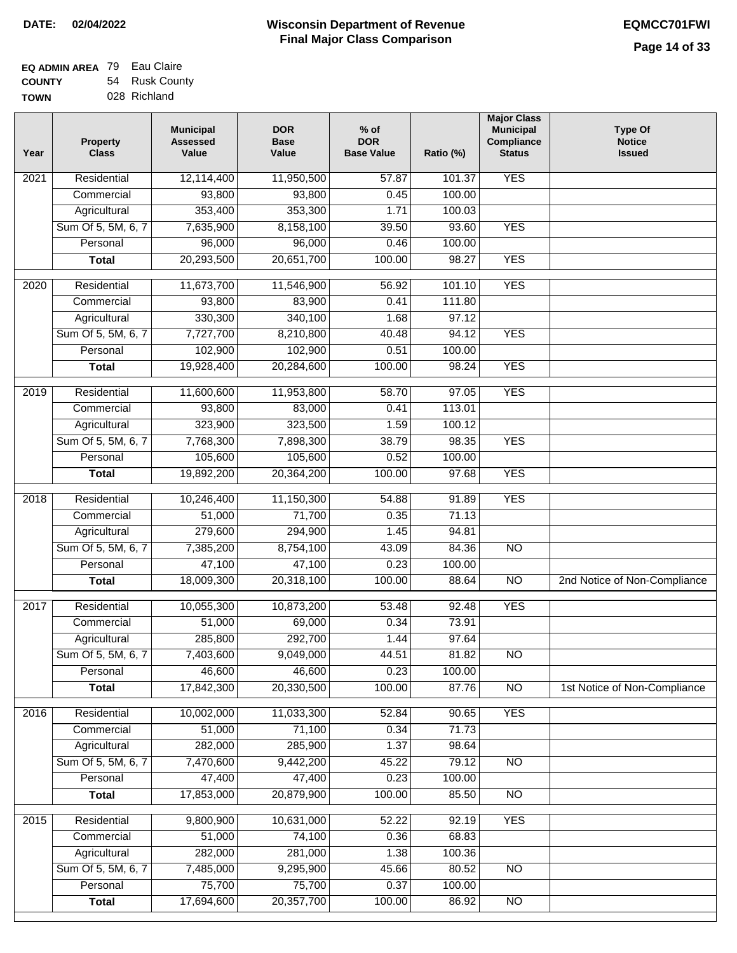| <b>EQ ADMIN AREA 79 Eau Claire</b> |                |
|------------------------------------|----------------|
| <b>COUNTY</b>                      | 54 Rusk County |
| <b>TOWN</b>                        | 028 Richland   |

| Year              | <b>Property</b><br><b>Class</b> | <b>Municipal</b><br><b>Assessed</b><br>Value | <b>DOR</b><br><b>Base</b><br>Value | $%$ of<br><b>DOR</b><br><b>Base Value</b> | Ratio (%) | <b>Major Class</b><br><b>Municipal</b><br>Compliance<br><b>Status</b> | Type Of<br><b>Notice</b><br><b>Issued</b> |
|-------------------|---------------------------------|----------------------------------------------|------------------------------------|-------------------------------------------|-----------|-----------------------------------------------------------------------|-------------------------------------------|
| 2021              | Residential                     | 12,114,400                                   | 11,950,500                         | 57.87                                     | 101.37    | <b>YES</b>                                                            |                                           |
|                   | Commercial                      | 93,800                                       | 93,800                             | 0.45                                      | 100.00    |                                                                       |                                           |
|                   | Agricultural                    | 353,400                                      | 353,300                            | 1.71                                      | 100.03    |                                                                       |                                           |
|                   | Sum Of 5, 5M, 6, 7              | 7,635,900                                    | 8,158,100                          | 39.50                                     | 93.60     | <b>YES</b>                                                            |                                           |
|                   | Personal                        | 96,000                                       | 96,000                             | 0.46                                      | 100.00    |                                                                       |                                           |
|                   | <b>Total</b>                    | 20,293,500                                   | 20,651,700                         | 100.00                                    | 98.27     | <b>YES</b>                                                            |                                           |
| 2020              | Residential                     | 11,673,700                                   | 11,546,900                         | 56.92                                     | 101.10    | <b>YES</b>                                                            |                                           |
|                   | Commercial                      | 93,800                                       | 83,900                             | 0.41                                      | 111.80    |                                                                       |                                           |
|                   | Agricultural                    | 330,300                                      | 340,100                            | 1.68                                      | 97.12     |                                                                       |                                           |
|                   | Sum Of 5, 5M, 6, 7              | 7,727,700                                    | 8,210,800                          | 40.48                                     | 94.12     | <b>YES</b>                                                            |                                           |
|                   | Personal                        | 102,900                                      | 102,900                            | 0.51                                      | 100.00    |                                                                       |                                           |
|                   | <b>Total</b>                    | 19,928,400                                   | 20,284,600                         | 100.00                                    | 98.24     | <b>YES</b>                                                            |                                           |
| 2019              | Residential                     | 11,600,600                                   | 11,953,800                         | 58.70                                     | 97.05     | <b>YES</b>                                                            |                                           |
|                   | Commercial                      | 93,800                                       | 83,000                             | 0.41                                      | 113.01    |                                                                       |                                           |
|                   | Agricultural                    | 323,900                                      | 323,500                            | 1.59                                      | 100.12    |                                                                       |                                           |
|                   | Sum Of 5, 5M, 6, 7              | 7,768,300                                    | 7,898,300                          | 38.79                                     | 98.35     | <b>YES</b>                                                            |                                           |
|                   | Personal                        | 105,600                                      | 105,600                            | 0.52                                      | 100.00    |                                                                       |                                           |
|                   | <b>Total</b>                    | 19,892,200                                   | 20,364,200                         | 100.00                                    | 97.68     | <b>YES</b>                                                            |                                           |
| 2018              | Residential                     | 10,246,400                                   | 11,150,300                         | 54.88                                     | 91.89     | <b>YES</b>                                                            |                                           |
|                   | Commercial                      | 51,000                                       | 71,700                             | 0.35                                      | 71.13     |                                                                       |                                           |
|                   | Agricultural                    | 279,600                                      | 294,900                            | 1.45                                      | 94.81     |                                                                       |                                           |
|                   | Sum Of 5, 5M, 6, 7              | 7,385,200                                    | 8,754,100                          | 43.09                                     | 84.36     | $\overline{NO}$                                                       |                                           |
|                   | Personal                        | 47,100                                       | 47,100                             | 0.23                                      | 100.00    |                                                                       |                                           |
|                   | <b>Total</b>                    | 18,009,300                                   | 20,318,100                         | 100.00                                    | 88.64     | $\overline{NO}$                                                       | 2nd Notice of Non-Compliance              |
| $\overline{2017}$ | Residential                     | 10,055,300                                   | 10,873,200                         | 53.48                                     | 92.48     | <b>YES</b>                                                            |                                           |
|                   | Commercial                      | 51,000                                       | 69,000                             | 0.34                                      | 73.91     |                                                                       |                                           |
|                   | Agricultural                    | 285,800                                      | 292,700                            | 1.44                                      | 97.64     |                                                                       |                                           |
|                   | Sum Of 5, 5M, 6, 7              | 7,403,600                                    | 9,049,000                          | 44.51                                     | 81.82     | <b>NO</b>                                                             |                                           |
|                   | Personal                        | 46,600                                       | 46,600                             | 0.23                                      | 100.00    |                                                                       |                                           |
|                   | <b>Total</b>                    | 17,842,300                                   | 20,330,500                         | 100.00                                    | 87.76     | <b>NO</b>                                                             | 1st Notice of Non-Compliance              |
| 2016              | Residential                     | 10,002,000                                   | 11,033,300                         | 52.84                                     | 90.65     | <b>YES</b>                                                            |                                           |
|                   | Commercial                      | 51,000                                       | 71,100                             | 0.34                                      | 71.73     |                                                                       |                                           |
|                   | Agricultural                    | 282,000                                      | 285,900                            | 1.37                                      | 98.64     |                                                                       |                                           |
|                   | Sum Of 5, 5M, 6, 7              | 7,470,600                                    | 9,442,200                          | 45.22                                     | 79.12     | N <sub>O</sub>                                                        |                                           |
|                   | Personal                        | 47,400                                       | 47,400                             | 0.23                                      | 100.00    |                                                                       |                                           |
|                   | <b>Total</b>                    | 17,853,000                                   | 20,879,900                         | 100.00                                    | 85.50     | N <sub>O</sub>                                                        |                                           |
| 2015              | Residential                     | 9,800,900                                    | 10,631,000                         | 52.22                                     | 92.19     | <b>YES</b>                                                            |                                           |
|                   | Commercial                      | 51,000                                       | 74,100                             | 0.36                                      | 68.83     |                                                                       |                                           |
|                   | Agricultural                    | 282,000                                      | 281,000                            | 1.38                                      | 100.36    |                                                                       |                                           |
|                   | Sum Of 5, 5M, 6, 7              | 7,485,000                                    | 9,295,900                          | 45.66                                     | 80.52     | <b>NO</b>                                                             |                                           |
|                   | Personal                        | 75,700                                       | 75,700                             | 0.37                                      | 100.00    |                                                                       |                                           |
|                   | <b>Total</b>                    | 17,694,600                                   | 20,357,700                         | 100.00                                    | 86.92     | NO                                                                    |                                           |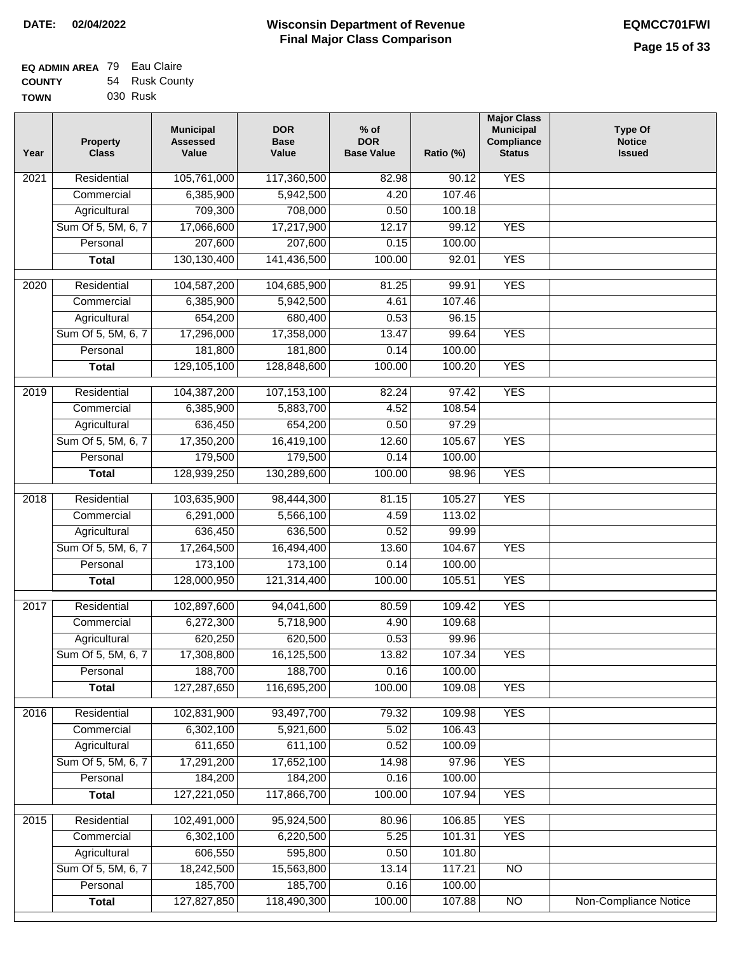| EQ ADMIN AREA 79 Eau Claire |                |
|-----------------------------|----------------|
| <b>COUNTY</b>               | 54 Rusk County |
| <b>TOWN</b>                 | 030 Rusk       |

| Year | <b>Property</b><br><b>Class</b> | <b>Municipal</b><br><b>Assessed</b><br>Value | <b>DOR</b><br><b>Base</b><br>Value | $%$ of<br><b>DOR</b><br><b>Base Value</b> | Ratio (%)        | <b>Major Class</b><br><b>Municipal</b><br>Compliance<br><b>Status</b> | <b>Type Of</b><br><b>Notice</b><br><b>Issued</b> |
|------|---------------------------------|----------------------------------------------|------------------------------------|-------------------------------------------|------------------|-----------------------------------------------------------------------|--------------------------------------------------|
| 2021 | Residential                     | 105,761,000                                  | 117,360,500                        | 82.98                                     | 90.12            | <b>YES</b>                                                            |                                                  |
|      | Commercial                      | 6,385,900                                    | 5,942,500                          | 4.20                                      | 107.46           |                                                                       |                                                  |
|      | Agricultural                    | 709,300                                      | 708,000                            | 0.50                                      | 100.18           |                                                                       |                                                  |
|      | Sum Of 5, 5M, 6, 7              | 17,066,600                                   | 17,217,900                         | 12.17                                     | 99.12            | <b>YES</b>                                                            |                                                  |
|      | Personal                        | 207,600                                      | 207,600                            | 0.15                                      | 100.00           |                                                                       |                                                  |
|      | <b>Total</b>                    | 130,130,400                                  | 141,436,500                        | 100.00                                    | 92.01            | <b>YES</b>                                                            |                                                  |
| 2020 | Residential                     | 104,587,200                                  | 104,685,900                        | 81.25                                     | 99.91            | <b>YES</b>                                                            |                                                  |
|      | Commercial                      | 6,385,900                                    | 5,942,500                          | 4.61                                      | 107.46           |                                                                       |                                                  |
|      | Agricultural                    | 654,200                                      | 680,400                            | 0.53                                      | 96.15            |                                                                       |                                                  |
|      | Sum Of 5, 5M, 6, 7              | 17,296,000                                   | 17,358,000                         | 13.47                                     | 99.64            | <b>YES</b>                                                            |                                                  |
|      | Personal                        | 181,800                                      | 181,800                            | 0.14                                      | 100.00           |                                                                       |                                                  |
|      | <b>Total</b>                    | 129,105,100                                  | 128,848,600                        | 100.00                                    | 100.20           | <b>YES</b>                                                            |                                                  |
|      |                                 |                                              |                                    |                                           |                  |                                                                       |                                                  |
| 2019 | Residential                     | 104,387,200                                  | 107,153,100                        | 82.24                                     | 97.42            | <b>YES</b>                                                            |                                                  |
|      | Commercial                      | 6,385,900                                    | 5,883,700                          | 4.52                                      | 108.54           |                                                                       |                                                  |
|      | Agricultural                    | 636,450                                      | 654,200                            | 0.50                                      | 97.29            |                                                                       |                                                  |
|      | Sum Of 5, 5M, 6, 7              | 17,350,200                                   | 16,419,100                         | 12.60                                     | 105.67           | <b>YES</b>                                                            |                                                  |
|      | Personal                        | 179,500                                      | 179,500                            | 0.14                                      | 100.00           |                                                                       |                                                  |
|      | <b>Total</b>                    | 128,939,250                                  | 130,289,600                        | 100.00                                    | 98.96            | <b>YES</b>                                                            |                                                  |
| 2018 | Residential                     | 103,635,900                                  | 98,444,300                         | 81.15                                     | 105.27           | <b>YES</b>                                                            |                                                  |
|      | Commercial                      | 6,291,000                                    | 5,566,100                          | 4.59                                      | 113.02           |                                                                       |                                                  |
|      | Agricultural                    | 636,450                                      | 636,500                            | 0.52                                      | 99.99            |                                                                       |                                                  |
|      | Sum Of 5, 5M, 6, 7              | 17,264,500                                   | 16,494,400                         | 13.60                                     | 104.67           | <b>YES</b>                                                            |                                                  |
|      | Personal                        | 173,100                                      | 173,100                            | 0.14                                      | 100.00           |                                                                       |                                                  |
|      | <b>Total</b>                    | 128,000,950                                  | 121,314,400                        | 100.00                                    | 105.51           | <b>YES</b>                                                            |                                                  |
| 2017 | Residential                     | 102,897,600                                  | 94,041,600                         | 80.59                                     | 109.42           | <b>YES</b>                                                            |                                                  |
|      | Commercial                      | 6,272,300                                    | 5,718,900                          | 4.90                                      | 109.68           |                                                                       |                                                  |
|      | Agricultural                    | 620,250                                      | 620,500                            | 0.53                                      | 99.96            |                                                                       |                                                  |
|      |                                 |                                              |                                    |                                           |                  |                                                                       |                                                  |
|      | Sum Of 5, 5M, 6, 7<br>Personal  | 17,308,800<br>188,700                        | 16,125,500<br>188,700              | 13.82<br>0.16                             | 107.34<br>100.00 | YES                                                                   |                                                  |
|      |                                 | 127,287,650                                  | 116,695,200                        |                                           | 109.08           | <b>YES</b>                                                            |                                                  |
|      | <b>Total</b>                    |                                              |                                    | 100.00                                    |                  |                                                                       |                                                  |
| 2016 | Residential                     | 102,831,900                                  | 93,497,700                         | 79.32                                     | 109.98           | <b>YES</b>                                                            |                                                  |
|      | Commercial                      | 6,302,100                                    | 5,921,600                          | 5.02                                      | 106.43           |                                                                       |                                                  |
|      | Agricultural                    | 611,650                                      | 611,100                            | 0.52                                      | 100.09           |                                                                       |                                                  |
|      | Sum Of 5, 5M, 6, 7              | 17,291,200                                   | 17,652,100                         | 14.98                                     | 97.96            | <b>YES</b>                                                            |                                                  |
|      | Personal                        | 184,200                                      | 184,200                            | 0.16                                      | 100.00           |                                                                       |                                                  |
|      | <b>Total</b>                    | 127,221,050                                  | 117,866,700                        | 100.00                                    | 107.94           | <b>YES</b>                                                            |                                                  |
| 2015 | Residential                     | 102,491,000                                  | 95,924,500                         | 80.96                                     | 106.85           | <b>YES</b>                                                            |                                                  |
|      | Commercial                      | 6,302,100                                    | 6,220,500                          | 5.25                                      | 101.31           | <b>YES</b>                                                            |                                                  |
|      | Agricultural                    | 606,550                                      | 595,800                            | 0.50                                      | 101.80           |                                                                       |                                                  |
|      | Sum Of 5, 5M, 6, 7              | 18,242,500                                   | 15,563,800                         | 13.14                                     | 117.21           | NO                                                                    |                                                  |
|      | Personal                        | 185,700                                      | 185,700                            | 0.16                                      | 100.00           |                                                                       |                                                  |
|      | <b>Total</b>                    | 127,827,850                                  | 118,490,300                        | 100.00                                    | 107.88           | <b>NO</b>                                                             | Non-Compliance Notice                            |
|      |                                 |                                              |                                    |                                           |                  |                                                                       |                                                  |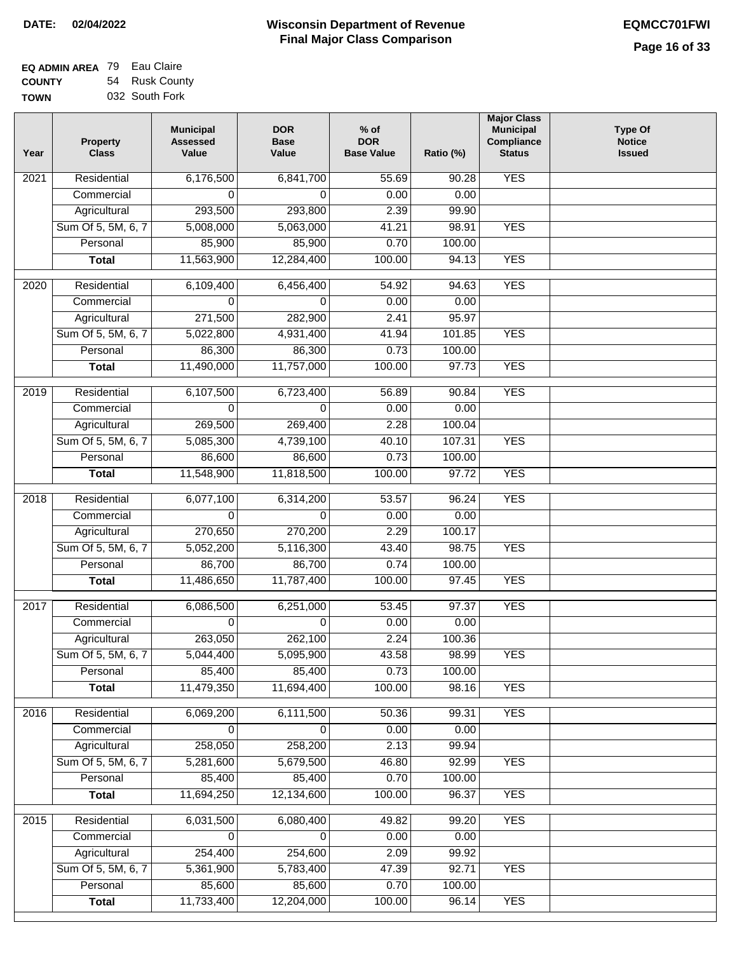| <b>EQ ADMIN AREA 79 Eau Claire</b> |                |
|------------------------------------|----------------|
| <b>COUNTY</b>                      | 54 Rusk County |
| <b>TOWN</b>                        | 032 South Fork |

| Year | <b>Property</b><br><b>Class</b> | <b>Municipal</b><br><b>Assessed</b><br>Value | <b>DOR</b><br><b>Base</b><br>Value | $%$ of<br><b>DOR</b><br><b>Base Value</b> | Ratio (%) | <b>Major Class</b><br><b>Municipal</b><br>Compliance<br><b>Status</b> | <b>Type Of</b><br><b>Notice</b><br><b>Issued</b> |
|------|---------------------------------|----------------------------------------------|------------------------------------|-------------------------------------------|-----------|-----------------------------------------------------------------------|--------------------------------------------------|
| 2021 | Residential                     | 6,176,500                                    | 6,841,700                          | 55.69                                     | 90.28     | <b>YES</b>                                                            |                                                  |
|      | Commercial                      | 0                                            | $\Omega$                           | 0.00                                      | 0.00      |                                                                       |                                                  |
|      | Agricultural                    | 293,500                                      | 293,800                            | 2.39                                      | 99.90     |                                                                       |                                                  |
|      | Sum Of 5, 5M, 6, 7              | 5,008,000                                    | 5,063,000                          | 41.21                                     | 98.91     | <b>YES</b>                                                            |                                                  |
|      | Personal                        | 85,900                                       | 85,900                             | 0.70                                      | 100.00    |                                                                       |                                                  |
|      | <b>Total</b>                    | 11,563,900                                   | 12,284,400                         | 100.00                                    | 94.13     | <b>YES</b>                                                            |                                                  |
| 2020 | Residential                     | 6,109,400                                    | 6,456,400                          | 54.92                                     | 94.63     | <b>YES</b>                                                            |                                                  |
|      | Commercial                      | 0                                            | 0                                  | 0.00                                      | 0.00      |                                                                       |                                                  |
|      | Agricultural                    | 271,500                                      | 282,900                            | 2.41                                      | 95.97     |                                                                       |                                                  |
|      | Sum Of 5, 5M, 6, 7              | 5,022,800                                    | 4,931,400                          | 41.94                                     | 101.85    | <b>YES</b>                                                            |                                                  |
|      | Personal                        | 86,300                                       | 86,300                             | 0.73                                      | 100.00    |                                                                       |                                                  |
|      | <b>Total</b>                    | 11,490,000                                   | 11,757,000                         | 100.00                                    | 97.73     | <b>YES</b>                                                            |                                                  |
| 2019 | Residential                     | 6,107,500                                    | 6,723,400                          | 56.89                                     | 90.84     | <b>YES</b>                                                            |                                                  |
|      | Commercial                      | 0                                            | $\Omega$                           | 0.00                                      | 0.00      |                                                                       |                                                  |
|      | Agricultural                    | 269,500                                      | 269,400                            | 2.28                                      | 100.04    |                                                                       |                                                  |
|      | Sum Of 5, 5M, 6, 7              | 5,085,300                                    | 4,739,100                          | 40.10                                     | 107.31    | <b>YES</b>                                                            |                                                  |
|      | Personal                        | 86,600                                       | 86,600                             | 0.73                                      | 100.00    |                                                                       |                                                  |
|      | <b>Total</b>                    | 11,548,900                                   | 11,818,500                         | 100.00                                    | 97.72     | <b>YES</b>                                                            |                                                  |
|      |                                 |                                              |                                    |                                           |           |                                                                       |                                                  |
| 2018 | Residential                     | 6,077,100                                    | 6,314,200                          | 53.57                                     | 96.24     | <b>YES</b>                                                            |                                                  |
|      | Commercial                      | 0                                            | $\Omega$                           | 0.00                                      | 0.00      |                                                                       |                                                  |
|      | Agricultural                    | 270,650                                      | 270,200                            | 2.29                                      | 100.17    |                                                                       |                                                  |
|      | Sum Of 5, 5M, 6, 7              | 5,052,200                                    | 5,116,300                          | 43.40                                     | 98.75     | <b>YES</b>                                                            |                                                  |
|      | Personal                        | 86,700                                       | 86,700                             | 0.74                                      | 100.00    |                                                                       |                                                  |
|      | <b>Total</b>                    | 11,486,650                                   | 11,787,400                         | 100.00                                    | 97.45     | <b>YES</b>                                                            |                                                  |
| 2017 | Residential                     | 6,086,500                                    | 6,251,000                          | 53.45                                     | 97.37     | <b>YES</b>                                                            |                                                  |
|      | Commercial                      | 0                                            | $\mathbf{0}$                       | 0.00                                      | 0.00      |                                                                       |                                                  |
|      | Agricultural                    | 263,050                                      | 262,100                            | 2.24                                      | 100.36    |                                                                       |                                                  |
|      | Sum Of 5, 5M, 6, 7              | 5,044,400                                    | 5,095,900                          | 43.58                                     | 98.99     | <b>YES</b>                                                            |                                                  |
|      | Personal                        | 85,400                                       | 85,400                             | 0.73                                      | 100.00    |                                                                       |                                                  |
|      | <b>Total</b>                    | 11,479,350                                   | 11,694,400                         | 100.00                                    | 98.16     | <b>YES</b>                                                            |                                                  |
| 2016 | Residential                     | 6,069,200                                    | 6,111,500                          | 50.36                                     | 99.31     | <b>YES</b>                                                            |                                                  |
|      | Commercial                      | 0                                            | $\mathbf 0$                        | 0.00                                      | 0.00      |                                                                       |                                                  |
|      | Agricultural                    | 258,050                                      | 258,200                            | 2.13                                      | 99.94     |                                                                       |                                                  |
|      | Sum Of 5, 5M, 6, 7              | 5,281,600                                    | 5,679,500                          | 46.80                                     | 92.99     | <b>YES</b>                                                            |                                                  |
|      | Personal                        | 85,400                                       | 85,400                             | 0.70                                      | 100.00    |                                                                       |                                                  |
|      | <b>Total</b>                    | 11,694,250                                   | 12,134,600                         | 100.00                                    | 96.37     | <b>YES</b>                                                            |                                                  |
| 2015 | Residential                     | 6,031,500                                    | 6,080,400                          | 49.82                                     | 99.20     | <b>YES</b>                                                            |                                                  |
|      | Commercial                      | 0                                            | 0                                  | 0.00                                      | 0.00      |                                                                       |                                                  |
|      | Agricultural                    | 254,400                                      | 254,600                            | 2.09                                      | 99.92     |                                                                       |                                                  |
|      | Sum Of 5, 5M, 6, 7              | 5,361,900                                    | 5,783,400                          | 47.39                                     | 92.71     | <b>YES</b>                                                            |                                                  |
|      | Personal                        | 85,600                                       | 85,600                             | 0.70                                      | 100.00    |                                                                       |                                                  |
|      | <b>Total</b>                    | 11,733,400                                   | 12,204,000                         | 100.00                                    | 96.14     | <b>YES</b>                                                            |                                                  |
|      |                                 |                                              |                                    |                                           |           |                                                                       |                                                  |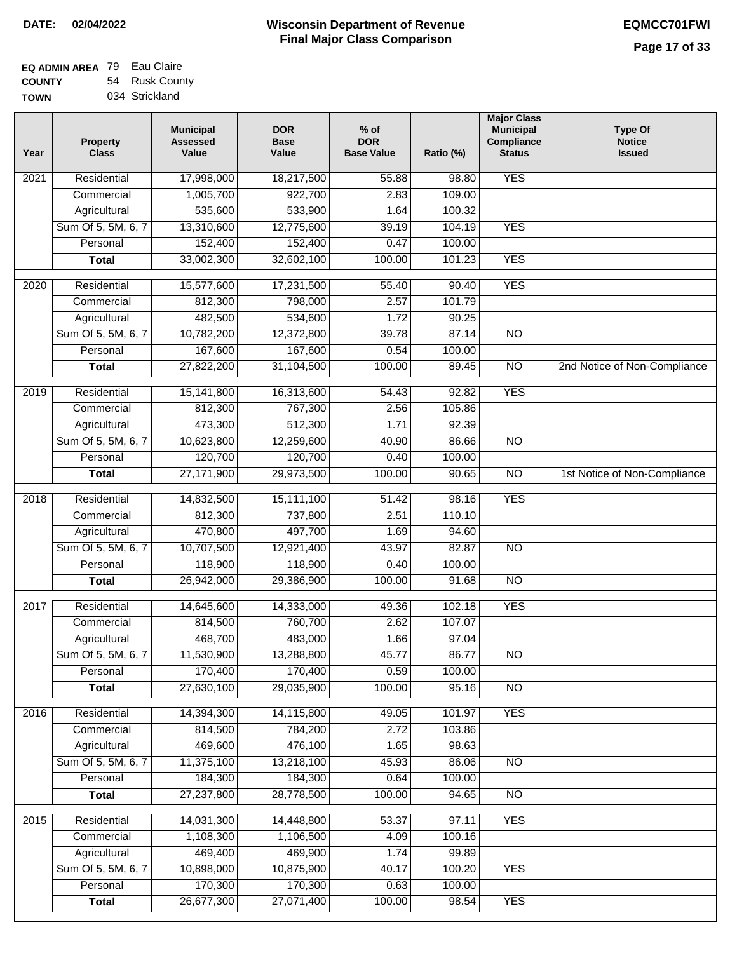| <b>EQ ADMIN AREA 79 Eau Claire</b> |                |
|------------------------------------|----------------|
| <b>COUNTY</b>                      | 54 Rusk County |
| <b>TOWN</b>                        | 034 Strickland |

| Year              | <b>Property</b><br><b>Class</b> | <b>Municipal</b><br><b>Assessed</b><br>Value | <b>DOR</b><br><b>Base</b><br>Value | $%$ of<br><b>DOR</b><br><b>Base Value</b> | Ratio (%) | <b>Major Class</b><br><b>Municipal</b><br>Compliance<br><b>Status</b> | <b>Type Of</b><br><b>Notice</b><br><b>Issued</b> |
|-------------------|---------------------------------|----------------------------------------------|------------------------------------|-------------------------------------------|-----------|-----------------------------------------------------------------------|--------------------------------------------------|
| $\overline{202}1$ | Residential                     | 17,998,000                                   | 18,217,500                         | 55.88                                     | 98.80     | <b>YES</b>                                                            |                                                  |
|                   | Commercial                      | 1,005,700                                    | 922,700                            | 2.83                                      | 109.00    |                                                                       |                                                  |
|                   | Agricultural                    | 535,600                                      | 533,900                            | 1.64                                      | 100.32    |                                                                       |                                                  |
|                   | Sum Of 5, 5M, 6, 7              | 13,310,600                                   | 12,775,600                         | 39.19                                     | 104.19    | <b>YES</b>                                                            |                                                  |
|                   | Personal                        | 152,400                                      | 152,400                            | 0.47                                      | 100.00    |                                                                       |                                                  |
|                   | <b>Total</b>                    | 33,002,300                                   | 32,602,100                         | 100.00                                    | 101.23    | <b>YES</b>                                                            |                                                  |
| $\overline{2020}$ | Residential                     | 15,577,600                                   | 17,231,500                         | 55.40                                     | 90.40     | <b>YES</b>                                                            |                                                  |
|                   | Commercial                      | 812,300                                      | 798,000                            | 2.57                                      | 101.79    |                                                                       |                                                  |
|                   | Agricultural                    | 482,500                                      | 534,600                            | 1.72                                      | 90.25     |                                                                       |                                                  |
|                   | Sum Of 5, 5M, 6, 7              | 10,782,200                                   | 12,372,800                         | 39.78                                     | 87.14     | $\overline{NO}$                                                       |                                                  |
|                   | Personal                        | 167,600                                      | 167,600                            | 0.54                                      | 100.00    |                                                                       |                                                  |
|                   | <b>Total</b>                    | 27,822,200                                   | 31,104,500                         | 100.00                                    | 89.45     | $\overline{NO}$                                                       | 2nd Notice of Non-Compliance                     |
| 2019              | Residential                     | 15,141,800                                   | 16,313,600                         | 54.43                                     | 92.82     | <b>YES</b>                                                            |                                                  |
|                   | Commercial                      | 812,300                                      | 767,300                            | 2.56                                      | 105.86    |                                                                       |                                                  |
|                   | Agricultural                    | 473,300                                      | 512,300                            | 1.71                                      | 92.39     |                                                                       |                                                  |
|                   | Sum Of 5, 5M, 6, 7              | 10,623,800                                   | 12,259,600                         | 40.90                                     | 86.66     | $\overline{NO}$                                                       |                                                  |
|                   | Personal                        | 120,700                                      | 120,700                            | 0.40                                      | 100.00    |                                                                       |                                                  |
|                   | <b>Total</b>                    | 27,171,900                                   | 29,973,500                         | 100.00                                    | 90.65     | $\overline{NO}$                                                       | 1st Notice of Non-Compliance                     |
| 2018              | Residential                     | 14,832,500                                   | 15,111,100                         | 51.42                                     | 98.16     | <b>YES</b>                                                            |                                                  |
|                   | Commercial                      | 812,300                                      | 737,800                            | 2.51                                      | 110.10    |                                                                       |                                                  |
|                   | Agricultural                    | 470,800                                      | 497,700                            | 1.69                                      | 94.60     |                                                                       |                                                  |
|                   | Sum Of 5, 5M, 6, 7              | 10,707,500                                   | 12,921,400                         | 43.97                                     | 82.87     | $\overline{10}$                                                       |                                                  |
|                   | Personal                        | 118,900                                      | 118,900                            | 0.40                                      | 100.00    |                                                                       |                                                  |
|                   | <b>Total</b>                    | 26,942,000                                   | 29,386,900                         | 100.00                                    | 91.68     | <b>NO</b>                                                             |                                                  |
| 2017              | Residential                     | 14,645,600                                   | 14,333,000                         | 49.36                                     | 102.18    | <b>YES</b>                                                            |                                                  |
|                   | Commercial                      | 814,500                                      | 760,700                            | 2.62                                      | 107.07    |                                                                       |                                                  |
|                   | Agricultural                    | 468,700                                      | 483,000                            | 1.66                                      | 97.04     |                                                                       |                                                  |
|                   | Sum Of 5, 5M, 6, 7              | 11,530,900                                   | 13,288,800                         | 45.77                                     | 86.77     | <b>NO</b>                                                             |                                                  |
|                   | Personal                        | 170,400                                      | 170,400                            | 0.59                                      | 100.00    |                                                                       |                                                  |
|                   | <b>Total</b>                    | 27,630,100                                   | 29,035,900                         | 100.00                                    | 95.16     | <b>NO</b>                                                             |                                                  |
| 2016              | Residential                     | 14,394,300                                   | 14,115,800                         | 49.05                                     | 101.97    | <b>YES</b>                                                            |                                                  |
|                   | Commercial                      | 814,500                                      | 784,200                            | 2.72                                      | 103.86    |                                                                       |                                                  |
|                   | Agricultural                    | 469,600                                      | 476,100                            | 1.65                                      | 98.63     |                                                                       |                                                  |
|                   | Sum Of 5, 5M, 6, 7              | 11,375,100                                   | 13,218,100                         | 45.93                                     | 86.06     | $\overline{NO}$                                                       |                                                  |
|                   | Personal                        | 184,300                                      | 184,300                            | 0.64                                      | 100.00    |                                                                       |                                                  |
|                   | <b>Total</b>                    | 27,237,800                                   | 28,778,500                         | 100.00                                    | 94.65     | $\overline{NO}$                                                       |                                                  |
| 2015              | Residential                     | 14,031,300                                   | 14,448,800                         | 53.37                                     | 97.11     | <b>YES</b>                                                            |                                                  |
|                   | Commercial                      | 1,108,300                                    | 1,106,500                          | 4.09                                      | 100.16    |                                                                       |                                                  |
|                   | Agricultural                    | 469,400                                      | 469,900                            | 1.74                                      | 99.89     |                                                                       |                                                  |
|                   | Sum Of 5, 5M, 6, 7              | 10,898,000                                   | 10,875,900                         | 40.17                                     | 100.20    | <b>YES</b>                                                            |                                                  |
|                   | Personal                        | 170,300                                      | 170,300                            | 0.63                                      | 100.00    |                                                                       |                                                  |
|                   | <b>Total</b>                    | 26,677,300                                   | 27,071,400                         | 100.00                                    | 98.54     | <b>YES</b>                                                            |                                                  |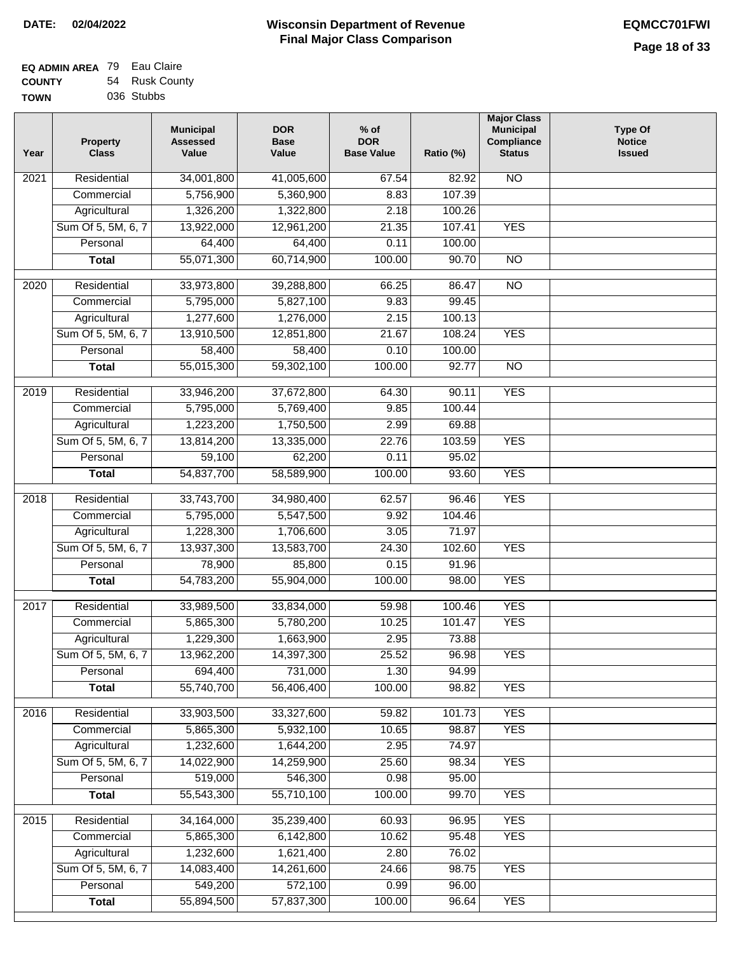$\overline{\phantom{a}}$ 

| <b>EQ ADMIN AREA</b> 79 Eau Claire |                |
|------------------------------------|----------------|
| <b>COUNTY</b>                      | 54 Rusk County |
| <b>TOWN</b>                        | 036 Stubbs     |

| Year | Property<br><b>Class</b> | <b>Municipal</b><br><b>Assessed</b><br>Value | <b>DOR</b><br><b>Base</b><br>Value | $%$ of<br><b>DOR</b><br><b>Base Value</b> | Ratio (%)       | <b>Major Class</b><br><b>Municipal</b><br>Compliance<br><b>Status</b> | <b>Type Of</b><br><b>Notice</b><br><b>Issued</b> |
|------|--------------------------|----------------------------------------------|------------------------------------|-------------------------------------------|-----------------|-----------------------------------------------------------------------|--------------------------------------------------|
| 2021 | Residential              | 34,001,800                                   | 41,005,600                         | 67.54                                     | 82.92           | $\overline{NO}$                                                       |                                                  |
|      | Commercial               | 5,756,900                                    | 5,360,900                          | 8.83                                      | 107.39          |                                                                       |                                                  |
|      | Agricultural             | 1,326,200                                    | 1,322,800                          | 2.18                                      | 100.26          |                                                                       |                                                  |
|      | Sum Of 5, 5M, 6, 7       | 13,922,000                                   | 12,961,200                         | 21.35                                     | 107.41          | <b>YES</b>                                                            |                                                  |
|      | Personal                 | 64,400                                       | 64,400                             | 0.11                                      | 100.00          |                                                                       |                                                  |
|      | <b>Total</b>             | 55,071,300                                   | 60,714,900                         | 100.00                                    | 90.70           | $\overline{NO}$                                                       |                                                  |
| 2020 | Residential              | 33,973,800                                   | 39,288,800                         | 66.25                                     | 86.47           | $\overline{NO}$                                                       |                                                  |
|      | Commercial               | 5,795,000                                    | 5,827,100                          | 9.83                                      | 99.45           |                                                                       |                                                  |
|      | Agricultural             | 1,277,600                                    | 1,276,000                          | 2.15                                      | 100.13          |                                                                       |                                                  |
|      | Sum Of 5, 5M, 6, 7       | 13,910,500                                   | 12,851,800                         | 21.67                                     | 108.24          | <b>YES</b>                                                            |                                                  |
|      | Personal                 | 58,400                                       | 58,400                             | 0.10                                      | 100.00          |                                                                       |                                                  |
|      | <b>Total</b>             | 55,015,300                                   | 59,302,100                         | 100.00                                    | 92.77           | $\overline{NO}$                                                       |                                                  |
|      |                          |                                              |                                    |                                           |                 |                                                                       |                                                  |
| 2019 | Residential              | 33,946,200                                   | 37,672,800                         | 64.30                                     | 90.11<br>100.44 | <b>YES</b>                                                            |                                                  |
|      | Commercial               | 5,795,000                                    | 5,769,400<br>1,750,500             | 9.85<br>2.99                              | 69.88           |                                                                       |                                                  |
|      | Agricultural             | 1,223,200                                    |                                    |                                           |                 |                                                                       |                                                  |
|      | Sum Of 5, 5M, 6, 7       | 13,814,200                                   | 13,335,000                         | 22.76                                     | 103.59          | <b>YES</b>                                                            |                                                  |
|      | Personal                 | 59,100<br>54,837,700                         | 62,200                             | 0.11<br>100.00                            | 95.02<br>93.60  | <b>YES</b>                                                            |                                                  |
|      | <b>Total</b>             |                                              | 58,589,900                         |                                           |                 |                                                                       |                                                  |
| 2018 | Residential              | 33,743,700                                   | 34,980,400                         | 62.57                                     | 96.46           | <b>YES</b>                                                            |                                                  |
|      | Commercial               | 5,795,000                                    | 5,547,500                          | 9.92                                      | 104.46          |                                                                       |                                                  |
|      | Agricultural             | 1,228,300                                    | 1,706,600                          | 3.05                                      | 71.97           |                                                                       |                                                  |
|      | Sum Of 5, 5M, 6, 7       | 13,937,300                                   | 13,583,700                         | 24.30                                     | 102.60          | <b>YES</b>                                                            |                                                  |
|      | Personal                 | 78,900                                       | 85,800                             | 0.15                                      | 91.96           |                                                                       |                                                  |
|      | <b>Total</b>             | 54,783,200                                   | 55,904,000                         | 100.00                                    | 98.00           | <b>YES</b>                                                            |                                                  |
| 2017 | Residential              | 33,989,500                                   | 33,834,000                         | 59.98                                     | 100.46          | <b>YES</b>                                                            |                                                  |
|      | Commercial               | 5,865,300                                    | 5,780,200                          | 10.25                                     | 101.47          | <b>YES</b>                                                            |                                                  |
|      | Agricultural             | 1,229,300                                    | 1,663,900                          | 2.95                                      | 73.88           |                                                                       |                                                  |
|      | Sum Of 5, 5M, 6, 7       | 13,962,200                                   | 14,397,300                         | 25.52                                     | 96.98           | <b>YES</b>                                                            |                                                  |
|      | Personal                 | 694,400                                      | 731,000                            | 1.30                                      | 94.99           |                                                                       |                                                  |
|      | <b>Total</b>             | 55,740,700                                   | 56,406,400                         | 100.00                                    | 98.82           | <b>YES</b>                                                            |                                                  |
| 2016 | Residential              | 33,903,500                                   | 33,327,600                         | 59.82                                     | 101.73          | <b>YES</b>                                                            |                                                  |
|      | Commercial               | 5,865,300                                    | 5,932,100                          | 10.65                                     | 98.87           | <b>YES</b>                                                            |                                                  |
|      | Agricultural             | 1,232,600                                    | 1,644,200                          | 2.95                                      | 74.97           |                                                                       |                                                  |
|      | Sum Of 5, 5M, 6, 7       | 14,022,900                                   | 14,259,900                         | 25.60                                     | 98.34           | <b>YES</b>                                                            |                                                  |
|      | Personal                 | 519,000                                      | 546,300                            | 0.98                                      | 95.00           |                                                                       |                                                  |
|      | <b>Total</b>             | 55,543,300                                   | 55,710,100                         | 100.00                                    | 99.70           | <b>YES</b>                                                            |                                                  |
| 2015 | Residential              | 34,164,000                                   | 35,239,400                         | 60.93                                     | 96.95           | <b>YES</b>                                                            |                                                  |
|      | Commercial               | 5,865,300                                    | 6,142,800                          | 10.62                                     | 95.48           | <b>YES</b>                                                            |                                                  |
|      | Agricultural             | 1,232,600                                    | 1,621,400                          | 2.80                                      | 76.02           |                                                                       |                                                  |
|      | Sum Of 5, 5M, 6, 7       | 14,083,400                                   | 14,261,600                         | 24.66                                     | 98.75           | <b>YES</b>                                                            |                                                  |
|      | Personal                 | 549,200                                      | 572,100                            | 0.99                                      | 96.00           |                                                                       |                                                  |
|      | <b>Total</b>             | 55,894,500                                   | 57,837,300                         | 100.00                                    | 96.64           | <b>YES</b>                                                            |                                                  |
|      |                          |                                              |                                    |                                           |                 |                                                                       |                                                  |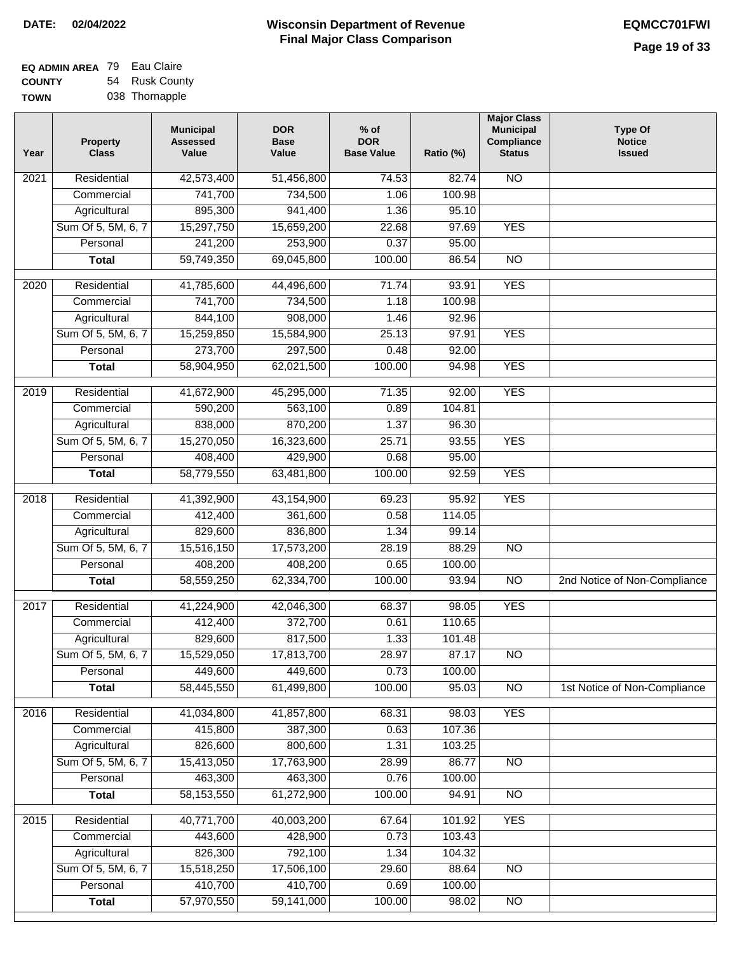| <b>EQ ADMIN AREA 79 Eau Claire</b> |                |
|------------------------------------|----------------|
| <b>COUNTY</b>                      | 54 Rusk County |
| <b>TOWN</b>                        | 038 Thornapple |

| $\overline{NO}$<br>Residential<br>42,573,400<br>51,456,800<br>74.53<br>2021<br>82.74<br>741,700<br>734,500<br>1.06<br>100.98<br>Commercial<br>941,400<br>Agricultural<br>895,300<br>1.36<br>95.10<br>Sum Of 5, 5M, 6, 7<br><b>YES</b><br>15,297,750<br>15,659,200<br>22.68<br>97.69<br>253,900<br>0.37<br>241,200<br>95.00<br>Personal<br>59,749,350<br>69,045,800<br>100.00<br>86.54<br>$\overline{NO}$<br><b>Total</b><br>71.74<br><b>YES</b><br>2020<br>Residential<br>41,785,600<br>44,496,600<br>93.91<br>741,700<br>734,500<br>1.18<br>100.98<br>Commercial<br>844,100<br>908,000<br>1.46<br>92.96<br>Agricultural<br>Sum Of 5, 5M, 6, 7<br><b>YES</b><br>15,259,850<br>15,584,900<br>25.13<br>97.91<br>273,700<br>297,500<br>92.00<br>Personal<br>0.48<br><b>YES</b><br>58,904,950<br>62,021,500<br>100.00<br>94.98<br><b>Total</b><br><b>YES</b><br>Residential<br>41,672,900<br>45,295,000<br>71.35<br>92.00<br>2019<br>590,200<br>563,100<br>0.89<br>104.81<br>Commercial<br>838,000<br>870,200<br>1.37<br>96.30<br>Agricultural<br><b>YES</b><br>Sum Of 5, 5M, 6, 7<br>15,270,050<br>25.71<br>93.55 |
|----------------------------------------------------------------------------------------------------------------------------------------------------------------------------------------------------------------------------------------------------------------------------------------------------------------------------------------------------------------------------------------------------------------------------------------------------------------------------------------------------------------------------------------------------------------------------------------------------------------------------------------------------------------------------------------------------------------------------------------------------------------------------------------------------------------------------------------------------------------------------------------------------------------------------------------------------------------------------------------------------------------------------------------------------------------------------------------------------------------|
|                                                                                                                                                                                                                                                                                                                                                                                                                                                                                                                                                                                                                                                                                                                                                                                                                                                                                                                                                                                                                                                                                                                |
|                                                                                                                                                                                                                                                                                                                                                                                                                                                                                                                                                                                                                                                                                                                                                                                                                                                                                                                                                                                                                                                                                                                |
|                                                                                                                                                                                                                                                                                                                                                                                                                                                                                                                                                                                                                                                                                                                                                                                                                                                                                                                                                                                                                                                                                                                |
|                                                                                                                                                                                                                                                                                                                                                                                                                                                                                                                                                                                                                                                                                                                                                                                                                                                                                                                                                                                                                                                                                                                |
|                                                                                                                                                                                                                                                                                                                                                                                                                                                                                                                                                                                                                                                                                                                                                                                                                                                                                                                                                                                                                                                                                                                |
|                                                                                                                                                                                                                                                                                                                                                                                                                                                                                                                                                                                                                                                                                                                                                                                                                                                                                                                                                                                                                                                                                                                |
|                                                                                                                                                                                                                                                                                                                                                                                                                                                                                                                                                                                                                                                                                                                                                                                                                                                                                                                                                                                                                                                                                                                |
|                                                                                                                                                                                                                                                                                                                                                                                                                                                                                                                                                                                                                                                                                                                                                                                                                                                                                                                                                                                                                                                                                                                |
|                                                                                                                                                                                                                                                                                                                                                                                                                                                                                                                                                                                                                                                                                                                                                                                                                                                                                                                                                                                                                                                                                                                |
|                                                                                                                                                                                                                                                                                                                                                                                                                                                                                                                                                                                                                                                                                                                                                                                                                                                                                                                                                                                                                                                                                                                |
|                                                                                                                                                                                                                                                                                                                                                                                                                                                                                                                                                                                                                                                                                                                                                                                                                                                                                                                                                                                                                                                                                                                |
|                                                                                                                                                                                                                                                                                                                                                                                                                                                                                                                                                                                                                                                                                                                                                                                                                                                                                                                                                                                                                                                                                                                |
|                                                                                                                                                                                                                                                                                                                                                                                                                                                                                                                                                                                                                                                                                                                                                                                                                                                                                                                                                                                                                                                                                                                |
|                                                                                                                                                                                                                                                                                                                                                                                                                                                                                                                                                                                                                                                                                                                                                                                                                                                                                                                                                                                                                                                                                                                |
|                                                                                                                                                                                                                                                                                                                                                                                                                                                                                                                                                                                                                                                                                                                                                                                                                                                                                                                                                                                                                                                                                                                |
| 16,323,600                                                                                                                                                                                                                                                                                                                                                                                                                                                                                                                                                                                                                                                                                                                                                                                                                                                                                                                                                                                                                                                                                                     |
| 408,400<br>429,900<br>Personal<br>0.68<br>95.00                                                                                                                                                                                                                                                                                                                                                                                                                                                                                                                                                                                                                                                                                                                                                                                                                                                                                                                                                                                                                                                                |
| 58,779,550<br>100.00<br>92.59<br><b>YES</b><br>63,481,800<br><b>Total</b>                                                                                                                                                                                                                                                                                                                                                                                                                                                                                                                                                                                                                                                                                                                                                                                                                                                                                                                                                                                                                                      |
| Residential<br>41,392,900<br>43,154,900<br>69.23<br>95.92<br><b>YES</b><br>2018                                                                                                                                                                                                                                                                                                                                                                                                                                                                                                                                                                                                                                                                                                                                                                                                                                                                                                                                                                                                                                |
| Commercial<br>412,400<br>361,600<br>0.58<br>114.05                                                                                                                                                                                                                                                                                                                                                                                                                                                                                                                                                                                                                                                                                                                                                                                                                                                                                                                                                                                                                                                             |
| 829,600<br>836,800<br>Agricultural<br>1.34<br>99.14                                                                                                                                                                                                                                                                                                                                                                                                                                                                                                                                                                                                                                                                                                                                                                                                                                                                                                                                                                                                                                                            |
| Sum Of 5, 5M, 6, 7<br>15,516,150<br>17,573,200<br>28.19<br>88.29<br>$\overline{NO}$                                                                                                                                                                                                                                                                                                                                                                                                                                                                                                                                                                                                                                                                                                                                                                                                                                                                                                                                                                                                                            |
| Personal<br>408,200<br>408,200<br>0.65<br>100.00                                                                                                                                                                                                                                                                                                                                                                                                                                                                                                                                                                                                                                                                                                                                                                                                                                                                                                                                                                                                                                                               |
| 58,559,250<br>62,334,700<br>100.00<br>$\overline{NO}$<br>2nd Notice of Non-Compliance<br><b>Total</b><br>93.94                                                                                                                                                                                                                                                                                                                                                                                                                                                                                                                                                                                                                                                                                                                                                                                                                                                                                                                                                                                                 |
| 2017<br>Residential<br>41,224,900<br>42,046,300<br>68.37<br>98.05<br><b>YES</b>                                                                                                                                                                                                                                                                                                                                                                                                                                                                                                                                                                                                                                                                                                                                                                                                                                                                                                                                                                                                                                |
| 372,700<br>Commercial<br>412,400<br>0.61<br>110.65                                                                                                                                                                                                                                                                                                                                                                                                                                                                                                                                                                                                                                                                                                                                                                                                                                                                                                                                                                                                                                                             |
| 829,600<br>817,500<br>1.33<br>101.48<br>Agricultural                                                                                                                                                                                                                                                                                                                                                                                                                                                                                                                                                                                                                                                                                                                                                                                                                                                                                                                                                                                                                                                           |
| 15,529,050<br>17,813,700<br>28.97<br>Sum Of 5, 5M, 6, 7<br>87.17<br>N <sub>O</sub>                                                                                                                                                                                                                                                                                                                                                                                                                                                                                                                                                                                                                                                                                                                                                                                                                                                                                                                                                                                                                             |
| 449,600<br>0.73<br>Personal<br>449,600<br>100.00                                                                                                                                                                                                                                                                                                                                                                                                                                                                                                                                                                                                                                                                                                                                                                                                                                                                                                                                                                                                                                                               |
| 58,445,550<br>61,499,800<br>100.00<br>95.03<br>1st Notice of Non-Compliance<br><b>Total</b><br><b>NO</b>                                                                                                                                                                                                                                                                                                                                                                                                                                                                                                                                                                                                                                                                                                                                                                                                                                                                                                                                                                                                       |
| Residential<br>41,034,800<br>41,857,800<br><b>YES</b><br>2016<br>68.31<br>98.03                                                                                                                                                                                                                                                                                                                                                                                                                                                                                                                                                                                                                                                                                                                                                                                                                                                                                                                                                                                                                                |
| 415,800<br>387,300<br>0.63<br>107.36<br>Commercial                                                                                                                                                                                                                                                                                                                                                                                                                                                                                                                                                                                                                                                                                                                                                                                                                                                                                                                                                                                                                                                             |
| 826,600<br>800,600<br>Agricultural<br>1.31<br>103.25                                                                                                                                                                                                                                                                                                                                                                                                                                                                                                                                                                                                                                                                                                                                                                                                                                                                                                                                                                                                                                                           |
| Sum Of 5, 5M, 6, 7<br>15,413,050<br>17,763,900<br>28.99<br>86.77<br>N <sub>O</sub>                                                                                                                                                                                                                                                                                                                                                                                                                                                                                                                                                                                                                                                                                                                                                                                                                                                                                                                                                                                                                             |
| 463,300<br>463,300<br>Personal<br>0.76<br>100.00                                                                                                                                                                                                                                                                                                                                                                                                                                                                                                                                                                                                                                                                                                                                                                                                                                                                                                                                                                                                                                                               |
| 58,153,550<br>61,272,900<br>100.00<br>94.91<br>$\overline{NO}$<br><b>Total</b>                                                                                                                                                                                                                                                                                                                                                                                                                                                                                                                                                                                                                                                                                                                                                                                                                                                                                                                                                                                                                                 |
| <b>YES</b><br>2015<br>Residential<br>40,771,700<br>40,003,200<br>67.64<br>101.92                                                                                                                                                                                                                                                                                                                                                                                                                                                                                                                                                                                                                                                                                                                                                                                                                                                                                                                                                                                                                               |
| 443,600<br>428,900<br>0.73<br>103.43<br>Commercial                                                                                                                                                                                                                                                                                                                                                                                                                                                                                                                                                                                                                                                                                                                                                                                                                                                                                                                                                                                                                                                             |
| 792,100<br>826,300<br>1.34<br>104.32<br>Agricultural                                                                                                                                                                                                                                                                                                                                                                                                                                                                                                                                                                                                                                                                                                                                                                                                                                                                                                                                                                                                                                                           |
| Sum Of 5, 5M, 6, 7<br>15,518,250<br>17,506,100<br>29.60<br>88.64<br><b>NO</b>                                                                                                                                                                                                                                                                                                                                                                                                                                                                                                                                                                                                                                                                                                                                                                                                                                                                                                                                                                                                                                  |
| 410,700<br>410,700<br>Personal<br>0.69<br>100.00                                                                                                                                                                                                                                                                                                                                                                                                                                                                                                                                                                                                                                                                                                                                                                                                                                                                                                                                                                                                                                                               |
| 57,970,550<br>59,141,000<br>100.00<br><b>Total</b><br>98.02<br>NO                                                                                                                                                                                                                                                                                                                                                                                                                                                                                                                                                                                                                                                                                                                                                                                                                                                                                                                                                                                                                                              |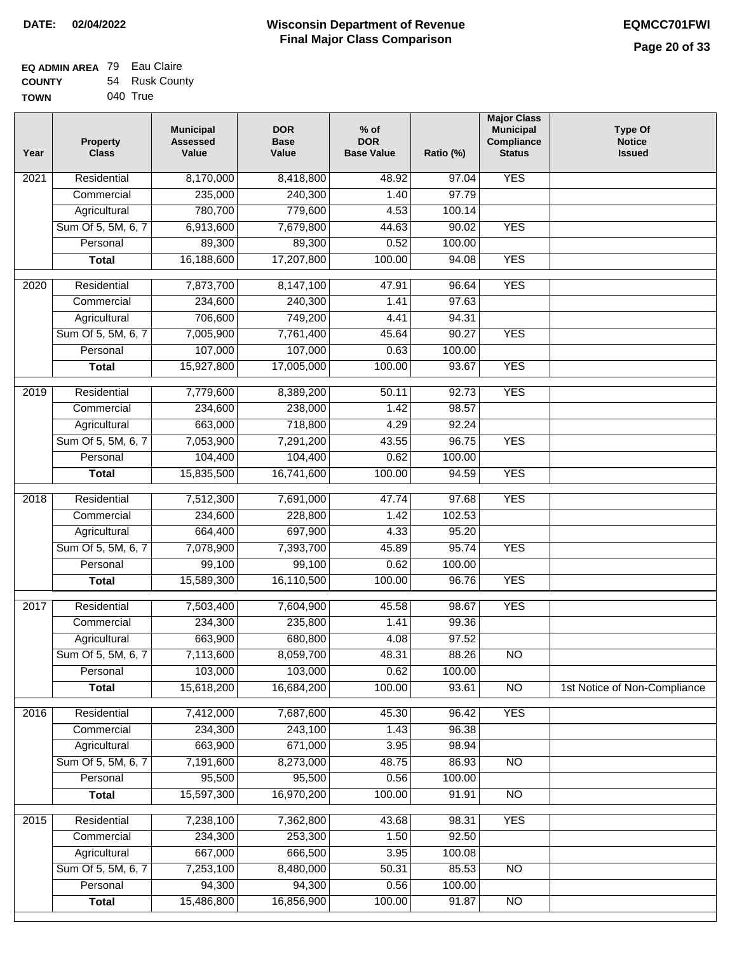| EQ ADMIN AREA 79 Eau Claire |                |
|-----------------------------|----------------|
| <b>COUNTY</b>               | 54 Rusk County |

**TOWN** 040 True

| Year | <b>Property</b><br><b>Class</b> | <b>Municipal</b><br><b>Assessed</b><br>Value | <b>DOR</b><br><b>Base</b><br>Value | $%$ of<br><b>DOR</b><br><b>Base Value</b> | Ratio (%)      | <b>Major Class</b><br><b>Municipal</b><br>Compliance<br><b>Status</b> | <b>Type Of</b><br><b>Notice</b><br><b>Issued</b> |
|------|---------------------------------|----------------------------------------------|------------------------------------|-------------------------------------------|----------------|-----------------------------------------------------------------------|--------------------------------------------------|
| 2021 | Residential                     | 8,170,000                                    | 8,418,800                          | 48.92                                     | 97.04          | <b>YES</b>                                                            |                                                  |
|      | Commercial                      | 235,000                                      | 240,300                            | 1.40                                      | 97.79          |                                                                       |                                                  |
|      | Agricultural                    | 780,700                                      | 779,600                            | 4.53                                      | 100.14         |                                                                       |                                                  |
|      | Sum Of 5, 5M, 6, 7              | 6,913,600                                    | 7,679,800                          | 44.63                                     | 90.02          | <b>YES</b>                                                            |                                                  |
|      | Personal                        | 89,300                                       | 89,300                             | 0.52                                      | 100.00         |                                                                       |                                                  |
|      | <b>Total</b>                    | 16,188,600                                   | 17,207,800                         | 100.00                                    | 94.08          | <b>YES</b>                                                            |                                                  |
| 2020 | Residential                     | 7,873,700                                    | 8,147,100                          | 47.91                                     | 96.64          | <b>YES</b>                                                            |                                                  |
|      | Commercial                      | 234,600                                      | 240,300                            | 1.41                                      | 97.63          |                                                                       |                                                  |
|      | Agricultural                    | 706,600                                      | 749,200                            | 4.41                                      | 94.31          |                                                                       |                                                  |
|      | Sum Of 5, 5M, 6, 7              | 7,005,900                                    | 7,761,400                          | 45.64                                     | 90.27          | <b>YES</b>                                                            |                                                  |
|      | Personal                        | 107,000                                      | 107,000                            | 0.63                                      | 100.00         |                                                                       |                                                  |
|      | <b>Total</b>                    | 15,927,800                                   | 17,005,000                         | 100.00                                    | 93.67          | <b>YES</b>                                                            |                                                  |
|      |                                 |                                              |                                    |                                           |                |                                                                       |                                                  |
| 2019 | Residential                     | 7,779,600                                    | 8,389,200                          | 50.11                                     | 92.73          | <b>YES</b>                                                            |                                                  |
|      | Commercial                      | 234,600                                      | 238,000                            | 1.42                                      | 98.57          |                                                                       |                                                  |
|      | Agricultural                    | 663,000                                      | 718,800                            | 4.29                                      | 92.24          |                                                                       |                                                  |
|      | Sum Of 5, 5M, 6, 7              | 7,053,900                                    | 7,291,200                          | 43.55                                     | 96.75          | <b>YES</b>                                                            |                                                  |
|      | Personal                        | 104,400                                      | 104,400                            | 0.62                                      | 100.00         |                                                                       |                                                  |
|      | <b>Total</b>                    | 15,835,500                                   | 16,741,600                         | 100.00                                    | 94.59          | <b>YES</b>                                                            |                                                  |
| 2018 | Residential                     | 7,512,300                                    | 7,691,000                          | 47.74                                     | 97.68          | <b>YES</b>                                                            |                                                  |
|      | Commercial                      | 234,600                                      | 228,800                            | 1.42                                      | 102.53         |                                                                       |                                                  |
|      | Agricultural                    | 664,400                                      | 697,900                            | 4.33                                      | 95.20          |                                                                       |                                                  |
|      | Sum Of 5, 5M, 6, 7              | 7,078,900                                    | 7,393,700                          | 45.89                                     | 95.74          | <b>YES</b>                                                            |                                                  |
|      | Personal                        | 99,100                                       | 99,100                             | 0.62                                      | 100.00         |                                                                       |                                                  |
|      | <b>Total</b>                    | 15,589,300                                   | 16,110,500                         | 100.00                                    | 96.76          | <b>YES</b>                                                            |                                                  |
| 2017 | Residential                     | 7,503,400                                    | 7,604,900                          | 45.58                                     | 98.67          | <b>YES</b>                                                            |                                                  |
|      | Commercial                      | 234,300                                      | 235,800                            | 1.41                                      | 99.36          |                                                                       |                                                  |
|      | Agricultural                    | 663,900                                      | 680,800                            | 4.08                                      | 97.52          |                                                                       |                                                  |
|      | Sum Of 5, 5M, 6, 7              | 7,113,600                                    | 8,059,700                          | 48.31                                     | 88.26          | <b>NO</b>                                                             |                                                  |
|      | Personal                        | 103,000                                      | 103,000                            | 0.62                                      | 100.00         |                                                                       |                                                  |
|      | <b>Total</b>                    | 15,618,200                                   | 16,684,200                         | 100.00                                    | 93.61          | <b>NO</b>                                                             | 1st Notice of Non-Compliance                     |
|      |                                 |                                              |                                    |                                           |                |                                                                       |                                                  |
| 2016 | Residential<br>Commercial       | 7,412,000<br>234,300                         | 7,687,600<br>243,100               | 45.30<br>1.43                             | 96.42<br>96.38 | <b>YES</b>                                                            |                                                  |
|      | Agricultural                    | 663,900                                      | 671,000                            | 3.95                                      | 98.94          |                                                                       |                                                  |
|      | Sum Of 5, 5M, 6, 7              | 7,191,600                                    | 8,273,000                          | 48.75                                     | 86.93          | $\overline{NO}$                                                       |                                                  |
|      | Personal                        | 95,500                                       | 95,500                             | 0.56                                      | 100.00         |                                                                       |                                                  |
|      | <b>Total</b>                    | 15,597,300                                   | 16,970,200                         | 100.00                                    | 91.91          | N <sub>O</sub>                                                        |                                                  |
|      |                                 |                                              |                                    |                                           |                |                                                                       |                                                  |
| 2015 | Residential                     | 7,238,100                                    | 7,362,800                          | 43.68                                     | 98.31          | <b>YES</b>                                                            |                                                  |
|      | Commercial                      | 234,300                                      | 253,300                            | 1.50                                      | 92.50          |                                                                       |                                                  |
|      | Agricultural                    | 667,000                                      | 666,500                            | 3.95                                      | 100.08         |                                                                       |                                                  |
|      | Sum Of 5, 5M, 6, 7              | 7,253,100                                    | 8,480,000                          | 50.31                                     | 85.53          | <b>NO</b>                                                             |                                                  |
|      | Personal                        | 94,300                                       | 94,300                             | 0.56                                      | 100.00         |                                                                       |                                                  |
|      | <b>Total</b>                    | 15,486,800                                   | 16,856,900                         | 100.00                                    | 91.87          | NO                                                                    |                                                  |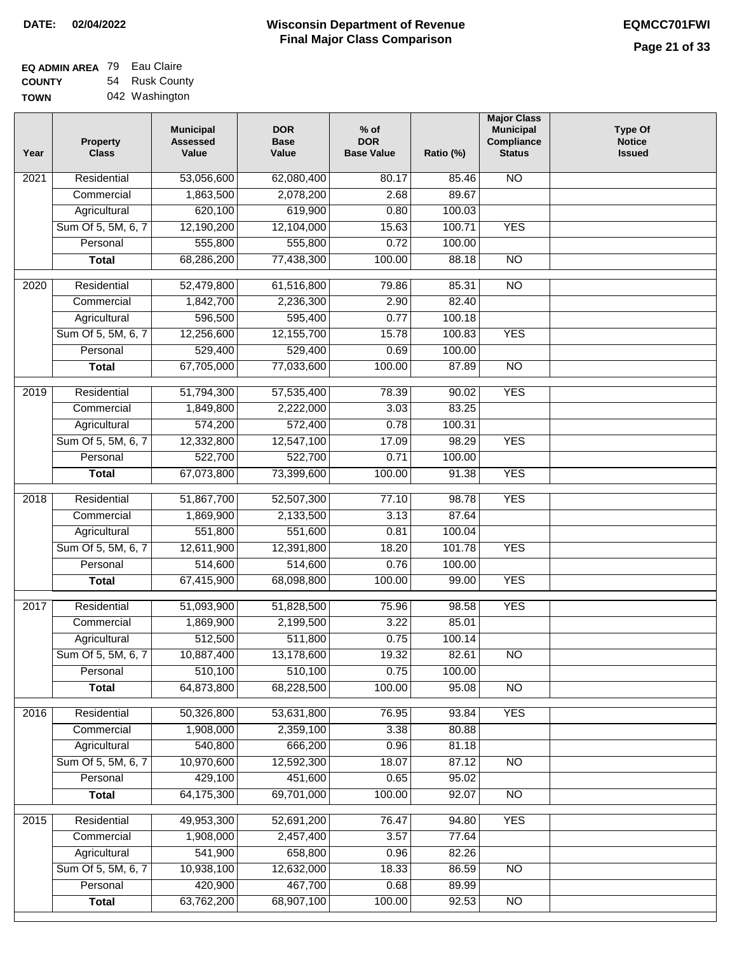| EQ ADMIN AREA 79 Eau Claire |                |
|-----------------------------|----------------|
| <b>COUNTY</b>               | 54 Rusk County |
| <b>TOWN</b>                 | 042 Washington |

| 53,056,600<br><b>NO</b><br>2021<br>Residential<br>62,080,400<br>80.17<br>85.46<br>1,863,500<br>2,078,200<br>2.68<br>89.67<br>Commercial<br>620,100<br>Agricultural<br>619,900<br>0.80<br>100.03<br>Sum Of 5, 5M, 6, 7<br>12,190,200<br>12,104,000<br>15.63<br>100.71<br><b>YES</b><br>555,800<br>555,800<br>0.72<br>Personal<br>100.00<br>68,286,200<br>77,438,300<br>100.00<br>88.18<br>$\overline{NO}$<br><b>Total</b><br>$\overline{NO}$<br>2020<br>Residential<br>52,479,800<br>61,516,800<br>79.86<br>85.31<br>1,842,700<br>2,236,300<br>82.40<br>2.90<br>Commercial<br>Agricultural<br>596,500<br>595,400<br>0.77<br>100.18<br>Sum Of 5, 5M, 6, 7<br>12,155,700<br><b>YES</b><br>12,256,600<br>15.78<br>100.83<br>529,400<br>529,400<br>0.69<br>100.00<br>Personal<br>67,705,000<br>77,033,600<br>100.00<br>$\overline{NO}$<br>87.89<br><b>Total</b><br>78.39<br><b>YES</b><br>2019<br>Residential<br>51,794,300<br>57,535,400<br>90.02<br>1,849,800<br>2,222,000<br>3.03<br>83.25<br>Commercial<br>574,200<br>572,400<br>0.78<br>100.31<br>Agricultural<br><b>YES</b><br>Sum Of 5, 5M, 6, 7<br>12,332,800<br>12,547,100<br>17.09<br>98.29<br>522,700<br>522,700<br>0.71<br>Personal<br>100.00<br>67,073,800<br>73,399,600<br>100.00<br><b>YES</b><br>91.38<br><b>Total</b><br>Residential<br>51,867,700<br>77.10<br>98.78<br><b>YES</b><br>2018<br>52,507,300<br>87.64<br>Commercial<br>1,869,900<br>2,133,500<br>3.13<br>551,800<br>551,600<br>100.04<br>Agricultural<br>0.81<br>Sum Of 5, 5M, 6, 7<br>12,611,900<br>12,391,800<br>18.20<br>101.78<br><b>YES</b><br>Personal<br>514,600<br>514,600<br>0.76<br>100.00<br>67,415,900<br>68,098,800<br>100.00<br>99.00<br><b>YES</b><br><b>Total</b><br>2017<br>Residential<br>51,093,900<br>51,828,500<br>98.58<br><b>YES</b><br>75.96<br>3.22<br>1,869,900<br>2,199,500<br>85.01<br>Commercial<br>512,500<br>0.75<br>511,800<br>100.14<br>Agricultural<br>10,887,400<br>13,178,600<br>19.32<br>Sum Of 5, 5M, 6, 7<br>82.61<br><b>NO</b><br>510,100<br>0.75<br>Personal<br>510,100<br>100.00<br>64,873,800<br>68,228,500<br>100.00<br>95.08<br><b>Total</b><br><b>NO</b><br><b>YES</b><br>Residential<br>50,326,800<br>53,631,800<br>76.95<br>2016<br>93.84<br>1,908,000<br>2,359,100<br>3.38<br>Commercial<br>80.88<br>540,800<br>Agricultural<br>666,200<br>0.96<br>81.18<br>Sum Of 5, 5M, 6, 7<br>10,970,600<br>18.07<br>12,592,300<br>87.12<br>N <sub>O</sub><br>429,100<br>451,600<br>0.65<br>95.02<br>Personal<br>64,175,300<br>100.00<br>69,701,000<br>92.07<br>N <sub>O</sub><br><b>Total</b><br><b>YES</b><br>Residential<br>49,953,300<br>52,691,200<br>76.47<br>94.80<br>2015<br>1,908,000<br>2,457,400<br>3.57<br>77.64<br>Commercial<br>541,900<br>658,800<br>0.96<br>82.26<br>Agricultural<br>Sum Of 5, 5M, 6, 7<br>10,938,100<br>18.33<br>12,632,000<br>86.59<br><b>NO</b><br>420,900<br>467,700<br>Personal<br>0.68<br>89.99 | Year | <b>Property</b><br><b>Class</b> | <b>Municipal</b><br><b>Assessed</b><br>Value | <b>DOR</b><br><b>Base</b><br>Value | $%$ of<br><b>DOR</b><br><b>Base Value</b> | Ratio (%) | <b>Major Class</b><br><b>Municipal</b><br>Compliance<br><b>Status</b> | <b>Type Of</b><br><b>Notice</b><br><b>Issued</b> |
|----------------------------------------------------------------------------------------------------------------------------------------------------------------------------------------------------------------------------------------------------------------------------------------------------------------------------------------------------------------------------------------------------------------------------------------------------------------------------------------------------------------------------------------------------------------------------------------------------------------------------------------------------------------------------------------------------------------------------------------------------------------------------------------------------------------------------------------------------------------------------------------------------------------------------------------------------------------------------------------------------------------------------------------------------------------------------------------------------------------------------------------------------------------------------------------------------------------------------------------------------------------------------------------------------------------------------------------------------------------------------------------------------------------------------------------------------------------------------------------------------------------------------------------------------------------------------------------------------------------------------------------------------------------------------------------------------------------------------------------------------------------------------------------------------------------------------------------------------------------------------------------------------------------------------------------------------------------------------------------------------------------------------------------------------------------------------------------------------------------------------------------------------------------------------------------------------------------------------------------------------------------------------------------------------------------------------------------------------------------------------------------------------------------------------------------------------------------------------------------------------------------------------------------------------------------------------------------------------------------------------------------------------------------------------------------------------------------------------------------------------------------------------------------------------------------------------------------------------------------------------------------------------|------|---------------------------------|----------------------------------------------|------------------------------------|-------------------------------------------|-----------|-----------------------------------------------------------------------|--------------------------------------------------|
|                                                                                                                                                                                                                                                                                                                                                                                                                                                                                                                                                                                                                                                                                                                                                                                                                                                                                                                                                                                                                                                                                                                                                                                                                                                                                                                                                                                                                                                                                                                                                                                                                                                                                                                                                                                                                                                                                                                                                                                                                                                                                                                                                                                                                                                                                                                                                                                                                                                                                                                                                                                                                                                                                                                                                                                                                                                                                                    |      |                                 |                                              |                                    |                                           |           |                                                                       |                                                  |
|                                                                                                                                                                                                                                                                                                                                                                                                                                                                                                                                                                                                                                                                                                                                                                                                                                                                                                                                                                                                                                                                                                                                                                                                                                                                                                                                                                                                                                                                                                                                                                                                                                                                                                                                                                                                                                                                                                                                                                                                                                                                                                                                                                                                                                                                                                                                                                                                                                                                                                                                                                                                                                                                                                                                                                                                                                                                                                    |      |                                 |                                              |                                    |                                           |           |                                                                       |                                                  |
|                                                                                                                                                                                                                                                                                                                                                                                                                                                                                                                                                                                                                                                                                                                                                                                                                                                                                                                                                                                                                                                                                                                                                                                                                                                                                                                                                                                                                                                                                                                                                                                                                                                                                                                                                                                                                                                                                                                                                                                                                                                                                                                                                                                                                                                                                                                                                                                                                                                                                                                                                                                                                                                                                                                                                                                                                                                                                                    |      |                                 |                                              |                                    |                                           |           |                                                                       |                                                  |
|                                                                                                                                                                                                                                                                                                                                                                                                                                                                                                                                                                                                                                                                                                                                                                                                                                                                                                                                                                                                                                                                                                                                                                                                                                                                                                                                                                                                                                                                                                                                                                                                                                                                                                                                                                                                                                                                                                                                                                                                                                                                                                                                                                                                                                                                                                                                                                                                                                                                                                                                                                                                                                                                                                                                                                                                                                                                                                    |      |                                 |                                              |                                    |                                           |           |                                                                       |                                                  |
|                                                                                                                                                                                                                                                                                                                                                                                                                                                                                                                                                                                                                                                                                                                                                                                                                                                                                                                                                                                                                                                                                                                                                                                                                                                                                                                                                                                                                                                                                                                                                                                                                                                                                                                                                                                                                                                                                                                                                                                                                                                                                                                                                                                                                                                                                                                                                                                                                                                                                                                                                                                                                                                                                                                                                                                                                                                                                                    |      |                                 |                                              |                                    |                                           |           |                                                                       |                                                  |
|                                                                                                                                                                                                                                                                                                                                                                                                                                                                                                                                                                                                                                                                                                                                                                                                                                                                                                                                                                                                                                                                                                                                                                                                                                                                                                                                                                                                                                                                                                                                                                                                                                                                                                                                                                                                                                                                                                                                                                                                                                                                                                                                                                                                                                                                                                                                                                                                                                                                                                                                                                                                                                                                                                                                                                                                                                                                                                    |      |                                 |                                              |                                    |                                           |           |                                                                       |                                                  |
|                                                                                                                                                                                                                                                                                                                                                                                                                                                                                                                                                                                                                                                                                                                                                                                                                                                                                                                                                                                                                                                                                                                                                                                                                                                                                                                                                                                                                                                                                                                                                                                                                                                                                                                                                                                                                                                                                                                                                                                                                                                                                                                                                                                                                                                                                                                                                                                                                                                                                                                                                                                                                                                                                                                                                                                                                                                                                                    |      |                                 |                                              |                                    |                                           |           |                                                                       |                                                  |
|                                                                                                                                                                                                                                                                                                                                                                                                                                                                                                                                                                                                                                                                                                                                                                                                                                                                                                                                                                                                                                                                                                                                                                                                                                                                                                                                                                                                                                                                                                                                                                                                                                                                                                                                                                                                                                                                                                                                                                                                                                                                                                                                                                                                                                                                                                                                                                                                                                                                                                                                                                                                                                                                                                                                                                                                                                                                                                    |      |                                 |                                              |                                    |                                           |           |                                                                       |                                                  |
|                                                                                                                                                                                                                                                                                                                                                                                                                                                                                                                                                                                                                                                                                                                                                                                                                                                                                                                                                                                                                                                                                                                                                                                                                                                                                                                                                                                                                                                                                                                                                                                                                                                                                                                                                                                                                                                                                                                                                                                                                                                                                                                                                                                                                                                                                                                                                                                                                                                                                                                                                                                                                                                                                                                                                                                                                                                                                                    |      |                                 |                                              |                                    |                                           |           |                                                                       |                                                  |
|                                                                                                                                                                                                                                                                                                                                                                                                                                                                                                                                                                                                                                                                                                                                                                                                                                                                                                                                                                                                                                                                                                                                                                                                                                                                                                                                                                                                                                                                                                                                                                                                                                                                                                                                                                                                                                                                                                                                                                                                                                                                                                                                                                                                                                                                                                                                                                                                                                                                                                                                                                                                                                                                                                                                                                                                                                                                                                    |      |                                 |                                              |                                    |                                           |           |                                                                       |                                                  |
|                                                                                                                                                                                                                                                                                                                                                                                                                                                                                                                                                                                                                                                                                                                                                                                                                                                                                                                                                                                                                                                                                                                                                                                                                                                                                                                                                                                                                                                                                                                                                                                                                                                                                                                                                                                                                                                                                                                                                                                                                                                                                                                                                                                                                                                                                                                                                                                                                                                                                                                                                                                                                                                                                                                                                                                                                                                                                                    |      |                                 |                                              |                                    |                                           |           |                                                                       |                                                  |
|                                                                                                                                                                                                                                                                                                                                                                                                                                                                                                                                                                                                                                                                                                                                                                                                                                                                                                                                                                                                                                                                                                                                                                                                                                                                                                                                                                                                                                                                                                                                                                                                                                                                                                                                                                                                                                                                                                                                                                                                                                                                                                                                                                                                                                                                                                                                                                                                                                                                                                                                                                                                                                                                                                                                                                                                                                                                                                    |      |                                 |                                              |                                    |                                           |           |                                                                       |                                                  |
|                                                                                                                                                                                                                                                                                                                                                                                                                                                                                                                                                                                                                                                                                                                                                                                                                                                                                                                                                                                                                                                                                                                                                                                                                                                                                                                                                                                                                                                                                                                                                                                                                                                                                                                                                                                                                                                                                                                                                                                                                                                                                                                                                                                                                                                                                                                                                                                                                                                                                                                                                                                                                                                                                                                                                                                                                                                                                                    |      |                                 |                                              |                                    |                                           |           |                                                                       |                                                  |
|                                                                                                                                                                                                                                                                                                                                                                                                                                                                                                                                                                                                                                                                                                                                                                                                                                                                                                                                                                                                                                                                                                                                                                                                                                                                                                                                                                                                                                                                                                                                                                                                                                                                                                                                                                                                                                                                                                                                                                                                                                                                                                                                                                                                                                                                                                                                                                                                                                                                                                                                                                                                                                                                                                                                                                                                                                                                                                    |      |                                 |                                              |                                    |                                           |           |                                                                       |                                                  |
|                                                                                                                                                                                                                                                                                                                                                                                                                                                                                                                                                                                                                                                                                                                                                                                                                                                                                                                                                                                                                                                                                                                                                                                                                                                                                                                                                                                                                                                                                                                                                                                                                                                                                                                                                                                                                                                                                                                                                                                                                                                                                                                                                                                                                                                                                                                                                                                                                                                                                                                                                                                                                                                                                                                                                                                                                                                                                                    |      |                                 |                                              |                                    |                                           |           |                                                                       |                                                  |
|                                                                                                                                                                                                                                                                                                                                                                                                                                                                                                                                                                                                                                                                                                                                                                                                                                                                                                                                                                                                                                                                                                                                                                                                                                                                                                                                                                                                                                                                                                                                                                                                                                                                                                                                                                                                                                                                                                                                                                                                                                                                                                                                                                                                                                                                                                                                                                                                                                                                                                                                                                                                                                                                                                                                                                                                                                                                                                    |      |                                 |                                              |                                    |                                           |           |                                                                       |                                                  |
|                                                                                                                                                                                                                                                                                                                                                                                                                                                                                                                                                                                                                                                                                                                                                                                                                                                                                                                                                                                                                                                                                                                                                                                                                                                                                                                                                                                                                                                                                                                                                                                                                                                                                                                                                                                                                                                                                                                                                                                                                                                                                                                                                                                                                                                                                                                                                                                                                                                                                                                                                                                                                                                                                                                                                                                                                                                                                                    |      |                                 |                                              |                                    |                                           |           |                                                                       |                                                  |
|                                                                                                                                                                                                                                                                                                                                                                                                                                                                                                                                                                                                                                                                                                                                                                                                                                                                                                                                                                                                                                                                                                                                                                                                                                                                                                                                                                                                                                                                                                                                                                                                                                                                                                                                                                                                                                                                                                                                                                                                                                                                                                                                                                                                                                                                                                                                                                                                                                                                                                                                                                                                                                                                                                                                                                                                                                                                                                    |      |                                 |                                              |                                    |                                           |           |                                                                       |                                                  |
|                                                                                                                                                                                                                                                                                                                                                                                                                                                                                                                                                                                                                                                                                                                                                                                                                                                                                                                                                                                                                                                                                                                                                                                                                                                                                                                                                                                                                                                                                                                                                                                                                                                                                                                                                                                                                                                                                                                                                                                                                                                                                                                                                                                                                                                                                                                                                                                                                                                                                                                                                                                                                                                                                                                                                                                                                                                                                                    |      |                                 |                                              |                                    |                                           |           |                                                                       |                                                  |
|                                                                                                                                                                                                                                                                                                                                                                                                                                                                                                                                                                                                                                                                                                                                                                                                                                                                                                                                                                                                                                                                                                                                                                                                                                                                                                                                                                                                                                                                                                                                                                                                                                                                                                                                                                                                                                                                                                                                                                                                                                                                                                                                                                                                                                                                                                                                                                                                                                                                                                                                                                                                                                                                                                                                                                                                                                                                                                    |      |                                 |                                              |                                    |                                           |           |                                                                       |                                                  |
|                                                                                                                                                                                                                                                                                                                                                                                                                                                                                                                                                                                                                                                                                                                                                                                                                                                                                                                                                                                                                                                                                                                                                                                                                                                                                                                                                                                                                                                                                                                                                                                                                                                                                                                                                                                                                                                                                                                                                                                                                                                                                                                                                                                                                                                                                                                                                                                                                                                                                                                                                                                                                                                                                                                                                                                                                                                                                                    |      |                                 |                                              |                                    |                                           |           |                                                                       |                                                  |
|                                                                                                                                                                                                                                                                                                                                                                                                                                                                                                                                                                                                                                                                                                                                                                                                                                                                                                                                                                                                                                                                                                                                                                                                                                                                                                                                                                                                                                                                                                                                                                                                                                                                                                                                                                                                                                                                                                                                                                                                                                                                                                                                                                                                                                                                                                                                                                                                                                                                                                                                                                                                                                                                                                                                                                                                                                                                                                    |      |                                 |                                              |                                    |                                           |           |                                                                       |                                                  |
|                                                                                                                                                                                                                                                                                                                                                                                                                                                                                                                                                                                                                                                                                                                                                                                                                                                                                                                                                                                                                                                                                                                                                                                                                                                                                                                                                                                                                                                                                                                                                                                                                                                                                                                                                                                                                                                                                                                                                                                                                                                                                                                                                                                                                                                                                                                                                                                                                                                                                                                                                                                                                                                                                                                                                                                                                                                                                                    |      |                                 |                                              |                                    |                                           |           |                                                                       |                                                  |
|                                                                                                                                                                                                                                                                                                                                                                                                                                                                                                                                                                                                                                                                                                                                                                                                                                                                                                                                                                                                                                                                                                                                                                                                                                                                                                                                                                                                                                                                                                                                                                                                                                                                                                                                                                                                                                                                                                                                                                                                                                                                                                                                                                                                                                                                                                                                                                                                                                                                                                                                                                                                                                                                                                                                                                                                                                                                                                    |      |                                 |                                              |                                    |                                           |           |                                                                       |                                                  |
|                                                                                                                                                                                                                                                                                                                                                                                                                                                                                                                                                                                                                                                                                                                                                                                                                                                                                                                                                                                                                                                                                                                                                                                                                                                                                                                                                                                                                                                                                                                                                                                                                                                                                                                                                                                                                                                                                                                                                                                                                                                                                                                                                                                                                                                                                                                                                                                                                                                                                                                                                                                                                                                                                                                                                                                                                                                                                                    |      |                                 |                                              |                                    |                                           |           |                                                                       |                                                  |
|                                                                                                                                                                                                                                                                                                                                                                                                                                                                                                                                                                                                                                                                                                                                                                                                                                                                                                                                                                                                                                                                                                                                                                                                                                                                                                                                                                                                                                                                                                                                                                                                                                                                                                                                                                                                                                                                                                                                                                                                                                                                                                                                                                                                                                                                                                                                                                                                                                                                                                                                                                                                                                                                                                                                                                                                                                                                                                    |      |                                 |                                              |                                    |                                           |           |                                                                       |                                                  |
|                                                                                                                                                                                                                                                                                                                                                                                                                                                                                                                                                                                                                                                                                                                                                                                                                                                                                                                                                                                                                                                                                                                                                                                                                                                                                                                                                                                                                                                                                                                                                                                                                                                                                                                                                                                                                                                                                                                                                                                                                                                                                                                                                                                                                                                                                                                                                                                                                                                                                                                                                                                                                                                                                                                                                                                                                                                                                                    |      |                                 |                                              |                                    |                                           |           |                                                                       |                                                  |
|                                                                                                                                                                                                                                                                                                                                                                                                                                                                                                                                                                                                                                                                                                                                                                                                                                                                                                                                                                                                                                                                                                                                                                                                                                                                                                                                                                                                                                                                                                                                                                                                                                                                                                                                                                                                                                                                                                                                                                                                                                                                                                                                                                                                                                                                                                                                                                                                                                                                                                                                                                                                                                                                                                                                                                                                                                                                                                    |      |                                 |                                              |                                    |                                           |           |                                                                       |                                                  |
|                                                                                                                                                                                                                                                                                                                                                                                                                                                                                                                                                                                                                                                                                                                                                                                                                                                                                                                                                                                                                                                                                                                                                                                                                                                                                                                                                                                                                                                                                                                                                                                                                                                                                                                                                                                                                                                                                                                                                                                                                                                                                                                                                                                                                                                                                                                                                                                                                                                                                                                                                                                                                                                                                                                                                                                                                                                                                                    |      |                                 |                                              |                                    |                                           |           |                                                                       |                                                  |
|                                                                                                                                                                                                                                                                                                                                                                                                                                                                                                                                                                                                                                                                                                                                                                                                                                                                                                                                                                                                                                                                                                                                                                                                                                                                                                                                                                                                                                                                                                                                                                                                                                                                                                                                                                                                                                                                                                                                                                                                                                                                                                                                                                                                                                                                                                                                                                                                                                                                                                                                                                                                                                                                                                                                                                                                                                                                                                    |      |                                 |                                              |                                    |                                           |           |                                                                       |                                                  |
|                                                                                                                                                                                                                                                                                                                                                                                                                                                                                                                                                                                                                                                                                                                                                                                                                                                                                                                                                                                                                                                                                                                                                                                                                                                                                                                                                                                                                                                                                                                                                                                                                                                                                                                                                                                                                                                                                                                                                                                                                                                                                                                                                                                                                                                                                                                                                                                                                                                                                                                                                                                                                                                                                                                                                                                                                                                                                                    |      |                                 |                                              |                                    |                                           |           |                                                                       |                                                  |
|                                                                                                                                                                                                                                                                                                                                                                                                                                                                                                                                                                                                                                                                                                                                                                                                                                                                                                                                                                                                                                                                                                                                                                                                                                                                                                                                                                                                                                                                                                                                                                                                                                                                                                                                                                                                                                                                                                                                                                                                                                                                                                                                                                                                                                                                                                                                                                                                                                                                                                                                                                                                                                                                                                                                                                                                                                                                                                    |      |                                 |                                              |                                    |                                           |           |                                                                       |                                                  |
|                                                                                                                                                                                                                                                                                                                                                                                                                                                                                                                                                                                                                                                                                                                                                                                                                                                                                                                                                                                                                                                                                                                                                                                                                                                                                                                                                                                                                                                                                                                                                                                                                                                                                                                                                                                                                                                                                                                                                                                                                                                                                                                                                                                                                                                                                                                                                                                                                                                                                                                                                                                                                                                                                                                                                                                                                                                                                                    |      |                                 |                                              |                                    |                                           |           |                                                                       |                                                  |
|                                                                                                                                                                                                                                                                                                                                                                                                                                                                                                                                                                                                                                                                                                                                                                                                                                                                                                                                                                                                                                                                                                                                                                                                                                                                                                                                                                                                                                                                                                                                                                                                                                                                                                                                                                                                                                                                                                                                                                                                                                                                                                                                                                                                                                                                                                                                                                                                                                                                                                                                                                                                                                                                                                                                                                                                                                                                                                    |      |                                 |                                              |                                    |                                           |           |                                                                       |                                                  |
|                                                                                                                                                                                                                                                                                                                                                                                                                                                                                                                                                                                                                                                                                                                                                                                                                                                                                                                                                                                                                                                                                                                                                                                                                                                                                                                                                                                                                                                                                                                                                                                                                                                                                                                                                                                                                                                                                                                                                                                                                                                                                                                                                                                                                                                                                                                                                                                                                                                                                                                                                                                                                                                                                                                                                                                                                                                                                                    |      |                                 |                                              |                                    |                                           |           |                                                                       |                                                  |
|                                                                                                                                                                                                                                                                                                                                                                                                                                                                                                                                                                                                                                                                                                                                                                                                                                                                                                                                                                                                                                                                                                                                                                                                                                                                                                                                                                                                                                                                                                                                                                                                                                                                                                                                                                                                                                                                                                                                                                                                                                                                                                                                                                                                                                                                                                                                                                                                                                                                                                                                                                                                                                                                                                                                                                                                                                                                                                    |      |                                 |                                              |                                    |                                           |           |                                                                       |                                                  |
|                                                                                                                                                                                                                                                                                                                                                                                                                                                                                                                                                                                                                                                                                                                                                                                                                                                                                                                                                                                                                                                                                                                                                                                                                                                                                                                                                                                                                                                                                                                                                                                                                                                                                                                                                                                                                                                                                                                                                                                                                                                                                                                                                                                                                                                                                                                                                                                                                                                                                                                                                                                                                                                                                                                                                                                                                                                                                                    |      |                                 |                                              |                                    |                                           |           |                                                                       |                                                  |
|                                                                                                                                                                                                                                                                                                                                                                                                                                                                                                                                                                                                                                                                                                                                                                                                                                                                                                                                                                                                                                                                                                                                                                                                                                                                                                                                                                                                                                                                                                                                                                                                                                                                                                                                                                                                                                                                                                                                                                                                                                                                                                                                                                                                                                                                                                                                                                                                                                                                                                                                                                                                                                                                                                                                                                                                                                                                                                    |      |                                 |                                              |                                    |                                           |           |                                                                       |                                                  |
|                                                                                                                                                                                                                                                                                                                                                                                                                                                                                                                                                                                                                                                                                                                                                                                                                                                                                                                                                                                                                                                                                                                                                                                                                                                                                                                                                                                                                                                                                                                                                                                                                                                                                                                                                                                                                                                                                                                                                                                                                                                                                                                                                                                                                                                                                                                                                                                                                                                                                                                                                                                                                                                                                                                                                                                                                                                                                                    |      |                                 |                                              |                                    |                                           |           |                                                                       |                                                  |
|                                                                                                                                                                                                                                                                                                                                                                                                                                                                                                                                                                                                                                                                                                                                                                                                                                                                                                                                                                                                                                                                                                                                                                                                                                                                                                                                                                                                                                                                                                                                                                                                                                                                                                                                                                                                                                                                                                                                                                                                                                                                                                                                                                                                                                                                                                                                                                                                                                                                                                                                                                                                                                                                                                                                                                                                                                                                                                    |      |                                 |                                              |                                    |                                           |           |                                                                       |                                                  |
|                                                                                                                                                                                                                                                                                                                                                                                                                                                                                                                                                                                                                                                                                                                                                                                                                                                                                                                                                                                                                                                                                                                                                                                                                                                                                                                                                                                                                                                                                                                                                                                                                                                                                                                                                                                                                                                                                                                                                                                                                                                                                                                                                                                                                                                                                                                                                                                                                                                                                                                                                                                                                                                                                                                                                                                                                                                                                                    |      |                                 |                                              |                                    |                                           |           |                                                                       |                                                  |
| 63,762,200<br>68,907,100<br>100.00<br>92.53<br><b>Total</b><br>NO                                                                                                                                                                                                                                                                                                                                                                                                                                                                                                                                                                                                                                                                                                                                                                                                                                                                                                                                                                                                                                                                                                                                                                                                                                                                                                                                                                                                                                                                                                                                                                                                                                                                                                                                                                                                                                                                                                                                                                                                                                                                                                                                                                                                                                                                                                                                                                                                                                                                                                                                                                                                                                                                                                                                                                                                                                  |      |                                 |                                              |                                    |                                           |           |                                                                       |                                                  |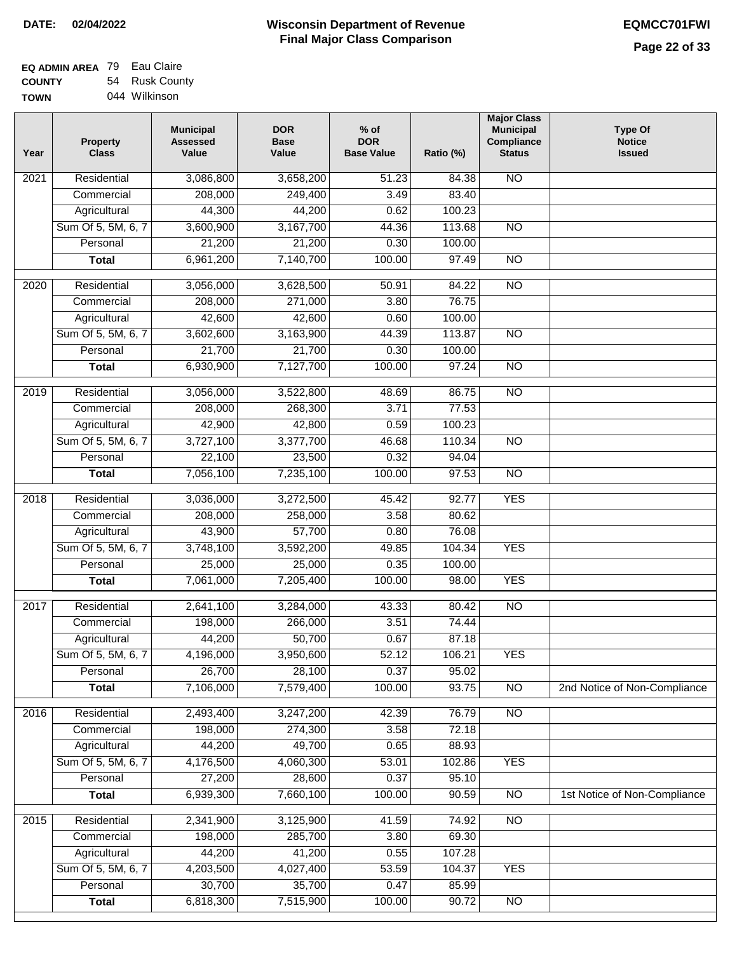| <b>EQ ADMIN AREA 79 Eau Claire</b> |                |
|------------------------------------|----------------|
| <b>COUNTY</b>                      | 54 Rusk County |
| <b>TOWN</b>                        | 044 Wilkinson  |

| Year | <b>Property</b><br><b>Class</b> | <b>Municipal</b><br><b>Assessed</b><br>Value | <b>DOR</b><br><b>Base</b><br>Value | $%$ of<br><b>DOR</b><br><b>Base Value</b> | Ratio (%) | <b>Major Class</b><br><b>Municipal</b><br>Compliance<br><b>Status</b> | <b>Type Of</b><br><b>Notice</b><br><b>Issued</b> |
|------|---------------------------------|----------------------------------------------|------------------------------------|-------------------------------------------|-----------|-----------------------------------------------------------------------|--------------------------------------------------|
| 2021 | Residential                     | 3,086,800                                    | 3,658,200                          | 51.23                                     | 84.38     | $\overline{NO}$                                                       |                                                  |
|      | Commercial                      | 208,000                                      | 249,400                            | 3.49                                      | 83.40     |                                                                       |                                                  |
|      | Agricultural                    | 44,300                                       | 44,200                             | 0.62                                      | 100.23    |                                                                       |                                                  |
|      | Sum Of 5, 5M, 6, 7              | 3,600,900                                    | 3,167,700                          | 44.36                                     | 113.68    | $\overline{NO}$                                                       |                                                  |
|      | Personal                        | 21,200                                       | 21,200                             | 0.30                                      | 100.00    |                                                                       |                                                  |
|      | <b>Total</b>                    | 6,961,200                                    | 7,140,700                          | 100.00                                    | 97.49     | $\overline{NO}$                                                       |                                                  |
| 2020 | Residential                     | 3,056,000                                    | 3,628,500                          | 50.91                                     | 84.22     | $\overline{10}$                                                       |                                                  |
|      | Commercial                      | 208,000                                      | 271,000                            | 3.80                                      | 76.75     |                                                                       |                                                  |
|      | Agricultural                    | 42,600                                       | 42,600                             | 0.60                                      | 100.00    |                                                                       |                                                  |
|      | Sum Of 5, 5M, 6, 7              | 3,602,600                                    | 3,163,900                          | 44.39                                     | 113.87    | $\overline{NO}$                                                       |                                                  |
|      | Personal                        | 21,700                                       | 21,700                             | 0.30                                      | 100.00    |                                                                       |                                                  |
|      | <b>Total</b>                    | 6,930,900                                    | 7,127,700                          | 100.00                                    | 97.24     | $\overline{NO}$                                                       |                                                  |
| 2019 | Residential                     | 3,056,000                                    | 3,522,800                          | 48.69                                     | 86.75     | <b>NO</b>                                                             |                                                  |
|      | Commercial                      | 208,000                                      | 268,300                            | 3.71                                      | 77.53     |                                                                       |                                                  |
|      | Agricultural                    | 42,900                                       | 42,800                             | 0.59                                      | 100.23    |                                                                       |                                                  |
|      | Sum Of 5, 5M, 6, 7              | 3,727,100                                    | 3,377,700                          | 46.68                                     | 110.34    | $\overline{NO}$                                                       |                                                  |
|      | Personal                        | 22,100                                       | 23,500                             | 0.32                                      | 94.04     |                                                                       |                                                  |
|      | <b>Total</b>                    | 7,056,100                                    | 7,235,100                          | 100.00                                    | 97.53     | <b>NO</b>                                                             |                                                  |
| 2018 | Residential                     | 3,036,000                                    | 3,272,500                          | 45.42                                     | 92.77     | <b>YES</b>                                                            |                                                  |
|      | Commercial                      | 208,000                                      | 258,000                            | 3.58                                      | 80.62     |                                                                       |                                                  |
|      | Agricultural                    | 43,900                                       | 57,700                             | 0.80                                      | 76.08     |                                                                       |                                                  |
|      | Sum Of 5, 5M, 6, 7              | 3,748,100                                    | 3,592,200                          | 49.85                                     | 104.34    | <b>YES</b>                                                            |                                                  |
|      | Personal                        | 25,000                                       | 25,000                             | 0.35                                      | 100.00    |                                                                       |                                                  |
|      | <b>Total</b>                    | 7,061,000                                    | 7,205,400                          | 100.00                                    | 98.00     | <b>YES</b>                                                            |                                                  |
| 2017 | Residential                     | 2,641,100                                    | 3,284,000                          | 43.33                                     | 80.42     | N <sub>O</sub>                                                        |                                                  |
|      | Commercial                      | 198,000                                      | 266,000                            | 3.51                                      | 74.44     |                                                                       |                                                  |
|      | Agricultural                    | 44,200                                       | 50,700                             | 0.67                                      | 87.18     |                                                                       |                                                  |
|      | Sum Of 5, 5M, 6, 7              | 4,196,000                                    | 3,950,600                          | 52.12                                     | 106.21    | <b>YES</b>                                                            |                                                  |
|      | Personal                        | 26,700                                       | 28,100                             | 0.37                                      | 95.02     |                                                                       |                                                  |
|      | <b>Total</b>                    | 7,106,000                                    | 7,579,400                          | 100.00                                    | 93.75     | <b>NO</b>                                                             | 2nd Notice of Non-Compliance                     |
| 2016 | Residential                     | 2,493,400                                    | 3,247,200                          | 42.39                                     | 76.79     | $\overline{NO}$                                                       |                                                  |
|      | Commercial                      | 198,000                                      | 274,300                            | 3.58                                      | 72.18     |                                                                       |                                                  |
|      | Agricultural                    | 44,200                                       | 49,700                             | 0.65                                      | 88.93     |                                                                       |                                                  |
|      | Sum Of 5, 5M, 6, 7              | 4,176,500                                    | 4,060,300                          | 53.01                                     | 102.86    | <b>YES</b>                                                            |                                                  |
|      | Personal                        | 27,200                                       | 28,600                             | 0.37                                      | 95.10     |                                                                       |                                                  |
|      | <b>Total</b>                    | 6,939,300                                    | 7,660,100                          | 100.00                                    | 90.59     | N <sub>O</sub>                                                        | 1st Notice of Non-Compliance                     |
| 2015 | Residential                     | 2,341,900                                    | 3,125,900                          | 41.59                                     | 74.92     | $\overline{NO}$                                                       |                                                  |
|      | Commercial                      | 198,000                                      | 285,700                            | 3.80                                      | 69.30     |                                                                       |                                                  |
|      | Agricultural                    | 44,200                                       | 41,200                             | 0.55                                      | 107.28    |                                                                       |                                                  |
|      | Sum Of 5, 5M, 6, 7              | 4,203,500                                    | 4,027,400                          | 53.59                                     | 104.37    | <b>YES</b>                                                            |                                                  |
|      | Personal                        | 30,700                                       | 35,700                             | 0.47                                      | 85.99     |                                                                       |                                                  |
|      | <b>Total</b>                    | 6,818,300                                    | 7,515,900                          | 100.00                                    | 90.72     | $\overline{NO}$                                                       |                                                  |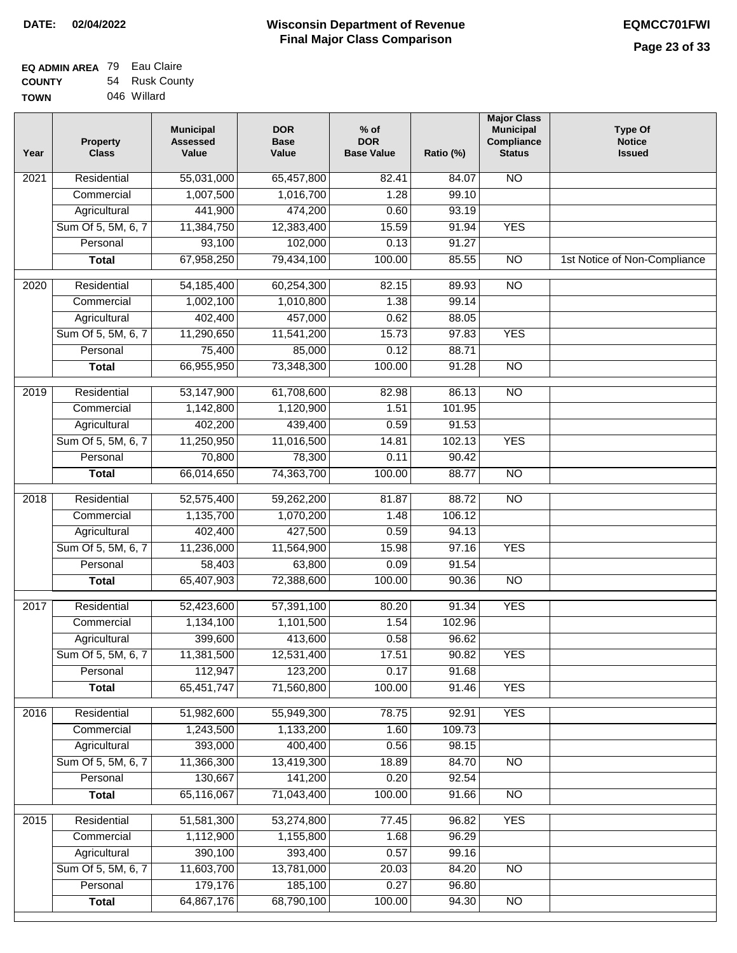| <b>EQ ADMIN AREA</b> 79 Eau Claire |                |
|------------------------------------|----------------|
| <b>COUNTY</b>                      | 54 Rusk County |
| <b>TOWN</b>                        | 046 Willard    |

| Year | <b>Property</b><br><b>Class</b> | <b>Municipal</b><br><b>Assessed</b><br>Value | <b>DOR</b><br><b>Base</b><br>Value | $%$ of<br><b>DOR</b><br><b>Base Value</b> | Ratio (%) | <b>Major Class</b><br><b>Municipal</b><br>Compliance<br><b>Status</b> | <b>Type Of</b><br><b>Notice</b><br><b>Issued</b> |
|------|---------------------------------|----------------------------------------------|------------------------------------|-------------------------------------------|-----------|-----------------------------------------------------------------------|--------------------------------------------------|
| 2021 | Residential                     | 55,031,000                                   | 65,457,800                         | 82.41                                     | 84.07     | $\overline{NO}$                                                       |                                                  |
|      | Commercial                      | 1,007,500                                    | 1,016,700                          | 1.28                                      | 99.10     |                                                                       |                                                  |
|      | Agricultural                    | 441,900                                      | 474,200                            | 0.60                                      | 93.19     |                                                                       |                                                  |
|      | Sum Of 5, 5M, 6, 7              | 11,384,750                                   | 12,383,400                         | 15.59                                     | 91.94     | <b>YES</b>                                                            |                                                  |
|      | Personal                        | 93,100                                       | 102,000                            | 0.13                                      | 91.27     |                                                                       |                                                  |
|      | <b>Total</b>                    | 67,958,250                                   | 79,434,100                         | 100.00                                    | 85.55     | $\overline{NO}$                                                       | 1st Notice of Non-Compliance                     |
| 2020 | Residential                     | 54, 185, 400                                 | 60,254,300                         | 82.15                                     | 89.93     | $\overline{NO}$                                                       |                                                  |
|      | Commercial                      | 1,002,100                                    | 1,010,800                          | 1.38                                      | 99.14     |                                                                       |                                                  |
|      | Agricultural                    | 402,400                                      | 457,000                            | 0.62                                      | 88.05     |                                                                       |                                                  |
|      | Sum Of 5, 5M, 6, 7              | 11,290,650                                   | 11,541,200                         | 15.73                                     | 97.83     | <b>YES</b>                                                            |                                                  |
|      | Personal                        | 75,400                                       | 85,000                             | 0.12                                      | 88.71     |                                                                       |                                                  |
|      | <b>Total</b>                    | 66,955,950                                   | 73,348,300                         | 100.00                                    | 91.28     | $\overline{NO}$                                                       |                                                  |
| 2019 | Residential                     | 53,147,900                                   | 61,708,600                         | 82.98                                     | 86.13     | <b>NO</b>                                                             |                                                  |
|      | Commercial                      | 1,142,800                                    | 1,120,900                          | 1.51                                      | 101.95    |                                                                       |                                                  |
|      | Agricultural                    | 402,200                                      | 439,400                            | 0.59                                      | 91.53     |                                                                       |                                                  |
|      | Sum Of 5, 5M, 6, 7              | 11,250,950                                   | 11,016,500                         | 14.81                                     | 102.13    | <b>YES</b>                                                            |                                                  |
|      | Personal                        | 70,800                                       | 78,300                             | 0.11                                      | 90.42     |                                                                       |                                                  |
|      | <b>Total</b>                    | 66,014,650                                   | 74,363,700                         | 100.00                                    | 88.77     | <b>NO</b>                                                             |                                                  |
| 2018 | Residential                     | 52,575,400                                   | 59,262,200                         | 81.87                                     | 88.72     | $\overline{NO}$                                                       |                                                  |
|      | Commercial                      | 1,135,700                                    | 1,070,200                          | 1.48                                      | 106.12    |                                                                       |                                                  |
|      | Agricultural                    | 402,400                                      | 427,500                            | 0.59                                      | 94.13     |                                                                       |                                                  |
|      | Sum Of 5, 5M, 6, 7              | 11,236,000                                   | 11,564,900                         | 15.98                                     | 97.16     | <b>YES</b>                                                            |                                                  |
|      | Personal                        | 58,403                                       | 63,800                             | 0.09                                      | 91.54     |                                                                       |                                                  |
|      | <b>Total</b>                    | 65,407,903                                   | 72,388,600                         | 100.00                                    | 90.36     | <b>NO</b>                                                             |                                                  |
| 2017 | Residential                     | 52,423,600                                   | 57,391,100                         | 80.20                                     | 91.34     | <b>YES</b>                                                            |                                                  |
|      | Commercial                      | 1,134,100                                    | 1,101,500                          | 1.54                                      | 102.96    |                                                                       |                                                  |
|      | Agricultural                    | 399,600                                      | 413,600                            | 0.58                                      | 96.62     |                                                                       |                                                  |
|      | Sum Of 5, 5M, 6, 7              | 11,381,500                                   | 12,531,400                         | 17.51                                     | 90.82     | <b>YES</b>                                                            |                                                  |
|      | Personal                        | 112,947                                      | 123,200                            | 0.17                                      | 91.68     |                                                                       |                                                  |
|      | <b>Total</b>                    | 65,451,747                                   | 71,560,800                         | 100.00                                    | 91.46     | <b>YES</b>                                                            |                                                  |
| 2016 | Residential                     | 51,982,600                                   | 55,949,300                         | 78.75                                     | 92.91     | <b>YES</b>                                                            |                                                  |
|      | Commercial                      | 1,243,500                                    | 1,133,200                          | 1.60                                      | 109.73    |                                                                       |                                                  |
|      | Agricultural                    | 393,000                                      | 400,400                            | 0.56                                      | 98.15     |                                                                       |                                                  |
|      | Sum Of 5, 5M, 6, 7              | 11,366,300                                   | 13,419,300                         | 18.89                                     | 84.70     | N <sub>O</sub>                                                        |                                                  |
|      | Personal                        | 130,667                                      | 141,200                            | 0.20                                      | 92.54     |                                                                       |                                                  |
|      | <b>Total</b>                    | 65,116,067                                   | 71,043,400                         | 100.00                                    | 91.66     | $\overline{NO}$                                                       |                                                  |
| 2015 | Residential                     | 51,581,300                                   | 53,274,800                         | 77.45                                     | 96.82     | <b>YES</b>                                                            |                                                  |
|      | Commercial                      | 1,112,900                                    | 1,155,800                          | 1.68                                      | 96.29     |                                                                       |                                                  |
|      | Agricultural                    | 390,100                                      | 393,400                            | 0.57                                      | 99.16     |                                                                       |                                                  |
|      | Sum Of 5, 5M, 6, 7              | 11,603,700                                   | 13,781,000                         | 20.03                                     | 84.20     | <b>NO</b>                                                             |                                                  |
|      | Personal                        | 179,176                                      | 185,100                            | 0.27                                      | 96.80     |                                                                       |                                                  |
|      | <b>Total</b>                    | 64,867,176                                   | 68,790,100                         | 100.00                                    | 94.30     | $\overline{NO}$                                                       |                                                  |
|      |                                 |                                              |                                    |                                           |           |                                                                       |                                                  |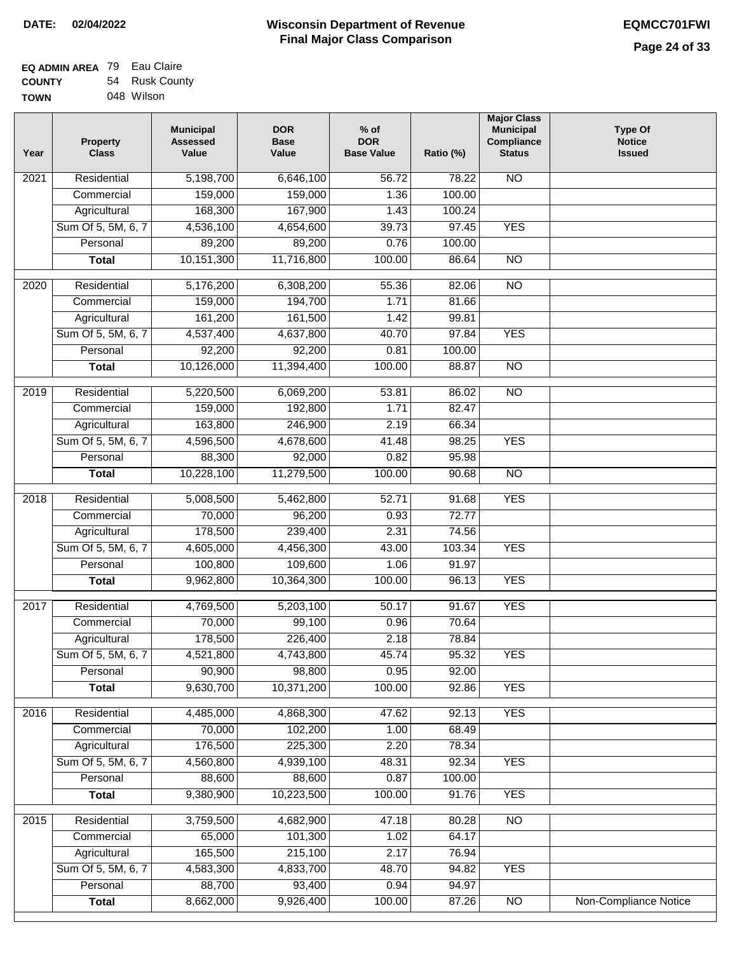| <b>EQ ADMIN AREA</b> 79 Eau Claire |                |
|------------------------------------|----------------|
| <b>COUNTY</b>                      | 54 Rusk County |
| <b>TOWN</b>                        | 048 Wilson     |

| Year              | <b>Property</b><br><b>Class</b> | <b>Municipal</b><br><b>Assessed</b><br>Value | <b>DOR</b><br><b>Base</b><br>Value | $%$ of<br><b>DOR</b><br><b>Base Value</b> | Ratio (%) | <b>Major Class</b><br><b>Municipal</b><br>Compliance<br><b>Status</b> | <b>Type Of</b><br><b>Notice</b><br><b>Issued</b> |
|-------------------|---------------------------------|----------------------------------------------|------------------------------------|-------------------------------------------|-----------|-----------------------------------------------------------------------|--------------------------------------------------|
| 2021              | Residential                     | 5,198,700                                    | 6,646,100                          | 56.72                                     | 78.22     | <b>NO</b>                                                             |                                                  |
|                   | Commercial                      | 159,000                                      | 159,000                            | 1.36                                      | 100.00    |                                                                       |                                                  |
|                   | Agricultural                    | 168,300                                      | 167,900                            | 1.43                                      | 100.24    |                                                                       |                                                  |
|                   | Sum Of 5, 5M, 6, 7              | 4,536,100                                    | 4,654,600                          | 39.73                                     | 97.45     | <b>YES</b>                                                            |                                                  |
|                   | Personal                        | 89,200                                       | 89,200                             | 0.76                                      | 100.00    |                                                                       |                                                  |
|                   | <b>Total</b>                    | 10,151,300                                   | 11,716,800                         | 100.00                                    | 86.64     | $\overline{NO}$                                                       |                                                  |
| $\overline{2020}$ | Residential                     | 5,176,200                                    | 6,308,200                          | 55.36                                     | 82.06     | $\overline{NO}$                                                       |                                                  |
|                   | Commercial                      | 159,000                                      | 194,700                            | 1.71                                      | 81.66     |                                                                       |                                                  |
|                   | Agricultural                    | 161,200                                      | 161,500                            | 1.42                                      | 99.81     |                                                                       |                                                  |
|                   | Sum Of 5, 5M, 6, 7              | 4,537,400                                    | 4,637,800                          | 40.70                                     | 97.84     | <b>YES</b>                                                            |                                                  |
|                   | Personal                        | 92,200                                       | 92,200                             | 0.81                                      | 100.00    |                                                                       |                                                  |
|                   | <b>Total</b>                    | 10,126,000                                   | 11,394,400                         | 100.00                                    | 88.87     | $\overline{NO}$                                                       |                                                  |
|                   |                                 |                                              |                                    |                                           |           |                                                                       |                                                  |
| 2019              | Residential                     | 5,220,500                                    | 6,069,200                          | 53.81                                     | 86.02     | $\overline{NO}$                                                       |                                                  |
|                   | Commercial                      | 159,000                                      | 192,800                            | 1.71                                      | 82.47     |                                                                       |                                                  |
|                   | Agricultural                    | 163,800                                      | 246,900                            | 2.19                                      | 66.34     |                                                                       |                                                  |
|                   | Sum Of 5, 5M, 6, 7              | 4,596,500                                    | 4,678,600                          | 41.48                                     | 98.25     | <b>YES</b>                                                            |                                                  |
|                   | Personal                        | 88,300                                       | 92,000                             | 0.82                                      | 95.98     |                                                                       |                                                  |
|                   | <b>Total</b>                    | 10,228,100                                   | 11,279,500                         | 100.00                                    | 90.68     | $\overline{NO}$                                                       |                                                  |
| 2018              | Residential                     | 5,008,500                                    | 5,462,800                          | 52.71                                     | 91.68     | <b>YES</b>                                                            |                                                  |
|                   | Commercial                      | 70,000                                       | 96,200                             | 0.93                                      | 72.77     |                                                                       |                                                  |
|                   | Agricultural                    | 178,500                                      | 239,400                            | 2.31                                      | 74.56     |                                                                       |                                                  |
|                   | Sum Of 5, 5M, 6, 7              | 4,605,000                                    | 4,456,300                          | 43.00                                     | 103.34    | <b>YES</b>                                                            |                                                  |
|                   | Personal                        | 100,800                                      | 109,600                            | 1.06                                      | 91.97     |                                                                       |                                                  |
|                   | <b>Total</b>                    | 9,962,800                                    | 10,364,300                         | 100.00                                    | 96.13     | <b>YES</b>                                                            |                                                  |
|                   |                                 |                                              |                                    |                                           |           |                                                                       |                                                  |
| 2017              | Residential                     | 4,769,500                                    | 5,203,100                          | 50.17                                     | 91.67     | <b>YES</b>                                                            |                                                  |
|                   | Commercial                      | 70,000                                       | 99,100                             | 0.96                                      | 70.64     |                                                                       |                                                  |
|                   | Agricultural                    | 178,500                                      | 226,400                            | 2.18                                      | 78.84     |                                                                       |                                                  |
|                   | Sum Of 5, 5M, 6, 7              | 4,521,800                                    | 4,743,800                          | 45.74                                     | 95.32     | <b>YES</b>                                                            |                                                  |
|                   | Personal                        | 90,900                                       | 98,800                             | 0.95                                      | 92.00     |                                                                       |                                                  |
|                   | <b>Total</b>                    | 9,630,700                                    | 10,371,200                         | 100.00                                    | 92.86     | <b>YES</b>                                                            |                                                  |
| 2016              | Residential                     | 4,485,000                                    | 4,868,300                          | 47.62                                     | 92.13     | <b>YES</b>                                                            |                                                  |
|                   | Commercial                      | 70,000                                       | 102,200                            | 1.00                                      | 68.49     |                                                                       |                                                  |
|                   | Agricultural                    | 176,500                                      | 225,300                            | 2.20                                      | 78.34     |                                                                       |                                                  |
|                   | Sum Of 5, 5M, 6, 7              | 4,560,800                                    | 4,939,100                          | 48.31                                     | 92.34     | <b>YES</b>                                                            |                                                  |
|                   | Personal                        | 88,600                                       | 88,600                             | 0.87                                      | 100.00    |                                                                       |                                                  |
|                   | <b>Total</b>                    | 9,380,900                                    | 10,223,500                         | 100.00                                    | 91.76     | <b>YES</b>                                                            |                                                  |
| 2015              | Residential                     | 3,759,500                                    | 4,682,900                          | 47.18                                     | 80.28     | $\overline{NO}$                                                       |                                                  |
|                   | Commercial                      | 65,000                                       | 101,300                            | 1.02                                      | 64.17     |                                                                       |                                                  |
|                   | Agricultural                    | 165,500                                      | 215,100                            | 2.17                                      | 76.94     |                                                                       |                                                  |
|                   | Sum Of 5, 5M, 6, 7              | 4,583,300                                    | 4,833,700                          | 48.70                                     | 94.82     | <b>YES</b>                                                            |                                                  |
|                   | Personal                        | 88,700                                       | 93,400                             | 0.94                                      | 94.97     |                                                                       |                                                  |
|                   | <b>Total</b>                    | 8,662,000                                    | 9,926,400                          | 100.00                                    | 87.26     | $\overline{NO}$                                                       | <b>Non-Compliance Notice</b>                     |
|                   |                                 |                                              |                                    |                                           |           |                                                                       |                                                  |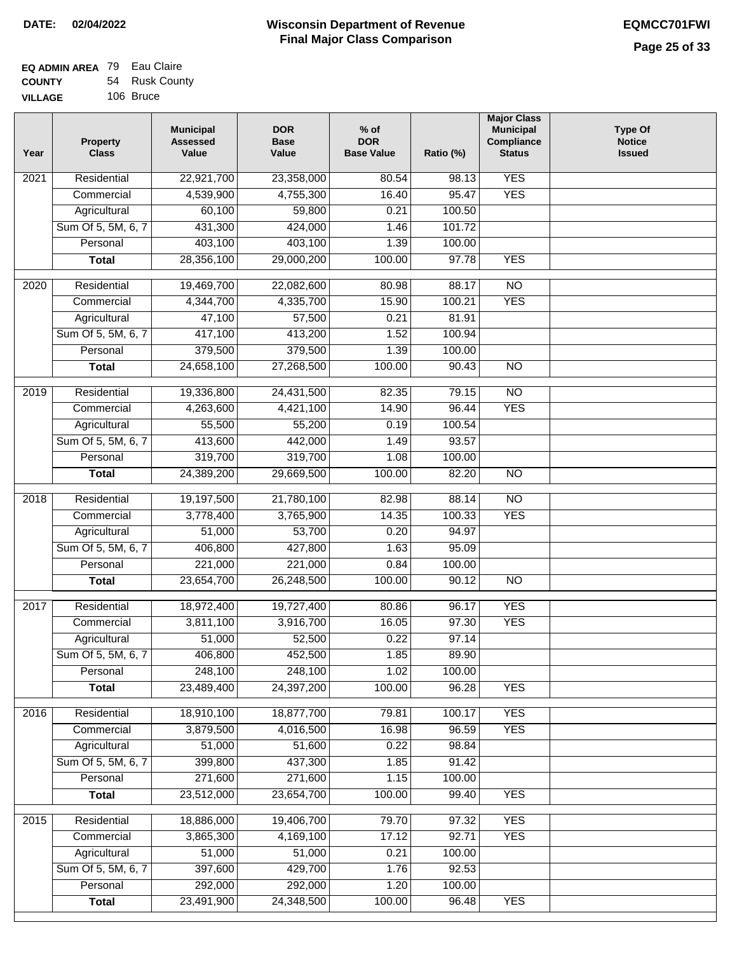| <b>EQ ADMIN AREA</b> 79 Eau Claire |                |
|------------------------------------|----------------|
| <b>COUNTY</b>                      | 54 Rusk County |
| <b>VILLAGE</b>                     | 106 Bruce      |

| Year | <b>Property</b><br><b>Class</b> | <b>Municipal</b><br><b>Assessed</b><br>Value | <b>DOR</b><br><b>Base</b><br>Value | $%$ of<br><b>DOR</b><br><b>Base Value</b> | Ratio (%) | <b>Major Class</b><br><b>Municipal</b><br>Compliance<br><b>Status</b> | <b>Type Of</b><br><b>Notice</b><br><b>Issued</b> |
|------|---------------------------------|----------------------------------------------|------------------------------------|-------------------------------------------|-----------|-----------------------------------------------------------------------|--------------------------------------------------|
| 2021 | Residential                     | 22,921,700                                   | 23,358,000                         | 80.54                                     | 98.13     | <b>YES</b>                                                            |                                                  |
|      | Commercial                      | 4,539,900                                    | 4,755,300                          | 16.40                                     | 95.47     | <b>YES</b>                                                            |                                                  |
|      | Agricultural                    | 60,100                                       | 59,800                             | 0.21                                      | 100.50    |                                                                       |                                                  |
|      | Sum Of 5, 5M, 6, 7              | 431,300                                      | 424,000                            | 1.46                                      | 101.72    |                                                                       |                                                  |
|      | Personal                        | 403,100                                      | 403,100                            | 1.39                                      | 100.00    |                                                                       |                                                  |
|      | <b>Total</b>                    | 28,356,100                                   | 29,000,200                         | 100.00                                    | 97.78     | <b>YES</b>                                                            |                                                  |
| 2020 | Residential                     | 19,469,700                                   | 22,082,600                         | 80.98                                     | 88.17     | $\overline{NO}$                                                       |                                                  |
|      | Commercial                      | 4,344,700                                    | 4,335,700                          | 15.90                                     | 100.21    | <b>YES</b>                                                            |                                                  |
|      | Agricultural                    | 47,100                                       | 57,500                             | 0.21                                      | 81.91     |                                                                       |                                                  |
|      | Sum Of 5, 5M, 6, 7              | 417,100                                      | 413,200                            | 1.52                                      | 100.94    |                                                                       |                                                  |
|      | Personal                        | 379,500                                      | 379,500                            | 1.39                                      | 100.00    |                                                                       |                                                  |
|      | <b>Total</b>                    | 24,658,100                                   | 27,268,500                         | 100.00                                    | 90.43     | $\overline{NO}$                                                       |                                                  |
|      |                                 |                                              |                                    |                                           |           |                                                                       |                                                  |
| 2019 | Residential                     | 19,336,800                                   | 24,431,500                         | 82.35                                     | 79.15     | $\overline{NO}$                                                       |                                                  |
|      | Commercial                      | 4,263,600                                    | 4,421,100                          | 14.90                                     | 96.44     | <b>YES</b>                                                            |                                                  |
|      | Agricultural                    | 55,500                                       | 55,200                             | 0.19                                      | 100.54    |                                                                       |                                                  |
|      | Sum Of 5, 5M, 6, 7              | 413,600                                      | 442,000                            | 1.49                                      | 93.57     |                                                                       |                                                  |
|      | Personal                        | 319,700                                      | 319,700                            | 1.08                                      | 100.00    |                                                                       |                                                  |
|      | <b>Total</b>                    | 24,389,200                                   | 29,669,500                         | 100.00                                    | 82.20     | <b>NO</b>                                                             |                                                  |
| 2018 | Residential                     | 19,197,500                                   | 21,780,100                         | 82.98                                     | 88.14     | $\overline{NO}$                                                       |                                                  |
|      | Commercial                      | 3,778,400                                    | 3,765,900                          | 14.35                                     | 100.33    | <b>YES</b>                                                            |                                                  |
|      | Agricultural                    | 51,000                                       | 53,700                             | 0.20                                      | 94.97     |                                                                       |                                                  |
|      | Sum Of 5, 5M, 6, 7              | 406,800                                      | 427,800                            | 1.63                                      | 95.09     |                                                                       |                                                  |
|      | Personal                        | 221,000                                      | 221,000                            | 0.84                                      | 100.00    |                                                                       |                                                  |
|      | <b>Total</b>                    | 23,654,700                                   | 26,248,500                         | 100.00                                    | 90.12     | $\overline{NO}$                                                       |                                                  |
| 2017 | Residential                     | 18,972,400                                   | 19,727,400                         | 80.86                                     | 96.17     | <b>YES</b>                                                            |                                                  |
|      | Commercial                      | 3,811,100                                    | 3,916,700                          | 16.05                                     | 97.30     | <b>YES</b>                                                            |                                                  |
|      | Agricultural                    | 51,000                                       | 52,500                             | 0.22                                      | 97.14     |                                                                       |                                                  |
|      | Sum Of 5, 5M, 6, 7              | 406,800                                      | 452,500                            | 1.85                                      | 89.90     |                                                                       |                                                  |
|      | Personal                        | 248,100                                      | 248,100                            | 1.02                                      | 100.00    |                                                                       |                                                  |
|      | <b>Total</b>                    | 23,489,400                                   | 24,397,200                         | 100.00                                    | 96.28     | <b>YES</b>                                                            |                                                  |
| 2016 | Residential                     | 18,910,100                                   | 18,877,700                         | 79.81                                     | 100.17    | <b>YES</b>                                                            |                                                  |
|      | Commercial                      | 3,879,500                                    | 4,016,500                          | 16.98                                     | 96.59     | <b>YES</b>                                                            |                                                  |
|      | Agricultural                    | 51,000                                       | 51,600                             | 0.22                                      | 98.84     |                                                                       |                                                  |
|      | Sum Of 5, 5M, 6, 7              | 399,800                                      | 437,300                            | 1.85                                      | 91.42     |                                                                       |                                                  |
|      | Personal                        | 271,600                                      | 271,600                            | 1.15                                      | 100.00    |                                                                       |                                                  |
|      | <b>Total</b>                    | 23,512,000                                   | 23,654,700                         | 100.00                                    | 99.40     | <b>YES</b>                                                            |                                                  |
| 2015 | Residential                     | 18,886,000                                   | 19,406,700                         | 79.70                                     | 97.32     | <b>YES</b>                                                            |                                                  |
|      | Commercial                      | 3,865,300                                    | 4,169,100                          | 17.12                                     | 92.71     | <b>YES</b>                                                            |                                                  |
|      | Agricultural                    | 51,000                                       | 51,000                             | 0.21                                      | 100.00    |                                                                       |                                                  |
|      | Sum Of 5, 5M, 6, 7              | 397,600                                      | 429,700                            | 1.76                                      | 92.53     |                                                                       |                                                  |
|      | Personal                        | 292,000                                      | 292,000                            | 1.20                                      | 100.00    |                                                                       |                                                  |
|      | <b>Total</b>                    | 23,491,900                                   | 24,348,500                         | 100.00                                    | 96.48     | <b>YES</b>                                                            |                                                  |
|      |                                 |                                              |                                    |                                           |           |                                                                       |                                                  |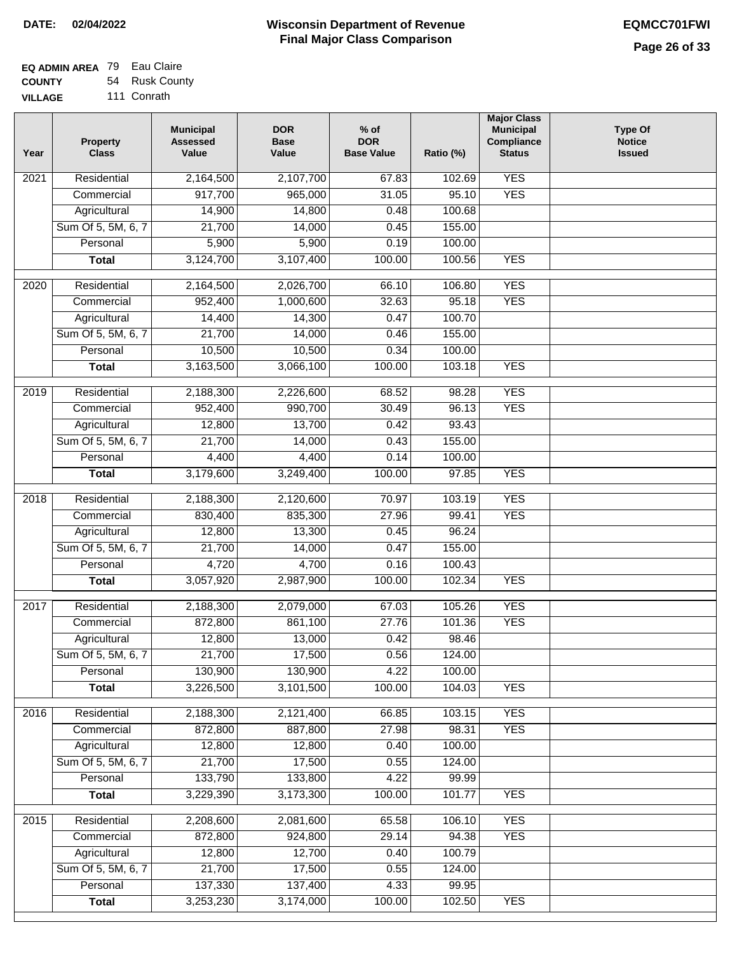| <b>EQ ADMIN AREA</b> 79 Eau Claire |                |
|------------------------------------|----------------|
| <b>COUNTY</b>                      | 54 Rusk County |

**VILLAGE** 111 Conrath

| Year | <b>Property</b><br><b>Class</b>    | <b>Municipal</b><br><b>Assessed</b><br>Value | <b>DOR</b><br><b>Base</b><br>Value | $%$ of<br><b>DOR</b><br><b>Base Value</b> | Ratio (%)        | <b>Major Class</b><br><b>Municipal</b><br>Compliance<br><b>Status</b> | <b>Type Of</b><br><b>Notice</b><br><b>Issued</b> |
|------|------------------------------------|----------------------------------------------|------------------------------------|-------------------------------------------|------------------|-----------------------------------------------------------------------|--------------------------------------------------|
| 2021 | Residential                        | 2,164,500                                    | 2,107,700                          | 67.83                                     | 102.69           | <b>YES</b>                                                            |                                                  |
|      | Commercial                         | 917,700                                      | 965,000                            | 31.05                                     | 95.10            | <b>YES</b>                                                            |                                                  |
|      | Agricultural                       | 14,900                                       | 14,800                             | 0.48                                      | 100.68           |                                                                       |                                                  |
|      | Sum Of 5, 5M, 6, 7                 | 21,700                                       | 14,000                             | 0.45                                      | 155.00           |                                                                       |                                                  |
|      | Personal                           | 5,900                                        | 5,900                              | 0.19                                      | 100.00           |                                                                       |                                                  |
|      | <b>Total</b>                       | 3,124,700                                    | 3,107,400                          | 100.00                                    | 100.56           | <b>YES</b>                                                            |                                                  |
| 2020 | Residential                        | 2,164,500                                    | 2,026,700                          | 66.10                                     | 106.80           | <b>YES</b>                                                            |                                                  |
|      | Commercial                         | 952,400                                      | 1,000,600                          | 32.63                                     | 95.18            | <b>YES</b>                                                            |                                                  |
|      | Agricultural                       | 14,400                                       | 14,300                             | 0.47                                      | 100.70           |                                                                       |                                                  |
|      | Sum Of 5, 5M, 6, 7                 | 21,700                                       | 14,000                             | 0.46                                      | 155.00           |                                                                       |                                                  |
|      | Personal                           | 10,500                                       | 10,500                             | 0.34                                      | 100.00           |                                                                       |                                                  |
|      | <b>Total</b>                       | 3,163,500                                    | 3,066,100                          | 100.00                                    | 103.18           | <b>YES</b>                                                            |                                                  |
| 2019 | Residential                        | 2,188,300                                    | 2,226,600                          | 68.52                                     | 98.28            | <b>YES</b>                                                            |                                                  |
|      | Commercial                         | 952,400                                      | 990,700                            | 30.49                                     | 96.13            | <b>YES</b>                                                            |                                                  |
|      | Agricultural                       | 12,800                                       | 13,700                             | 0.42                                      | 93.43            |                                                                       |                                                  |
|      | Sum Of 5, 5M, 6, 7                 | 21,700                                       | 14,000                             | 0.43                                      | 155.00           |                                                                       |                                                  |
|      | Personal                           | 4,400                                        | 4,400                              | 0.14                                      | 100.00           |                                                                       |                                                  |
|      | <b>Total</b>                       | 3,179,600                                    | 3,249,400                          | 100.00                                    | 97.85            | <b>YES</b>                                                            |                                                  |
|      |                                    |                                              |                                    |                                           |                  |                                                                       |                                                  |
| 2018 | Residential                        | 2,188,300                                    | 2,120,600                          | 70.97                                     | 103.19           | <b>YES</b>                                                            |                                                  |
|      | Commercial                         | 830,400                                      | 835,300                            | 27.96                                     | 99.41            | <b>YES</b>                                                            |                                                  |
|      | Agricultural                       | 12,800                                       | 13,300                             | 0.45                                      | 96.24            |                                                                       |                                                  |
|      | Sum Of 5, 5M, 6, 7                 | 21,700                                       | 14,000                             | 0.47                                      | 155.00           |                                                                       |                                                  |
|      | Personal                           | 4,720                                        | 4,700                              | 0.16                                      | 100.43           |                                                                       |                                                  |
|      | <b>Total</b>                       | 3,057,920                                    | 2,987,900                          | 100.00                                    | 102.34           | <b>YES</b>                                                            |                                                  |
| 2017 | Residential                        | 2,188,300                                    | 2,079,000                          | 67.03                                     | 105.26           | <b>YES</b>                                                            |                                                  |
|      | Commercial                         | 872,800                                      | 861,100                            | 27.76                                     | 101.36           | <b>YES</b>                                                            |                                                  |
|      | Agricultural                       | 12,800                                       | 13,000                             | 0.42                                      | 98.46            |                                                                       |                                                  |
|      | Sum Of 5, 5M, 6, 7                 | 21,700                                       | 17,500                             | 0.56                                      | 124.00           |                                                                       |                                                  |
|      | Personal                           | 130,900                                      | 130,900                            | 4.22                                      | 100.00           |                                                                       |                                                  |
|      | <b>Total</b>                       | 3,226,500                                    | 3,101,500                          | 100.00                                    | 104.03           | <b>YES</b>                                                            |                                                  |
| 2016 | Residential                        | 2,188,300                                    | 2,121,400                          | 66.85                                     | 103.15           | <b>YES</b>                                                            |                                                  |
|      | Commercial                         | 872,800                                      | 887,800                            | 27.98                                     | 98.31            | <b>YES</b>                                                            |                                                  |
|      | Agricultural                       | 12,800                                       | 12,800                             | 0.40                                      | 100.00           |                                                                       |                                                  |
|      | Sum Of 5, 5M, 6, 7                 | 21,700                                       | 17,500                             | 0.55                                      | 124.00           |                                                                       |                                                  |
|      | Personal                           | 133,790                                      | 133,800                            | 4.22                                      | 99.99            |                                                                       |                                                  |
|      | <b>Total</b>                       | 3,229,390                                    | 3,173,300                          | 100.00                                    | 101.77           | <b>YES</b>                                                            |                                                  |
|      |                                    |                                              |                                    |                                           |                  |                                                                       |                                                  |
| 2015 | Residential                        | 2,208,600                                    | 2,081,600                          | 65.58                                     | 106.10           | <b>YES</b>                                                            |                                                  |
|      | Commercial                         | 872,800                                      | 924,800<br>12,700                  | 29.14                                     | 94.38            | <b>YES</b>                                                            |                                                  |
|      | Agricultural<br>Sum Of 5, 5M, 6, 7 | 12,800<br>21,700                             | 17,500                             | 0.40<br>0.55                              | 100.79<br>124.00 |                                                                       |                                                  |
|      | Personal                           | 137,330                                      | 137,400                            | 4.33                                      | 99.95            |                                                                       |                                                  |
|      | <b>Total</b>                       | 3,253,230                                    | 3,174,000                          | 100.00                                    | 102.50           | <b>YES</b>                                                            |                                                  |
|      |                                    |                                              |                                    |                                           |                  |                                                                       |                                                  |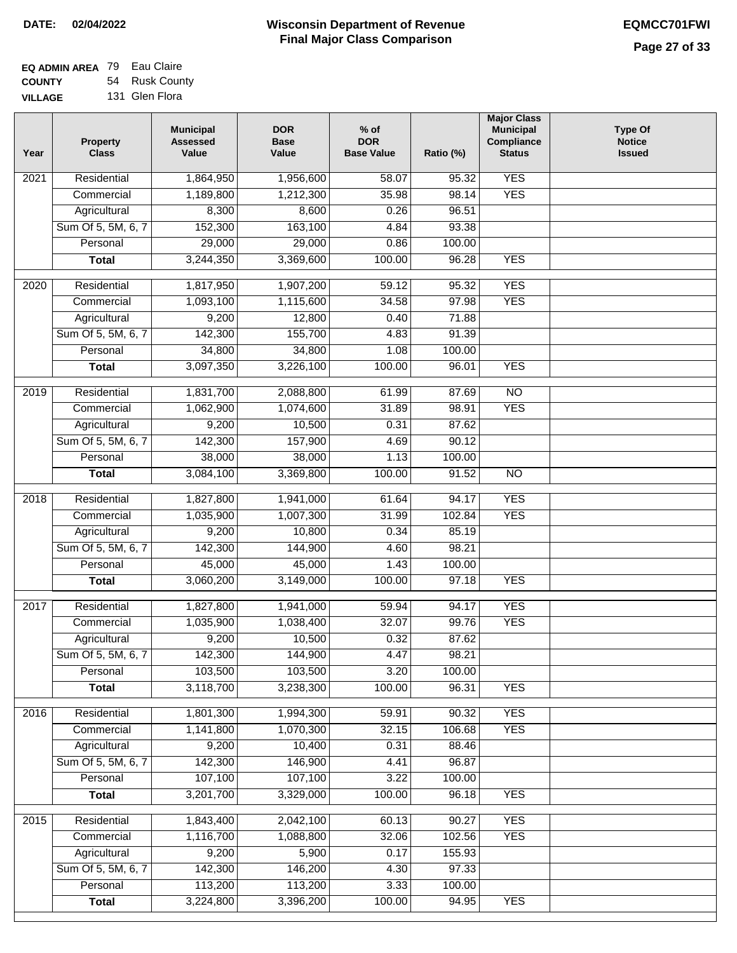$\Box$ 

### **Wisconsin Department of Revenue Final Major Class Comparison DATE: 02/04/2022 EQMCC701FWI**

| <b>EQ ADMIN AREA 79 Eau Claire</b> |                |
|------------------------------------|----------------|
| <b>COUNTY</b>                      | 54 Rusk County |
| <b>VILLAGE</b>                     | 131 Glen Flora |

| Year | <b>Property</b><br><b>Class</b> | <b>Municipal</b><br><b>Assessed</b><br>Value | <b>DOR</b><br><b>Base</b><br>Value | $%$ of<br><b>DOR</b><br><b>Base Value</b> | Ratio (%)        | <b>Major Class</b><br><b>Municipal</b><br>Compliance<br><b>Status</b> | <b>Type Of</b><br><b>Notice</b><br><b>Issued</b> |
|------|---------------------------------|----------------------------------------------|------------------------------------|-------------------------------------------|------------------|-----------------------------------------------------------------------|--------------------------------------------------|
| 2021 | Residential                     | 1,864,950                                    | 1,956,600                          | 58.07                                     | 95.32            | <b>YES</b>                                                            |                                                  |
|      | Commercial                      | 1,189,800                                    | 1,212,300                          | 35.98                                     | 98.14            | <b>YES</b>                                                            |                                                  |
|      | Agricultural                    | 8,300                                        | 8,600                              | 0.26                                      | 96.51            |                                                                       |                                                  |
|      | Sum Of 5, 5M, 6, 7              | 152,300                                      | 163,100                            | 4.84                                      | 93.38            |                                                                       |                                                  |
|      | Personal                        | 29,000                                       | 29,000                             | 0.86                                      | 100.00           |                                                                       |                                                  |
|      | <b>Total</b>                    | 3,244,350                                    | 3,369,600                          | 100.00                                    | 96.28            | <b>YES</b>                                                            |                                                  |
| 2020 | Residential                     | 1,817,950                                    | 1,907,200                          | 59.12                                     | 95.32            | <b>YES</b>                                                            |                                                  |
|      | Commercial                      | 1,093,100                                    | 1,115,600                          | 34.58                                     | 97.98            | <b>YES</b>                                                            |                                                  |
|      | Agricultural                    | 9,200                                        | 12,800                             | 0.40                                      | 71.88            |                                                                       |                                                  |
|      | Sum Of 5, 5M, 6, 7              | 142,300                                      | 155,700                            | 4.83                                      | 91.39            |                                                                       |                                                  |
|      | Personal                        | 34,800                                       | 34,800                             | 1.08                                      | 100.00           |                                                                       |                                                  |
|      | <b>Total</b>                    | 3,097,350                                    | 3,226,100                          | 100.00                                    | 96.01            | <b>YES</b>                                                            |                                                  |
|      |                                 |                                              |                                    |                                           |                  |                                                                       |                                                  |
| 2019 | Residential                     | 1,831,700                                    | 2,088,800                          | 61.99                                     | 87.69            | $\overline{NO}$                                                       |                                                  |
|      | Commercial                      | 1,062,900                                    | 1,074,600                          | 31.89                                     | 98.91            | <b>YES</b>                                                            |                                                  |
|      | Agricultural                    | 9,200                                        | 10,500                             | 0.31                                      | 87.62            |                                                                       |                                                  |
|      | Sum Of 5, 5M, 6, 7              | 142,300                                      | 157,900                            | 4.69                                      | 90.12            |                                                                       |                                                  |
|      | Personal                        | 38,000                                       | 38,000                             | 1.13                                      | 100.00           |                                                                       |                                                  |
|      | <b>Total</b>                    | 3,084,100                                    | 3,369,800                          | 100.00                                    | 91.52            | $\overline{NO}$                                                       |                                                  |
| 2018 | Residential                     | 1,827,800                                    | 1,941,000                          | 61.64                                     | 94.17            | <b>YES</b>                                                            |                                                  |
|      | Commercial                      | 1,035,900                                    | 1,007,300                          | 31.99                                     | 102.84           | <b>YES</b>                                                            |                                                  |
|      | Agricultural                    | 9,200                                        | 10,800                             | 0.34                                      | 85.19            |                                                                       |                                                  |
|      | Sum Of 5, 5M, 6, 7              | 142,300                                      | 144,900                            | 4.60                                      | 98.21            |                                                                       |                                                  |
|      | Personal                        | 45,000                                       | 45,000                             | 1.43                                      | 100.00           |                                                                       |                                                  |
|      | <b>Total</b>                    | 3,060,200                                    | 3,149,000                          | 100.00                                    | 97.18            | <b>YES</b>                                                            |                                                  |
| 2017 | Residential                     | 1,827,800                                    | 1,941,000                          | 59.94                                     | 94.17            | <b>YES</b>                                                            |                                                  |
|      | Commercial                      | 1,035,900                                    | 1,038,400                          | 32.07                                     | 99.76            | <b>YES</b>                                                            |                                                  |
|      | Agricultural                    | 9,200                                        | 10,500                             | 0.32                                      | 87.62            |                                                                       |                                                  |
|      | Sum Of 5, 5M, 6, 7              | 142,300                                      | 144,900                            | 4.47                                      | 98.21            |                                                                       |                                                  |
|      | Personal                        | 103,500                                      | 103,500                            | 3.20                                      | 100.00           |                                                                       |                                                  |
|      | <b>Total</b>                    | 3,118,700                                    | 3,238,300                          | 100.00                                    | 96.31            | <b>YES</b>                                                            |                                                  |
| 2016 | Residential                     | 1,801,300                                    | 1,994,300                          | 59.91                                     | 90.32            | <b>YES</b>                                                            |                                                  |
|      | Commercial                      | 1,141,800                                    | 1,070,300                          | 32.15                                     | 106.68           | <b>YES</b>                                                            |                                                  |
|      | Agricultural                    | 9,200                                        | 10,400                             | 0.31                                      | 88.46            |                                                                       |                                                  |
|      | Sum Of 5, 5M, 6, 7              | 142,300                                      | 146,900                            | 4.41                                      | 96.87            |                                                                       |                                                  |
|      | Personal                        | 107,100                                      | 107,100                            | 3.22                                      | 100.00           |                                                                       |                                                  |
|      | <b>Total</b>                    | 3,201,700                                    | 3,329,000                          | 100.00                                    | 96.18            | <b>YES</b>                                                            |                                                  |
|      |                                 |                                              |                                    |                                           |                  | <b>YES</b>                                                            |                                                  |
| 2015 | Residential                     | 1,843,400                                    | 2,042,100                          | 60.13                                     | 90.27            | <b>YES</b>                                                            |                                                  |
|      | Commercial<br>Agricultural      | 1,116,700<br>9,200                           | 1,088,800<br>5,900                 | 32.06<br>0.17                             | 102.56<br>155.93 |                                                                       |                                                  |
|      | Sum Of 5, 5M, 6, 7              | 142,300                                      | 146,200                            | 4.30                                      | 97.33            |                                                                       |                                                  |
|      | Personal                        | 113,200                                      | 113,200                            | 3.33                                      | 100.00           |                                                                       |                                                  |
|      | <b>Total</b>                    | 3,224,800                                    | 3,396,200                          | 100.00                                    | 94.95            | <b>YES</b>                                                            |                                                  |
|      |                                 |                                              |                                    |                                           |                  |                                                                       |                                                  |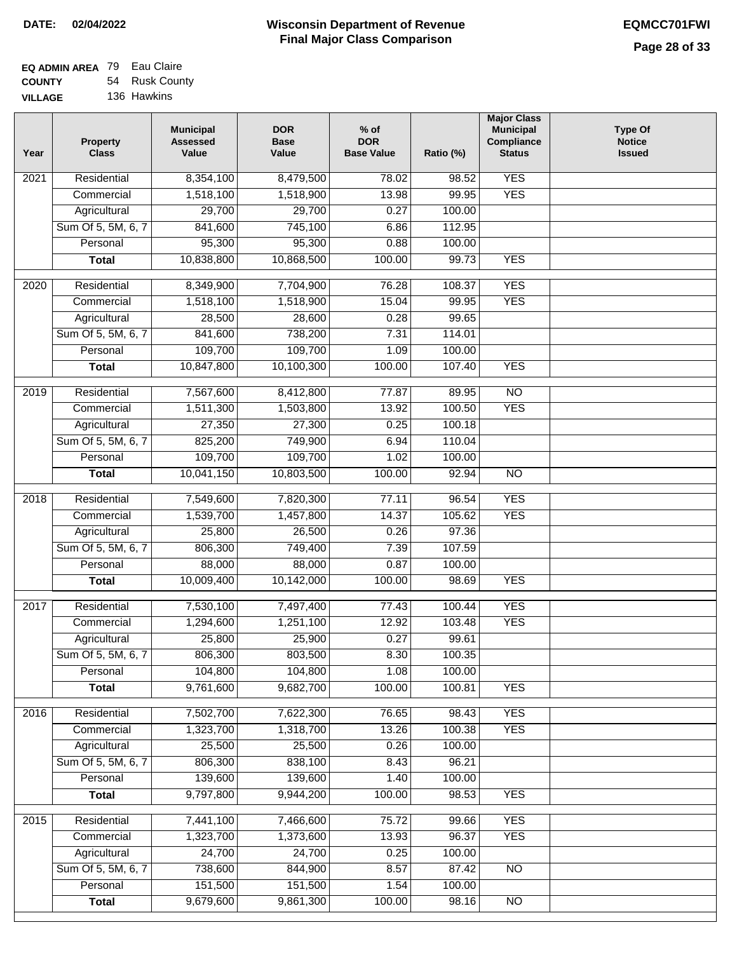$\Box$ 

### **Wisconsin Department of Revenue Final Major Class Comparison DATE: 02/04/2022 EQMCC701FWI**

٦

| <b>EQ ADMIN AREA</b> 79 Eau Claire |                |
|------------------------------------|----------------|
| <b>COUNTY</b>                      | 54 Rusk County |
| <b>VILLAGE</b>                     | 136 Hawkins    |

| Year | <b>Property</b><br><b>Class</b> | <b>Municipal</b><br><b>Assessed</b><br>Value | <b>DOR</b><br><b>Base</b><br>Value | $%$ of<br><b>DOR</b><br><b>Base Value</b> | Ratio (%) | <b>Major Class</b><br><b>Municipal</b><br>Compliance<br><b>Status</b> | <b>Type Of</b><br><b>Notice</b><br><b>Issued</b> |
|------|---------------------------------|----------------------------------------------|------------------------------------|-------------------------------------------|-----------|-----------------------------------------------------------------------|--------------------------------------------------|
| 2021 | Residential                     | 8,354,100                                    | 8,479,500                          | 78.02                                     | 98.52     | <b>YES</b>                                                            |                                                  |
|      | Commercial                      | 1,518,100                                    | 1,518,900                          | 13.98                                     | 99.95     | <b>YES</b>                                                            |                                                  |
|      | Agricultural                    | 29,700                                       | 29,700                             | 0.27                                      | 100.00    |                                                                       |                                                  |
|      | Sum Of 5, 5M, 6, 7              | 841,600                                      | 745,100                            | 6.86                                      | 112.95    |                                                                       |                                                  |
|      | Personal                        | 95,300                                       | 95,300                             | 0.88                                      | 100.00    |                                                                       |                                                  |
|      | <b>Total</b>                    | 10,838,800                                   | 10,868,500                         | 100.00                                    | 99.73     | <b>YES</b>                                                            |                                                  |
| 2020 | Residential                     | 8,349,900                                    | 7,704,900                          | 76.28                                     | 108.37    | <b>YES</b>                                                            |                                                  |
|      | Commercial                      | 1,518,100                                    | 1,518,900                          | 15.04                                     | 99.95     | <b>YES</b>                                                            |                                                  |
|      | Agricultural                    | 28,500                                       | 28,600                             | 0.28                                      | 99.65     |                                                                       |                                                  |
|      | Sum Of 5, 5M, 6, 7              | 841,600                                      | 738,200                            | 7.31                                      | 114.01    |                                                                       |                                                  |
|      | Personal                        | 109,700                                      | 109,700                            | 1.09                                      | 100.00    |                                                                       |                                                  |
|      | <b>Total</b>                    | 10,847,800                                   | 10,100,300                         | 100.00                                    | 107.40    | <b>YES</b>                                                            |                                                  |
|      |                                 |                                              |                                    |                                           |           |                                                                       |                                                  |
| 2019 | Residential                     | 7,567,600                                    | 8,412,800                          | 77.87                                     | 89.95     | $\overline{NO}$                                                       |                                                  |
|      | Commercial                      | 1,511,300                                    | 1,503,800                          | 13.92                                     | 100.50    | <b>YES</b>                                                            |                                                  |
|      | Agricultural                    | 27,350                                       | 27,300                             | 0.25                                      | 100.18    |                                                                       |                                                  |
|      | Sum Of 5, 5M, 6, 7              | 825,200                                      | 749,900                            | 6.94                                      | 110.04    |                                                                       |                                                  |
|      | Personal                        | 109,700                                      | 109,700                            | 1.02                                      | 100.00    |                                                                       |                                                  |
|      | <b>Total</b>                    | 10,041,150                                   | 10,803,500                         | 100.00                                    | 92.94     | $\overline{NO}$                                                       |                                                  |
| 2018 | Residential                     | 7,549,600                                    | 7,820,300                          | 77.11                                     | 96.54     | <b>YES</b>                                                            |                                                  |
|      | Commercial                      | 1,539,700                                    | 1,457,800                          | 14.37                                     | 105.62    | <b>YES</b>                                                            |                                                  |
|      | Agricultural                    | 25,800                                       | 26,500                             | 0.26                                      | 97.36     |                                                                       |                                                  |
|      | Sum Of 5, 5M, 6, 7              | 806,300                                      | 749,400                            | 7.39                                      | 107.59    |                                                                       |                                                  |
|      | Personal                        | 88,000                                       | 88,000                             | 0.87                                      | 100.00    |                                                                       |                                                  |
|      | <b>Total</b>                    | 10,009,400                                   | 10,142,000                         | 100.00                                    | 98.69     | <b>YES</b>                                                            |                                                  |
| 2017 | Residential                     | 7,530,100                                    | 7,497,400                          | 77.43                                     | 100.44    | <b>YES</b>                                                            |                                                  |
|      | Commercial                      | 1,294,600                                    | 1,251,100                          | 12.92                                     | 103.48    | <b>YES</b>                                                            |                                                  |
|      | Agricultural                    | 25,800                                       | 25,900                             | 0.27                                      | 99.61     |                                                                       |                                                  |
|      | Sum Of 5, 5M, 6, 7              | 806,300                                      | 803,500                            | 8.30                                      | 100.35    |                                                                       |                                                  |
|      | Personal                        | 104,800                                      | 104,800                            | 1.08                                      | 100.00    |                                                                       |                                                  |
|      | <b>Total</b>                    | 9,761,600                                    | 9,682,700                          | 100.00                                    | 100.81    | <b>YES</b>                                                            |                                                  |
|      |                                 |                                              |                                    |                                           |           |                                                                       |                                                  |
| 2016 | Residential                     | 7,502,700<br>1,323,700                       | 7,622,300                          | 76.65<br>13.26                            | 98.43     | <b>YES</b>                                                            |                                                  |
|      | Commercial                      |                                              | 1,318,700                          |                                           | 100.38    | <b>YES</b>                                                            |                                                  |
|      | Agricultural                    | 25,500                                       | 25,500                             | 0.26                                      | 100.00    |                                                                       |                                                  |
|      | Sum Of 5, 5M, 6, 7              | 806,300                                      | 838,100                            | 8.43                                      | 96.21     |                                                                       |                                                  |
|      | Personal                        | 139,600                                      | 139,600                            | 1.40                                      | 100.00    |                                                                       |                                                  |
|      | <b>Total</b>                    | 9,797,800                                    | 9,944,200                          | 100.00                                    | 98.53     | <b>YES</b>                                                            |                                                  |
| 2015 | Residential                     | 7,441,100                                    | 7,466,600                          | 75.72                                     | 99.66     | <b>YES</b>                                                            |                                                  |
|      | Commercial                      | 1,323,700                                    | 1,373,600                          | 13.93                                     | 96.37     | <b>YES</b>                                                            |                                                  |
|      | Agricultural                    | 24,700                                       | 24,700                             | 0.25                                      | 100.00    |                                                                       |                                                  |
|      | Sum Of 5, 5M, 6, 7              | 738,600                                      | 844,900                            | 8.57                                      | 87.42     | $\overline{NO}$                                                       |                                                  |
|      | Personal                        | 151,500                                      | 151,500                            | 1.54                                      | 100.00    |                                                                       |                                                  |
|      | <b>Total</b>                    | 9,679,600                                    | 9,861,300                          | 100.00                                    | 98.16     | $\overline{NO}$                                                       |                                                  |
|      |                                 |                                              |                                    |                                           |           |                                                                       |                                                  |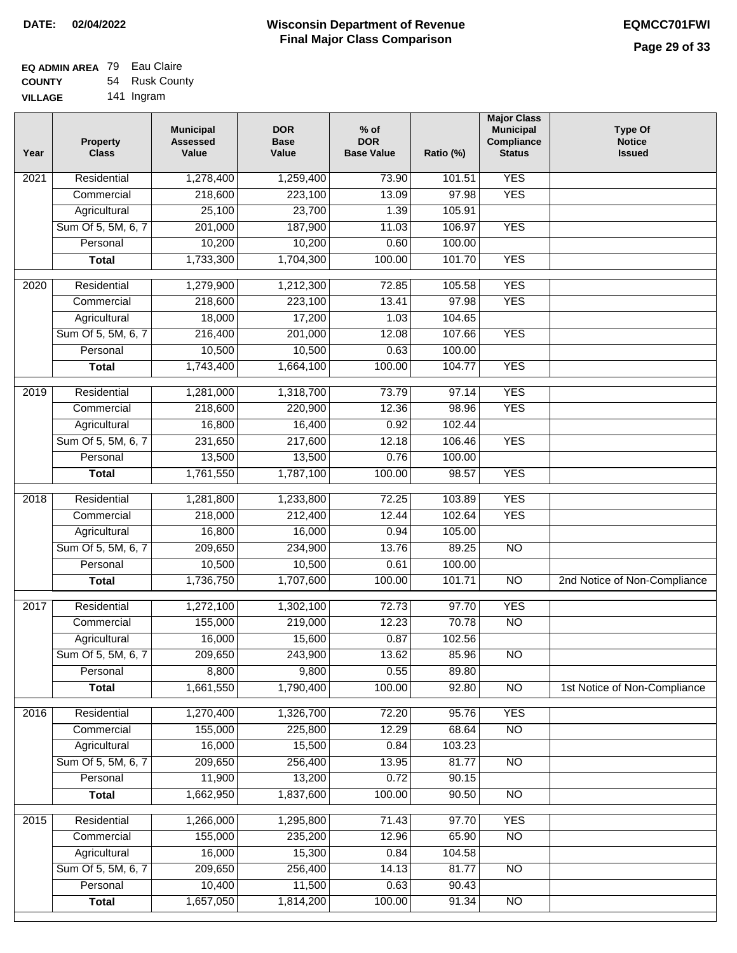| EQ ADMIN AREA 79 Eau Claire |                |
|-----------------------------|----------------|
| <b>COUNTY</b>               | 54 Rusk County |
| <b>VILLAGE</b>              | 141 Ingram     |

| Year             | <b>Property</b><br><b>Class</b> | <b>Municipal</b><br><b>Assessed</b><br>Value | <b>DOR</b><br><b>Base</b><br>Value | $%$ of<br><b>DOR</b><br><b>Base Value</b> | Ratio (%) | <b>Major Class</b><br><b>Municipal</b><br>Compliance<br><b>Status</b> | <b>Type Of</b><br><b>Notice</b><br><b>Issued</b> |
|------------------|---------------------------------|----------------------------------------------|------------------------------------|-------------------------------------------|-----------|-----------------------------------------------------------------------|--------------------------------------------------|
| 2021             | Residential                     | 1,278,400                                    | 1,259,400                          | 73.90                                     | 101.51    | <b>YES</b>                                                            |                                                  |
|                  | Commercial                      | 218,600                                      | 223,100                            | 13.09                                     | 97.98     | <b>YES</b>                                                            |                                                  |
|                  | Agricultural                    | 25,100                                       | 23,700                             | 1.39                                      | 105.91    |                                                                       |                                                  |
|                  | Sum Of 5, 5M, 6, 7              | 201,000                                      | 187,900                            | 11.03                                     | 106.97    | <b>YES</b>                                                            |                                                  |
|                  | Personal                        | 10,200                                       | 10,200                             | 0.60                                      | 100.00    |                                                                       |                                                  |
|                  | <b>Total</b>                    | 1,733,300                                    | 1,704,300                          | 100.00                                    | 101.70    | <b>YES</b>                                                            |                                                  |
| 2020             | Residential                     | 1,279,900                                    | 1,212,300                          | 72.85                                     | 105.58    | <b>YES</b>                                                            |                                                  |
|                  | Commercial                      | 218,600                                      | 223,100                            | 13.41                                     | 97.98     | <b>YES</b>                                                            |                                                  |
|                  | Agricultural                    | 18,000                                       | 17,200                             | 1.03                                      | 104.65    |                                                                       |                                                  |
|                  | Sum Of 5, 5M, 6, 7              | 216,400                                      | 201,000                            | 12.08                                     | 107.66    | <b>YES</b>                                                            |                                                  |
|                  | Personal                        | 10,500                                       | 10,500                             | 0.63                                      | 100.00    |                                                                       |                                                  |
|                  | <b>Total</b>                    | 1,743,400                                    | 1,664,100                          | 100.00                                    | 104.77    | <b>YES</b>                                                            |                                                  |
|                  |                                 |                                              |                                    |                                           |           |                                                                       |                                                  |
| $\frac{1}{2019}$ | Residential                     | 1,281,000                                    | 1,318,700                          | 73.79                                     | 97.14     | <b>YES</b>                                                            |                                                  |
|                  | Commercial                      | 218,600                                      | 220,900                            | 12.36                                     | 98.96     | <b>YES</b>                                                            |                                                  |
|                  | Agricultural                    | 16,800                                       | 16,400                             | 0.92                                      | 102.44    |                                                                       |                                                  |
|                  | Sum Of 5, 5M, 6, 7              | 231,650                                      | 217,600                            | 12.18                                     | 106.46    | <b>YES</b>                                                            |                                                  |
|                  | Personal                        | 13,500                                       | 13,500                             | 0.76                                      | 100.00    |                                                                       |                                                  |
|                  | <b>Total</b>                    | 1,761,550                                    | 1,787,100                          | 100.00                                    | 98.57     | <b>YES</b>                                                            |                                                  |
| 2018             | Residential                     | 1,281,800                                    | 1,233,800                          | 72.25                                     | 103.89    | <b>YES</b>                                                            |                                                  |
|                  | Commercial                      | 218,000                                      | 212,400                            | 12.44                                     | 102.64    | <b>YES</b>                                                            |                                                  |
|                  | Agricultural                    | 16,800                                       | 16,000                             | 0.94                                      | 105.00    |                                                                       |                                                  |
|                  | Sum Of 5, 5M, 6, 7              | 209,650                                      | 234,900                            | 13.76                                     | 89.25     | <b>NO</b>                                                             |                                                  |
|                  | Personal                        | 10,500                                       | 10,500                             | 0.61                                      | 100.00    |                                                                       |                                                  |
|                  | <b>Total</b>                    | 1,736,750                                    | 1,707,600                          | 100.00                                    | 101.71    | <b>NO</b>                                                             | 2nd Notice of Non-Compliance                     |
| 2017             | Residential                     | 1,272,100                                    | 1,302,100                          | 72.73                                     | 97.70     | <b>YES</b>                                                            |                                                  |
|                  | Commercial                      | 155,000                                      | 219,000                            | 12.23                                     | 70.78     | <b>NO</b>                                                             |                                                  |
|                  | Agricultural                    | 16,000                                       | 15,600                             | 0.87                                      | 102.56    |                                                                       |                                                  |
|                  | Sum Of 5, 5M, 6, 7              | 209,650                                      | 243,900                            | 13.62                                     | 85.96     | $\overline{NO}$                                                       |                                                  |
|                  | Personal                        | 8,800                                        | 9,800                              | 0.55                                      | 89.80     |                                                                       |                                                  |
|                  | <b>Total</b>                    | 1,661,550                                    | 1,790,400                          | 100.00                                    | 92.80     | $\overline{3}$                                                        | 1st Notice of Non-Compliance                     |
| 2016             | Residential                     | 1,270,400                                    | 1,326,700                          | 72.20                                     | 95.76     | <b>YES</b>                                                            |                                                  |
|                  | Commercial                      | 155,000                                      | 225,800                            | 12.29                                     | 68.64     | $\overline{NO}$                                                       |                                                  |
|                  | Agricultural                    | 16,000                                       | 15,500                             | 0.84                                      | 103.23    |                                                                       |                                                  |
|                  | Sum Of 5, 5M, 6, 7              | 209,650                                      | 256,400                            | 13.95                                     | 81.77     | $\overline{NO}$                                                       |                                                  |
|                  | Personal                        | 11,900                                       | 13,200                             | 0.72                                      | 90.15     |                                                                       |                                                  |
|                  | <b>Total</b>                    | 1,662,950                                    | 1,837,600                          | 100.00                                    | 90.50     | N <sub>O</sub>                                                        |                                                  |
| 2015             | Residential                     | 1,266,000                                    | 1,295,800                          | 71.43                                     | 97.70     | <b>YES</b>                                                            |                                                  |
|                  | Commercial                      | 155,000                                      | 235,200                            | 12.96                                     | 65.90     | $\overline{NO}$                                                       |                                                  |
|                  | Agricultural                    | 16,000                                       | 15,300                             | 0.84                                      | 104.58    |                                                                       |                                                  |
|                  | Sum Of 5, 5M, 6, 7              | 209,650                                      | 256,400                            | 14.13                                     | 81.77     | $\overline{NO}$                                                       |                                                  |
|                  | Personal                        | 10,400                                       | 11,500                             | 0.63                                      | 90.43     |                                                                       |                                                  |
|                  | <b>Total</b>                    | 1,657,050                                    | 1,814,200                          | 100.00                                    | 91.34     | $\overline{NO}$                                                       |                                                  |
|                  |                                 |                                              |                                    |                                           |           |                                                                       |                                                  |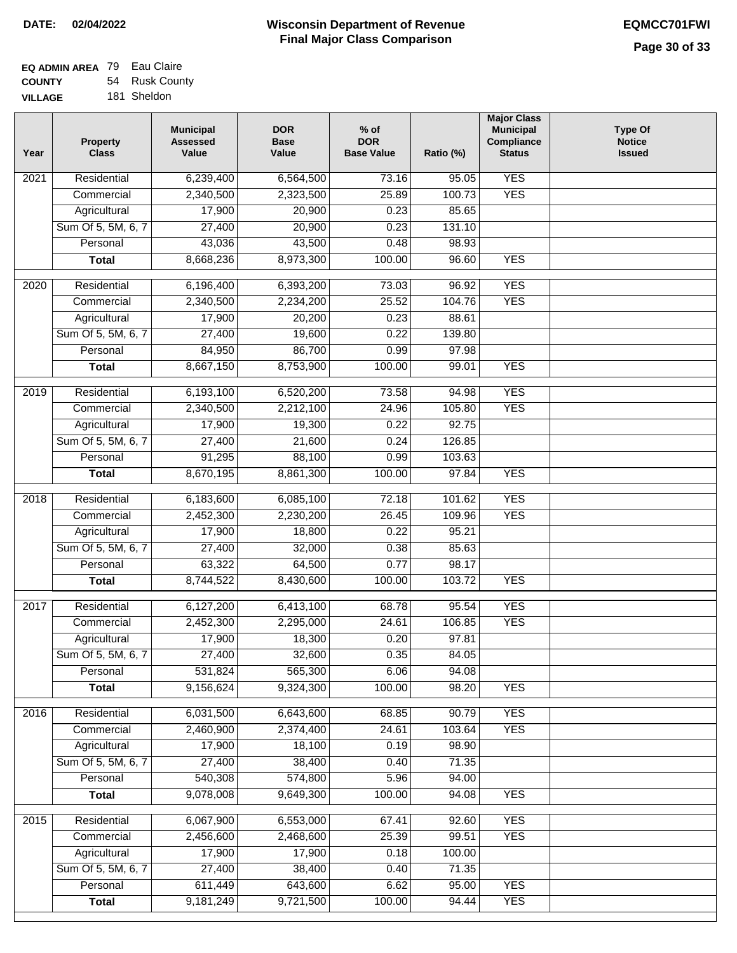| <b>EQ ADMIN AREA</b> 79 Eau Claire |                |
|------------------------------------|----------------|
| <b>COUNTY</b>                      | 54 Rusk County |
| <b>VILLAGE</b>                     | 181 Sheldon    |

| Year | <b>Property</b><br><b>Class</b> | <b>Municipal</b><br><b>Assessed</b><br>Value | <b>DOR</b><br><b>Base</b><br>Value | $%$ of<br><b>DOR</b><br><b>Base Value</b> | Ratio (%) | <b>Major Class</b><br><b>Municipal</b><br><b>Compliance</b><br><b>Status</b> | <b>Type Of</b><br><b>Notice</b><br><b>Issued</b> |
|------|---------------------------------|----------------------------------------------|------------------------------------|-------------------------------------------|-----------|------------------------------------------------------------------------------|--------------------------------------------------|
| 2021 | Residential                     | 6,239,400                                    | 6,564,500                          | 73.16                                     | 95.05     | <b>YES</b>                                                                   |                                                  |
|      | Commercial                      | 2,340,500                                    | 2,323,500                          | 25.89                                     | 100.73    | <b>YES</b>                                                                   |                                                  |
|      | Agricultural                    | 17,900                                       | 20,900                             | 0.23                                      | 85.65     |                                                                              |                                                  |
|      | Sum Of 5, 5M, 6, 7              | 27,400                                       | 20,900                             | 0.23                                      | 131.10    |                                                                              |                                                  |
|      | Personal                        | 43,036                                       | 43,500                             | 0.48                                      | 98.93     |                                                                              |                                                  |
|      | <b>Total</b>                    | 8,668,236                                    | 8,973,300                          | 100.00                                    | 96.60     | <b>YES</b>                                                                   |                                                  |
| 2020 | Residential                     | 6,196,400                                    | 6,393,200                          | 73.03                                     | 96.92     | <b>YES</b>                                                                   |                                                  |
|      | Commercial                      | 2,340,500                                    | 2,234,200                          | 25.52                                     | 104.76    | <b>YES</b>                                                                   |                                                  |
|      | Agricultural                    | 17,900                                       | 20,200                             | 0.23                                      | 88.61     |                                                                              |                                                  |
|      | Sum Of 5, 5M, 6, 7              | 27,400                                       | 19,600                             | 0.22                                      | 139.80    |                                                                              |                                                  |
|      | Personal                        | 84,950                                       | 86,700                             | 0.99                                      | 97.98     |                                                                              |                                                  |
|      | <b>Total</b>                    | 8,667,150                                    | 8,753,900                          | 100.00                                    | 99.01     | <b>YES</b>                                                                   |                                                  |
| 2019 | Residential                     | 6,193,100                                    | 6,520,200                          | 73.58                                     | 94.98     | <b>YES</b>                                                                   |                                                  |
|      | Commercial                      | 2,340,500                                    | 2,212,100                          | 24.96                                     | 105.80    | <b>YES</b>                                                                   |                                                  |
|      | Agricultural                    | 17,900                                       | 19,300                             | 0.22                                      | 92.75     |                                                                              |                                                  |
|      | Sum Of 5, 5M, 6, 7              | 27,400                                       | 21,600                             | 0.24                                      | 126.85    |                                                                              |                                                  |
|      | Personal                        | 91,295                                       | 88,100                             | 0.99                                      | 103.63    |                                                                              |                                                  |
|      | <b>Total</b>                    | 8,670,195                                    | 8,861,300                          | 100.00                                    | 97.84     | <b>YES</b>                                                                   |                                                  |
|      | Residential                     |                                              |                                    |                                           | 101.62    | <b>YES</b>                                                                   |                                                  |
| 2018 | Commercial                      | 6,183,600<br>2,452,300                       | 6,085,100<br>2,230,200             | 72.18<br>26.45                            | 109.96    | <b>YES</b>                                                                   |                                                  |
|      | Agricultural                    | 17,900                                       | 18,800                             | 0.22                                      | 95.21     |                                                                              |                                                  |
|      | Sum Of 5, 5M, 6, 7              | 27,400                                       | 32,000                             | 0.38                                      | 85.63     |                                                                              |                                                  |
|      | Personal                        | 63,322                                       | 64,500                             | 0.77                                      | 98.17     |                                                                              |                                                  |
|      | <b>Total</b>                    | 8,744,522                                    | 8,430,600                          | 100.00                                    | 103.72    | <b>YES</b>                                                                   |                                                  |
|      |                                 |                                              |                                    |                                           |           |                                                                              |                                                  |
| 2017 | Residential                     | 6,127,200                                    | 6,413,100                          | 68.78                                     | 95.54     | <b>YES</b>                                                                   |                                                  |
|      | Commercial                      | 2,452,300                                    | 2,295,000                          | 24.61                                     | 106.85    | <b>YES</b>                                                                   |                                                  |
|      | Agricultural                    | 17,900                                       | 18,300                             | 0.20                                      | 97.81     |                                                                              |                                                  |
|      | Sum Of 5, 5M, 6, 7              | 27,400                                       | 32,600                             | 0.35                                      | 84.05     |                                                                              |                                                  |
|      | Personal                        | 531,824                                      | 565,300                            | 6.06                                      | 94.08     |                                                                              |                                                  |
|      | <b>Total</b>                    | 9,156,624                                    | 9,324,300                          | 100.00                                    | 98.20     | <b>YES</b>                                                                   |                                                  |
| 2016 | Residential                     | 6,031,500                                    | 6,643,600                          | 68.85                                     | 90.79     | <b>YES</b>                                                                   |                                                  |
|      | Commercial                      | 2,460,900                                    | 2,374,400                          | 24.61                                     | 103.64    | <b>YES</b>                                                                   |                                                  |
|      | Agricultural                    | 17,900                                       | 18,100                             | 0.19                                      | 98.90     |                                                                              |                                                  |
|      | Sum Of 5, 5M, 6, 7              | 27,400                                       | 38,400                             | 0.40                                      | 71.35     |                                                                              |                                                  |
|      | Personal                        | 540,308                                      | 574,800                            | 5.96                                      | 94.00     |                                                                              |                                                  |
|      | <b>Total</b>                    | 9,078,008                                    | 9,649,300                          | 100.00                                    | 94.08     | <b>YES</b>                                                                   |                                                  |
| 2015 | Residential                     | 6,067,900                                    | 6,553,000                          | 67.41                                     | 92.60     | <b>YES</b>                                                                   |                                                  |
|      | Commercial                      | 2,456,600                                    | 2,468,600                          | 25.39                                     | 99.51     | <b>YES</b>                                                                   |                                                  |
|      | Agricultural                    | 17,900                                       | 17,900                             | 0.18                                      | 100.00    |                                                                              |                                                  |
|      | Sum Of 5, 5M, 6, 7              | 27,400                                       | 38,400                             | 0.40                                      | 71.35     |                                                                              |                                                  |
|      | Personal                        | 611,449                                      | 643,600                            | 6.62                                      | 95.00     | <b>YES</b>                                                                   |                                                  |
|      | <b>Total</b>                    | 9,181,249                                    | 9,721,500                          | 100.00                                    | 94.44     | <b>YES</b>                                                                   |                                                  |
|      |                                 |                                              |                                    |                                           |           |                                                                              |                                                  |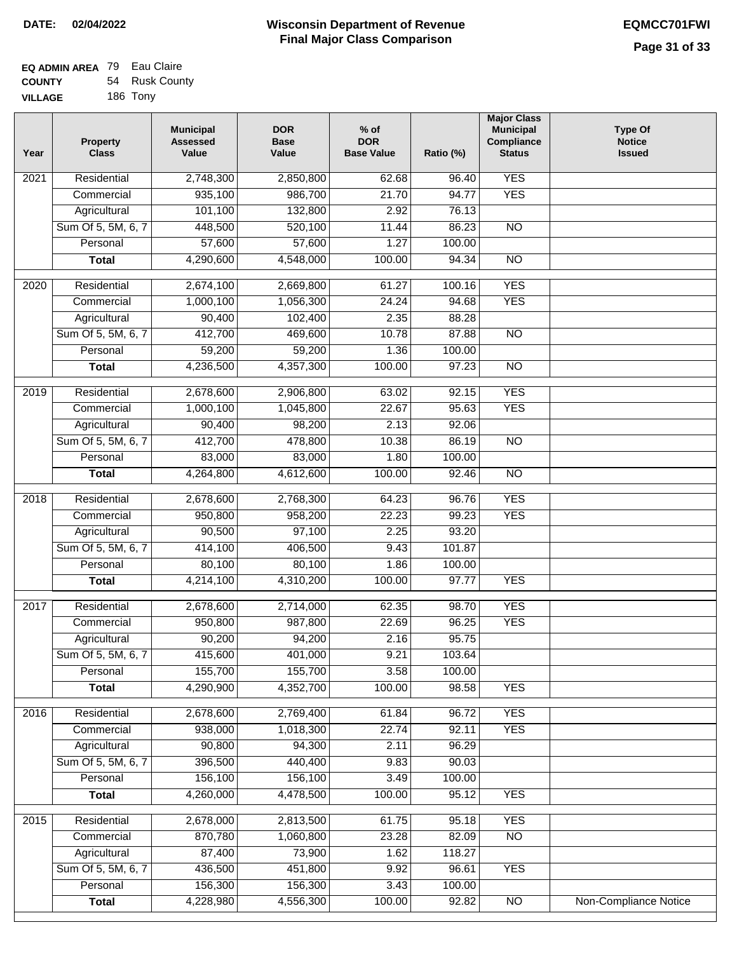#### **EQ ADMIN AREA** 79 Eau Claire **COUNTY VILLAGE** 54 Rusk County 186 Tony

| Year              | <b>Property</b><br><b>Class</b>    | <b>Municipal</b><br><b>Assessed</b><br>Value | <b>DOR</b><br><b>Base</b><br>Value | $%$ of<br><b>DOR</b><br><b>Base Value</b> | Ratio (%)      | <b>Major Class</b><br><b>Municipal</b><br>Compliance<br><b>Status</b> | <b>Type Of</b><br><b>Notice</b><br><b>Issued</b> |
|-------------------|------------------------------------|----------------------------------------------|------------------------------------|-------------------------------------------|----------------|-----------------------------------------------------------------------|--------------------------------------------------|
| $\overline{202}1$ | Residential                        | 2,748,300                                    | 2,850,800                          | 62.68                                     | 96.40          | <b>YES</b>                                                            |                                                  |
|                   | Commercial                         | 935,100                                      | 986,700                            | 21.70                                     | 94.77          | <b>YES</b>                                                            |                                                  |
|                   | Agricultural                       | 101,100                                      | 132,800                            | 2.92                                      | 76.13          |                                                                       |                                                  |
|                   | Sum Of 5, 5M, 6, 7                 | 448,500                                      | 520,100                            | 11.44                                     | 86.23          | $\overline{NO}$                                                       |                                                  |
|                   | Personal                           | 57,600                                       | 57,600                             | 1.27                                      | 100.00         |                                                                       |                                                  |
|                   | <b>Total</b>                       | 4,290,600                                    | 4,548,000                          | 100.00                                    | 94.34          | $\overline{NO}$                                                       |                                                  |
| 2020              | Residential                        | 2,674,100                                    | 2,669,800                          | 61.27                                     | 100.16         | <b>YES</b>                                                            |                                                  |
|                   | Commercial                         | 1,000,100                                    | 1,056,300                          | 24.24                                     | 94.68          | <b>YES</b>                                                            |                                                  |
|                   | Agricultural                       | 90,400                                       | 102,400                            | 2.35                                      | 88.28          |                                                                       |                                                  |
|                   | Sum Of 5, 5M, 6, 7                 | 412,700                                      | 469,600                            | 10.78                                     | 87.88          | $\overline{NO}$                                                       |                                                  |
|                   | Personal                           | 59,200                                       | 59,200                             | 1.36                                      | 100.00         |                                                                       |                                                  |
|                   | <b>Total</b>                       | 4,236,500                                    | 4,357,300                          | 100.00                                    | 97.23          | $\overline{NO}$                                                       |                                                  |
| 2019              | Residential                        | 2,678,600                                    | 2,906,800                          | 63.02                                     | 92.15          | <b>YES</b>                                                            |                                                  |
|                   | Commercial                         | 1,000,100                                    | 1,045,800                          | 22.67                                     | 95.63          | <b>YES</b>                                                            |                                                  |
|                   | Agricultural                       | 90,400                                       | 98,200                             | 2.13                                      | 92.06          |                                                                       |                                                  |
|                   | Sum Of 5, 5M, 6, 7                 | 412,700                                      | 478,800                            | 10.38                                     | 86.19          | $\overline{NO}$                                                       |                                                  |
|                   | Personal                           | 83,000                                       | 83,000                             | 1.80                                      | 100.00         |                                                                       |                                                  |
|                   | <b>Total</b>                       | 4,264,800                                    | 4,612,600                          | 100.00                                    | 92.46          | $\overline{NO}$                                                       |                                                  |
| 2018              | Residential                        | 2,678,600                                    | 2,768,300                          | 64.23                                     | 96.76          | <b>YES</b>                                                            |                                                  |
|                   | Commercial                         | 950,800                                      | 958,200                            | 22.23                                     | 99.23          | <b>YES</b>                                                            |                                                  |
|                   | Agricultural                       | 90,500                                       | 97,100                             | 2.25                                      | 93.20          |                                                                       |                                                  |
|                   | Sum Of 5, 5M, 6, 7                 | 414,100                                      | 406,500                            | 9.43                                      | 101.87         |                                                                       |                                                  |
|                   | Personal                           | 80,100                                       | 80,100                             | 1.86                                      | 100.00         |                                                                       |                                                  |
|                   | <b>Total</b>                       | 4,214,100                                    | 4,310,200                          | 100.00                                    | 97.77          | <b>YES</b>                                                            |                                                  |
| 2017              | Residential                        | 2,678,600                                    | 2,714,000                          | 62.35                                     | 98.70          | <b>YES</b>                                                            |                                                  |
|                   | Commercial                         | 950,800                                      | 987,800                            | 22.69                                     | 96.25          | <b>YES</b>                                                            |                                                  |
|                   | Agricultural                       | 90,200                                       | 94,200                             | 2.16                                      | 95.75          |                                                                       |                                                  |
|                   | Sum Of 5, 5M, 6, 7                 | 415,600                                      | 401,000                            | 9.21                                      | 103.64         |                                                                       |                                                  |
|                   | Personal                           | 155,700                                      | 155,700                            | 3.58                                      | 100.00         |                                                                       |                                                  |
|                   | <b>Total</b>                       | 4,290,900                                    | 4,352,700                          | 100.00                                    | 98.58          | <b>YES</b>                                                            |                                                  |
|                   |                                    |                                              |                                    |                                           |                |                                                                       |                                                  |
| 2016              | Residential                        | 2,678,600                                    | 2,769,400                          | 61.84                                     | 96.72          | <b>YES</b>                                                            |                                                  |
|                   | Commercial                         | 938,000                                      | 1,018,300                          | 22.74                                     | 92.11          | <b>YES</b>                                                            |                                                  |
|                   | Agricultural<br>Sum Of 5, 5M, 6, 7 | 90,800<br>396,500                            | 94,300<br>440,400                  | 2.11<br>9.83                              | 96.29<br>90.03 |                                                                       |                                                  |
|                   | Personal                           | 156,100                                      | 156,100                            | 3.49                                      | 100.00         |                                                                       |                                                  |
|                   | <b>Total</b>                       | 4,260,000                                    | 4,478,500                          | 100.00                                    | 95.12          | <b>YES</b>                                                            |                                                  |
|                   |                                    |                                              |                                    |                                           |                |                                                                       |                                                  |
| 2015              | Residential                        | 2,678,000                                    | 2,813,500                          | 61.75                                     | 95.18          | <b>YES</b>                                                            |                                                  |
|                   | Commercial                         | 870,780                                      | 1,060,800                          | 23.28                                     | 82.09          | $\overline{NO}$                                                       |                                                  |
|                   | Agricultural                       | 87,400                                       | 73,900                             | 1.62                                      | 118.27         |                                                                       |                                                  |
|                   | Sum Of 5, 5M, 6, 7                 | 436,500                                      | 451,800                            | 9.92                                      | 96.61          | <b>YES</b>                                                            |                                                  |
|                   | Personal                           | 156,300                                      | 156,300                            | 3.43                                      | 100.00         |                                                                       |                                                  |
|                   | <b>Total</b>                       | 4,228,980                                    | 4,556,300                          | 100.00                                    | 92.82          | $\overline{NO}$                                                       | <b>Non-Compliance Notice</b>                     |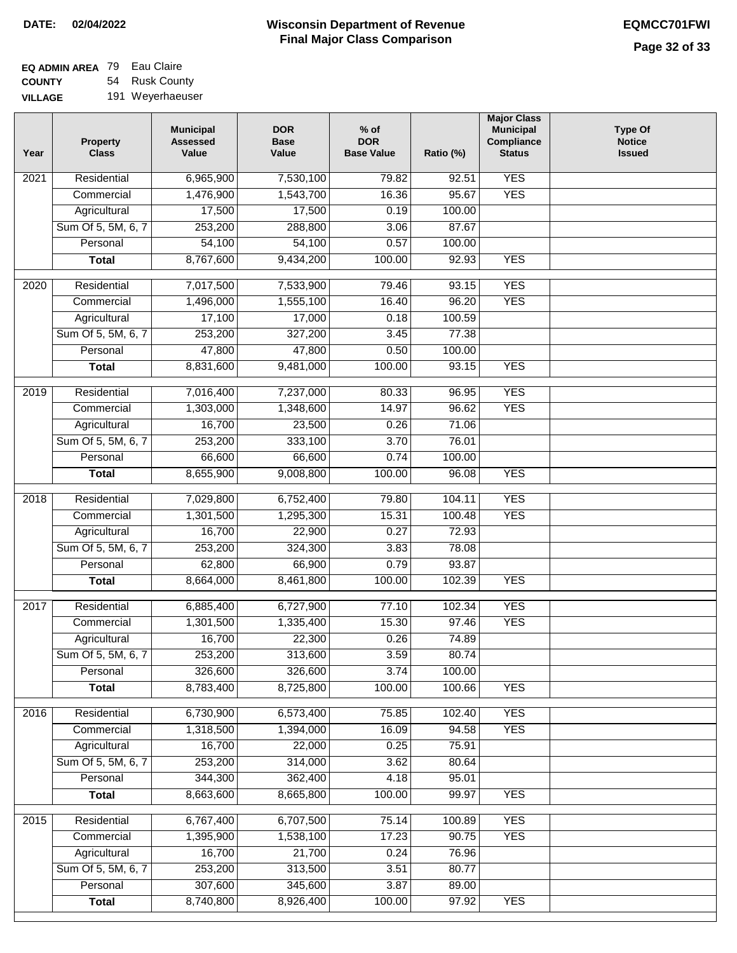# **Wisconsin Department of Revenue DATE: 02/04/2022 EQMCC701FWI Final Major Class Comparison**

| EQ ADMIN AREA 79 | Eau Claire       |
|------------------|------------------|
| <b>COUNTY</b>    | 54 Rusk County   |
| <b>VILLAGE</b>   | 191 Weyerhaeuser |

| Year             | <b>Property</b><br><b>Class</b> | <b>Municipal</b><br><b>Assessed</b><br>Value | <b>DOR</b><br><b>Base</b><br>Value | $%$ of<br><b>DOR</b><br><b>Base Value</b> | Ratio (%)      | <b>Major Class</b><br><b>Municipal</b><br>Compliance<br><b>Status</b> | <b>Type Of</b><br><b>Notice</b><br><b>Issued</b> |
|------------------|---------------------------------|----------------------------------------------|------------------------------------|-------------------------------------------|----------------|-----------------------------------------------------------------------|--------------------------------------------------|
| 2021             | Residential                     | 6,965,900                                    | 7,530,100                          | 79.82                                     | 92.51          | <b>YES</b>                                                            |                                                  |
|                  | Commercial                      | 1,476,900                                    | 1,543,700                          | 16.36                                     | 95.67          | <b>YES</b>                                                            |                                                  |
|                  | Agricultural                    | 17,500                                       | 17,500                             | 0.19                                      | 100.00         |                                                                       |                                                  |
|                  | Sum Of 5, 5M, 6, 7              | 253,200                                      | 288,800                            | 3.06                                      | 87.67          |                                                                       |                                                  |
|                  | Personal                        | 54,100                                       | 54,100                             | 0.57                                      | 100.00         |                                                                       |                                                  |
|                  | <b>Total</b>                    | 8,767,600                                    | 9,434,200                          | 100.00                                    | 92.93          | <b>YES</b>                                                            |                                                  |
| $\frac{1}{2020}$ | Residential                     | 7,017,500                                    | 7,533,900                          | 79.46                                     | 93.15          | <b>YES</b>                                                            |                                                  |
|                  | Commercial                      | 1,496,000                                    | 1,555,100                          | 16.40                                     | 96.20          | <b>YES</b>                                                            |                                                  |
|                  | Agricultural                    | 17,100                                       | 17,000                             | 0.18                                      | 100.59         |                                                                       |                                                  |
|                  | Sum Of 5, 5M, 6, 7              | 253,200                                      | 327,200                            | 3.45                                      | 77.38          |                                                                       |                                                  |
|                  | Personal                        | 47,800                                       | 47,800                             | 0.50                                      | 100.00         |                                                                       |                                                  |
|                  | <b>Total</b>                    | 8,831,600                                    | 9,481,000                          | 100.00                                    | 93.15          | <b>YES</b>                                                            |                                                  |
|                  |                                 |                                              |                                    |                                           |                |                                                                       |                                                  |
| $\frac{1}{2019}$ | Residential                     | 7,016,400                                    | 7,237,000                          | 80.33                                     | 96.95          | <b>YES</b>                                                            |                                                  |
|                  | Commercial                      | 1,303,000                                    | 1,348,600                          | 14.97                                     | 96.62          | <b>YES</b>                                                            |                                                  |
|                  | Agricultural                    | 16,700                                       | 23,500                             | 0.26                                      | 71.06          |                                                                       |                                                  |
|                  | Sum Of 5, 5M, 6, 7              | 253,200                                      | 333,100                            | 3.70                                      | 76.01          |                                                                       |                                                  |
|                  | Personal                        | 66,600                                       | 66,600                             | 0.74                                      | 100.00         |                                                                       |                                                  |
|                  | <b>Total</b>                    | 8,655,900                                    | 9,008,800                          | 100.00                                    | 96.08          | <b>YES</b>                                                            |                                                  |
| 2018             | Residential                     | 7,029,800                                    | 6,752,400                          | 79.80                                     | 104.11         | <b>YES</b>                                                            |                                                  |
|                  | Commercial                      | 1,301,500                                    | 1,295,300                          | 15.31                                     | 100.48         | <b>YES</b>                                                            |                                                  |
|                  | Agricultural                    | 16,700                                       | 22,900                             | 0.27                                      | 72.93          |                                                                       |                                                  |
|                  | Sum Of 5, 5M, 6, 7              | 253,200                                      | 324,300                            | 3.83                                      | 78.08          |                                                                       |                                                  |
|                  | Personal                        | 62,800                                       | 66,900                             | 0.79                                      | 93.87          |                                                                       |                                                  |
|                  | <b>Total</b>                    | 8,664,000                                    | 8,461,800                          | 100.00                                    | 102.39         | <b>YES</b>                                                            |                                                  |
| 2017             | Residential                     | 6,885,400                                    | 6,727,900                          | 77.10                                     | 102.34         | <b>YES</b>                                                            |                                                  |
|                  | Commercial                      | 1,301,500                                    | 1,335,400                          | 15.30                                     | 97.46          | <b>YES</b>                                                            |                                                  |
|                  | Agricultural                    | 16,700                                       | 22,300                             | 0.26                                      | 74.89          |                                                                       |                                                  |
|                  | Sum Of 5, 5M, 6, 7              | 253,200                                      | 313,600                            | 3.59                                      | 80.74          |                                                                       |                                                  |
|                  | Personal                        | 326,600                                      | 326,600                            | 3.74                                      | 100.00         |                                                                       |                                                  |
|                  | <b>Total</b>                    | 8,783,400                                    | 8,725,800                          | 100.00                                    | 100.66         | <b>YES</b>                                                            |                                                  |
| 2016             | Residential                     | 6,730,900                                    | 6,573,400                          | 75.85                                     | 102.40         | <b>YES</b>                                                            |                                                  |
|                  | Commercial                      | 1,318,500                                    | 1,394,000                          | 16.09                                     | 94.58          | <b>YES</b>                                                            |                                                  |
|                  | Agricultural                    | 16,700                                       | 22,000                             | 0.25                                      | 75.91          |                                                                       |                                                  |
|                  | Sum Of 5, 5M, 6, 7              | 253,200                                      | 314,000                            | 3.62                                      | 80.64          |                                                                       |                                                  |
|                  | Personal                        | 344,300                                      | 362,400                            | 4.18                                      | 95.01          |                                                                       |                                                  |
|                  | <b>Total</b>                    | 8,663,600                                    | 8,665,800                          | 100.00                                    | 99.97          | <b>YES</b>                                                            |                                                  |
|                  |                                 |                                              |                                    |                                           |                |                                                                       |                                                  |
| 2015             | Residential                     | 6,767,400                                    | 6,707,500                          | 75.14                                     | 100.89         | <b>YES</b>                                                            |                                                  |
|                  | Commercial                      | 1,395,900                                    | 1,538,100                          | 17.23                                     | 90.75          | <b>YES</b>                                                            |                                                  |
|                  | Agricultural                    | 16,700                                       | 21,700                             | 0.24                                      | 76.96          |                                                                       |                                                  |
|                  | Sum Of 5, 5M, 6, 7              | 253,200                                      | 313,500                            | 3.51                                      | 80.77          |                                                                       |                                                  |
|                  | Personal                        | 307,600<br>8,740,800                         | 345,600<br>8,926,400               | 3.87<br>100.00                            | 89.00<br>97.92 | <b>YES</b>                                                            |                                                  |
|                  | <b>Total</b>                    |                                              |                                    |                                           |                |                                                                       |                                                  |